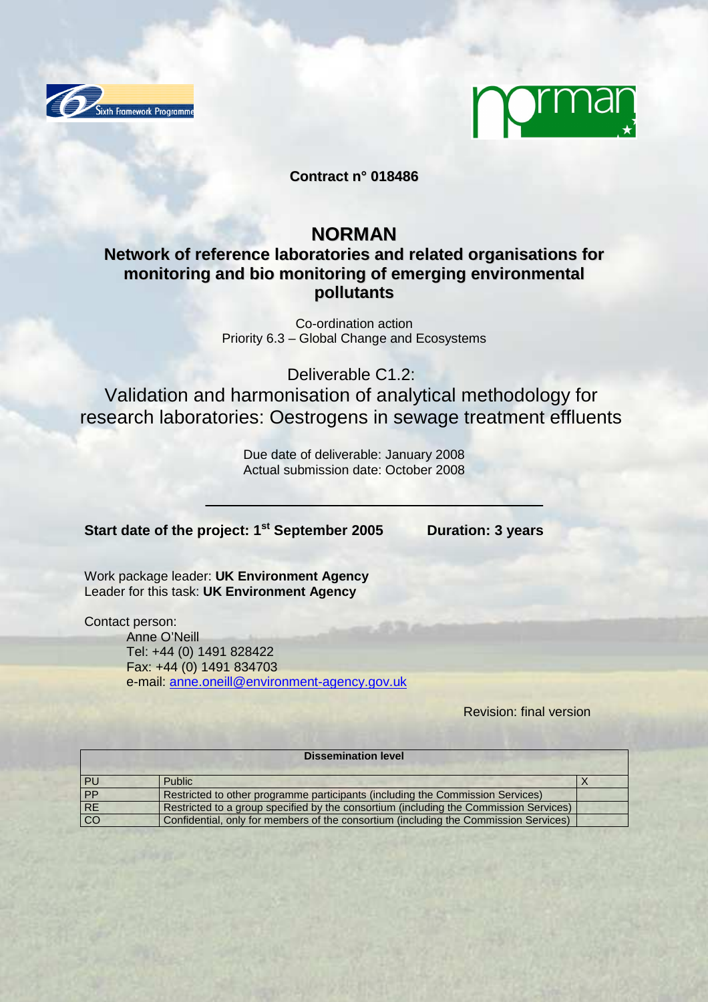



**Contract n° 018486**

# **NORMAN**

**Network of reference laboratories and related organisations for monitoring and bio monitoring of emerging environmental pollutants**

> Co-ordination action Priority 6.3 – Global Change and Ecosystems

> > Deliverable C1.2:

Validation and harmonisation of analytical methodology for research laboratories: Oestrogens in sewage treatment effluents

> Due date of deliverable: January 2008 Actual submission date: October 2008

**Start date of the project: 1st September 2005 Duration: 3 years** 

Work package leader: **UK Environment Agency** Leader for this task: **UK Environment Agency**

Contact person:

Anne O'Neill Tel: +44 (0) 1491 828422 Fax: +44 (0) 1491 834703 e-mail: anne.oneill@environment-agency.gov.uk

Revision: final version

| <b>Dissemination level</b> |                                                                                       |  |  |  |  |  |  |
|----------------------------|---------------------------------------------------------------------------------------|--|--|--|--|--|--|
| <b>PU</b>                  | <b>Public</b>                                                                         |  |  |  |  |  |  |
| <b>PP</b>                  | Restricted to other programme participants (including the Commission Services)        |  |  |  |  |  |  |
| <b>RE</b>                  | Restricted to a group specified by the consortium (including the Commission Services) |  |  |  |  |  |  |
| l co                       | Confidential, only for members of the consortium (including the Commission Services)  |  |  |  |  |  |  |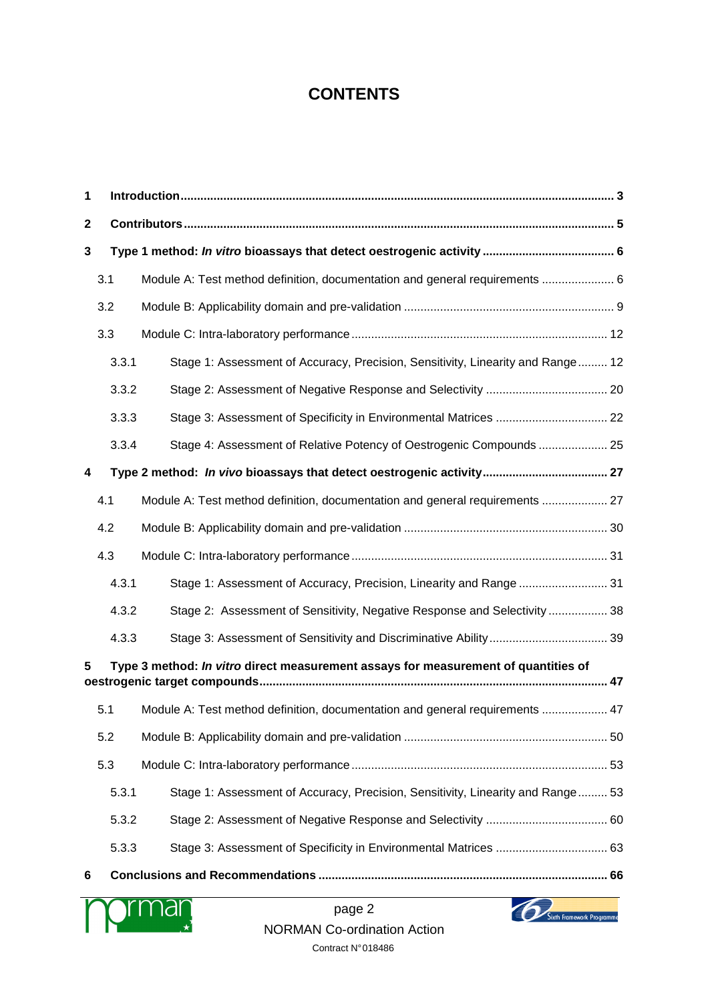# **CONTENTS**

| 3.1   |  |                                                                                                                                                                                                                                                                                                                                                                                                                                                                                                                                                                                                                                                                                                                                                                                                                                                                            |  |  |  |  |  |  |  |
|-------|--|----------------------------------------------------------------------------------------------------------------------------------------------------------------------------------------------------------------------------------------------------------------------------------------------------------------------------------------------------------------------------------------------------------------------------------------------------------------------------------------------------------------------------------------------------------------------------------------------------------------------------------------------------------------------------------------------------------------------------------------------------------------------------------------------------------------------------------------------------------------------------|--|--|--|--|--|--|--|
| 3.2   |  |                                                                                                                                                                                                                                                                                                                                                                                                                                                                                                                                                                                                                                                                                                                                                                                                                                                                            |  |  |  |  |  |  |  |
| 3.3   |  |                                                                                                                                                                                                                                                                                                                                                                                                                                                                                                                                                                                                                                                                                                                                                                                                                                                                            |  |  |  |  |  |  |  |
| 3.3.1 |  |                                                                                                                                                                                                                                                                                                                                                                                                                                                                                                                                                                                                                                                                                                                                                                                                                                                                            |  |  |  |  |  |  |  |
| 3.3.2 |  |                                                                                                                                                                                                                                                                                                                                                                                                                                                                                                                                                                                                                                                                                                                                                                                                                                                                            |  |  |  |  |  |  |  |
| 3.3.3 |  |                                                                                                                                                                                                                                                                                                                                                                                                                                                                                                                                                                                                                                                                                                                                                                                                                                                                            |  |  |  |  |  |  |  |
| 3.3.4 |  |                                                                                                                                                                                                                                                                                                                                                                                                                                                                                                                                                                                                                                                                                                                                                                                                                                                                            |  |  |  |  |  |  |  |
|       |  |                                                                                                                                                                                                                                                                                                                                                                                                                                                                                                                                                                                                                                                                                                                                                                                                                                                                            |  |  |  |  |  |  |  |
| 4.1   |  |                                                                                                                                                                                                                                                                                                                                                                                                                                                                                                                                                                                                                                                                                                                                                                                                                                                                            |  |  |  |  |  |  |  |
| 4.2   |  |                                                                                                                                                                                                                                                                                                                                                                                                                                                                                                                                                                                                                                                                                                                                                                                                                                                                            |  |  |  |  |  |  |  |
| 4.3   |  |                                                                                                                                                                                                                                                                                                                                                                                                                                                                                                                                                                                                                                                                                                                                                                                                                                                                            |  |  |  |  |  |  |  |
| 4.3.1 |  |                                                                                                                                                                                                                                                                                                                                                                                                                                                                                                                                                                                                                                                                                                                                                                                                                                                                            |  |  |  |  |  |  |  |
| 4.3.2 |  |                                                                                                                                                                                                                                                                                                                                                                                                                                                                                                                                                                                                                                                                                                                                                                                                                                                                            |  |  |  |  |  |  |  |
| 4.3.3 |  |                                                                                                                                                                                                                                                                                                                                                                                                                                                                                                                                                                                                                                                                                                                                                                                                                                                                            |  |  |  |  |  |  |  |
|       |  |                                                                                                                                                                                                                                                                                                                                                                                                                                                                                                                                                                                                                                                                                                                                                                                                                                                                            |  |  |  |  |  |  |  |
| 5.1   |  |                                                                                                                                                                                                                                                                                                                                                                                                                                                                                                                                                                                                                                                                                                                                                                                                                                                                            |  |  |  |  |  |  |  |
| 5.2   |  |                                                                                                                                                                                                                                                                                                                                                                                                                                                                                                                                                                                                                                                                                                                                                                                                                                                                            |  |  |  |  |  |  |  |
| 5.3   |  |                                                                                                                                                                                                                                                                                                                                                                                                                                                                                                                                                                                                                                                                                                                                                                                                                                                                            |  |  |  |  |  |  |  |
| 5.3.1 |  |                                                                                                                                                                                                                                                                                                                                                                                                                                                                                                                                                                                                                                                                                                                                                                                                                                                                            |  |  |  |  |  |  |  |
| 5.3.2 |  |                                                                                                                                                                                                                                                                                                                                                                                                                                                                                                                                                                                                                                                                                                                                                                                                                                                                            |  |  |  |  |  |  |  |
| 5.3.3 |  |                                                                                                                                                                                                                                                                                                                                                                                                                                                                                                                                                                                                                                                                                                                                                                                                                                                                            |  |  |  |  |  |  |  |
|       |  |                                                                                                                                                                                                                                                                                                                                                                                                                                                                                                                                                                                                                                                                                                                                                                                                                                                                            |  |  |  |  |  |  |  |
|       |  | Module A: Test method definition, documentation and general requirements  6<br>Stage 1: Assessment of Accuracy, Precision, Sensitivity, Linearity and Range 12<br>Stage 3: Assessment of Specificity in Environmental Matrices  22<br>Stage 4: Assessment of Relative Potency of Oestrogenic Compounds 25<br>Module A: Test method definition, documentation and general requirements  27<br>Stage 1: Assessment of Accuracy, Precision, Linearity and Range  31<br>Stage 2: Assessment of Sensitivity, Negative Response and Selectivity  38<br>Type 3 method: In vitro direct measurement assays for measurement of quantities of<br>Module A: Test method definition, documentation and general requirements  47<br>Stage 1: Assessment of Accuracy, Precision, Sensitivity, Linearity and Range 53<br>Stage 3: Assessment of Specificity in Environmental Matrices  63 |  |  |  |  |  |  |  |



page 2 NORMAN Co-ordination Action Contract N° 018486

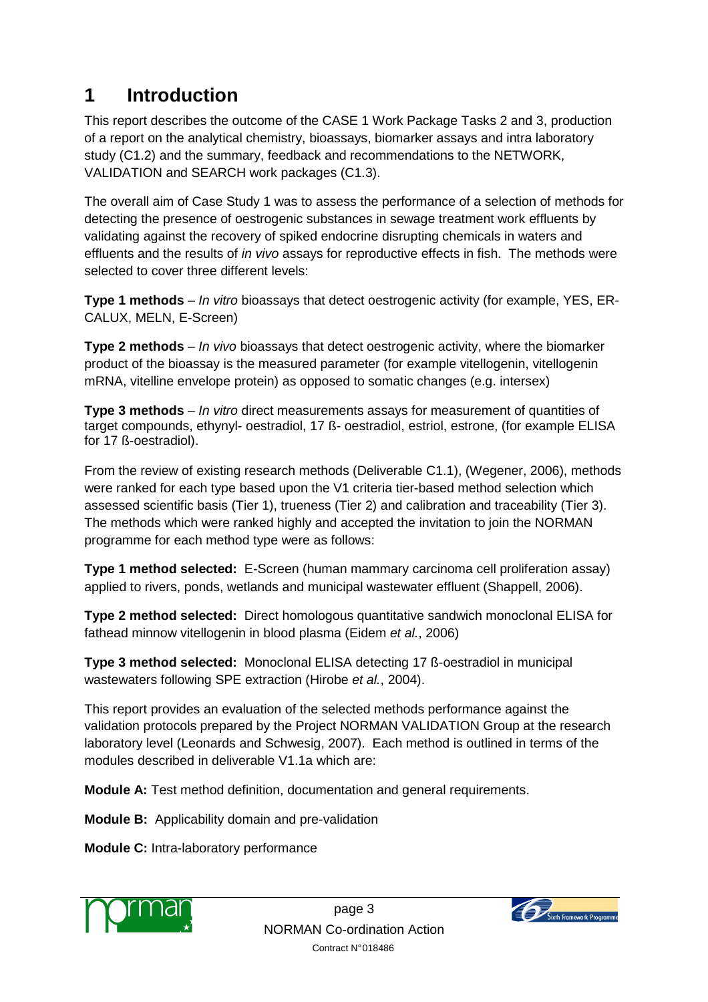# **1 Introduction**

This report describes the outcome of the CASE 1 Work Package Tasks 2 and 3, production of a report on the analytical chemistry, bioassays, biomarker assays and intra laboratory study (C1.2) and the summary, feedback and recommendations to the NETWORK, VALIDATION and SEARCH work packages (C1.3).

The overall aim of Case Study 1 was to assess the performance of a selection of methods for detecting the presence of oestrogenic substances in sewage treatment work effluents by validating against the recovery of spiked endocrine disrupting chemicals in waters and effluents and the results of in vivo assays for reproductive effects in fish. The methods were selected to cover three different levels:

**Type 1 methods** – In vitro bioassays that detect oestrogenic activity (for example, YES, ER-CALUX, MELN, E-Screen)

**Type 2 methods** – In vivo bioassays that detect oestrogenic activity, where the biomarker product of the bioassay is the measured parameter (for example vitellogenin, vitellogenin mRNA, vitelline envelope protein) as opposed to somatic changes (e.g. intersex)

**Type 3 methods** – In vitro direct measurements assays for measurement of quantities of target compounds, ethynyl- oestradiol, 17 ß- oestradiol, estriol, estrone, (for example ELISA for 17 ß-oestradiol).

From the review of existing research methods (Deliverable C1.1), (Wegener, 2006), methods were ranked for each type based upon the V1 criteria tier-based method selection which assessed scientific basis (Tier 1), trueness (Tier 2) and calibration and traceability (Tier 3). The methods which were ranked highly and accepted the invitation to join the NORMAN programme for each method type were as follows:

**Type 1 method selected:** E-Screen (human mammary carcinoma cell proliferation assay) applied to rivers, ponds, wetlands and municipal wastewater effluent (Shappell, 2006).

**Type 2 method selected:** Direct homologous quantitative sandwich monoclonal ELISA for fathead minnow vitellogenin in blood plasma (Eidem et al., 2006)

**Type 3 method selected:** Monoclonal ELISA detecting 17 ß-oestradiol in municipal wastewaters following SPE extraction (Hirobe et al., 2004).

This report provides an evaluation of the selected methods performance against the validation protocols prepared by the Project NORMAN VALIDATION Group at the research laboratory level (Leonards and Schwesig, 2007). Each method is outlined in terms of the modules described in deliverable V1.1a which are:

**Module A:** Test method definition, documentation and general requirements.

**Module B:** Applicability domain and pre-validation

**Module C:** Intra-laboratory performance



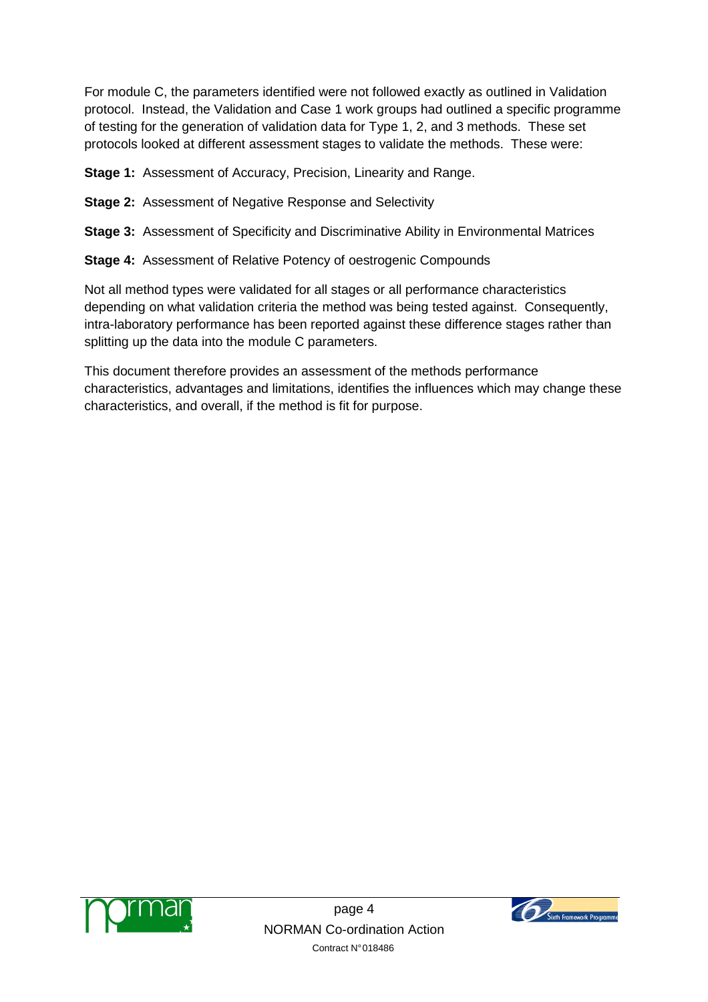For module C, the parameters identified were not followed exactly as outlined in Validation protocol. Instead, the Validation and Case 1 work groups had outlined a specific programme of testing for the generation of validation data for Type 1, 2, and 3 methods. These set protocols looked at different assessment stages to validate the methods. These were:

**Stage 1:** Assessment of Accuracy, Precision, Linearity and Range.

- **Stage 2:** Assessment of Negative Response and Selectivity
- **Stage 3:** Assessment of Specificity and Discriminative Ability in Environmental Matrices
- **Stage 4:** Assessment of Relative Potency of oestrogenic Compounds

Not all method types were validated for all stages or all performance characteristics depending on what validation criteria the method was being tested against. Consequently, intra-laboratory performance has been reported against these difference stages rather than splitting up the data into the module C parameters.

This document therefore provides an assessment of the methods performance characteristics, advantages and limitations, identifies the influences which may change these characteristics, and overall, if the method is fit for purpose.



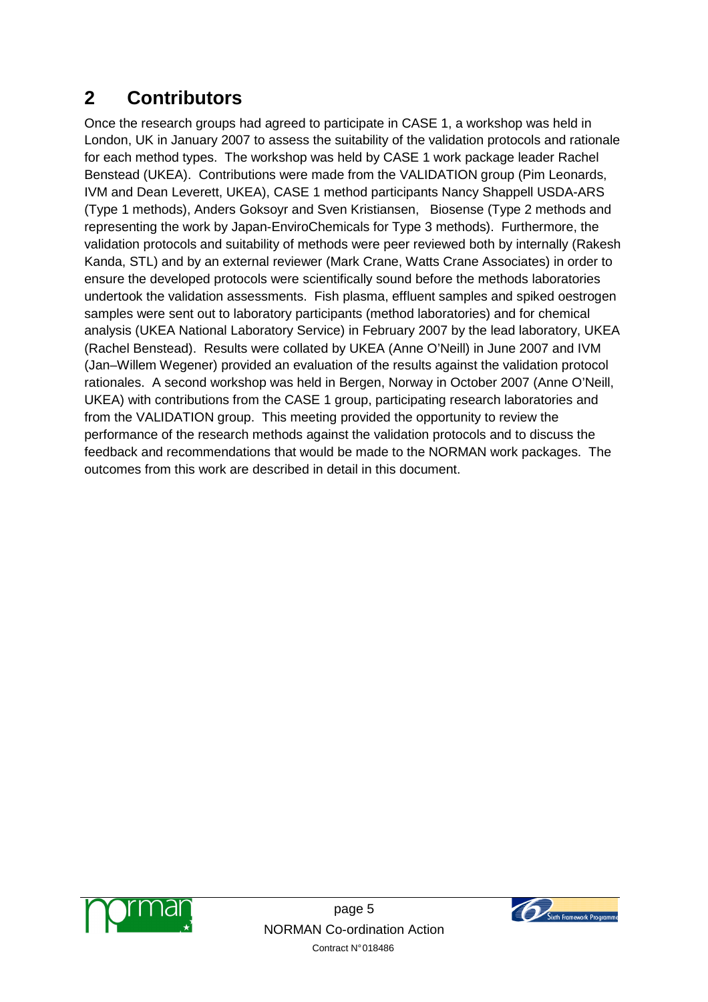# **2 Contributors**

Once the research groups had agreed to participate in CASE 1, a workshop was held in London, UK in January 2007 to assess the suitability of the validation protocols and rationale for each method types. The workshop was held by CASE 1 work package leader Rachel Benstead (UKEA). Contributions were made from the VALIDATION group (Pim Leonards, IVM and Dean Leverett, UKEA), CASE 1 method participants Nancy Shappell USDA-ARS (Type 1 methods), Anders Goksoyr and Sven Kristiansen, Biosense (Type 2 methods and representing the work by Japan-EnviroChemicals for Type 3 methods). Furthermore, the validation protocols and suitability of methods were peer reviewed both by internally (Rakesh Kanda, STL) and by an external reviewer (Mark Crane, Watts Crane Associates) in order to ensure the developed protocols were scientifically sound before the methods laboratories undertook the validation assessments. Fish plasma, effluent samples and spiked oestrogen samples were sent out to laboratory participants (method laboratories) and for chemical analysis (UKEA National Laboratory Service) in February 2007 by the lead laboratory, UKEA (Rachel Benstead). Results were collated by UKEA (Anne O'Neill) in June 2007 and IVM (Jan–Willem Wegener) provided an evaluation of the results against the validation protocol rationales. A second workshop was held in Bergen, Norway in October 2007 (Anne O'Neill, UKEA) with contributions from the CASE 1 group, participating research laboratories and from the VALIDATION group. This meeting provided the opportunity to review the performance of the research methods against the validation protocols and to discuss the feedback and recommendations that would be made to the NORMAN work packages. The outcomes from this work are described in detail in this document.



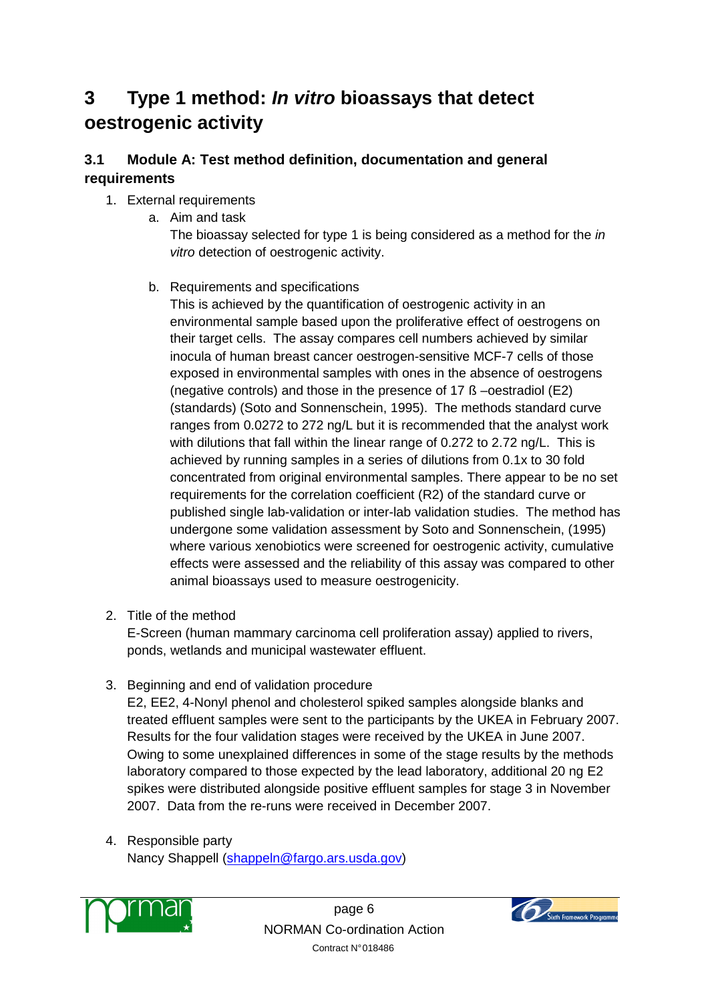# **3 Type 1 method: In vitro bioassays that detect oestrogenic activity**

## **3.1 Module A: Test method definition, documentation and general requirements**

## 1. External requirements

a. Aim and task

The bioassay selected for type 1 is being considered as a method for the *in* vitro detection of oestrogenic activity.

b. Requirements and specifications

This is achieved by the quantification of oestrogenic activity in an environmental sample based upon the proliferative effect of oestrogens on their target cells. The assay compares cell numbers achieved by similar inocula of human breast cancer oestrogen-sensitive MCF-7 cells of those exposed in environmental samples with ones in the absence of oestrogens (negative controls) and those in the presence of 17 ß –oestradiol (E2) (standards) (Soto and Sonnenschein, 1995). The methods standard curve ranges from 0.0272 to 272 ng/L but it is recommended that the analyst work with dilutions that fall within the linear range of 0.272 to 2.72 ng/L. This is achieved by running samples in a series of dilutions from 0.1x to 30 fold concentrated from original environmental samples. There appear to be no set requirements for the correlation coefficient (R2) of the standard curve or published single lab-validation or inter-lab validation studies. The method has undergone some validation assessment by Soto and Sonnenschein, (1995) where various xenobiotics were screened for oestrogenic activity, cumulative effects were assessed and the reliability of this assay was compared to other animal bioassays used to measure oestrogenicity.

2. Title of the method

E-Screen (human mammary carcinoma cell proliferation assay) applied to rivers, ponds, wetlands and municipal wastewater effluent.

3. Beginning and end of validation procedure

E2, EE2, 4-Nonyl phenol and cholesterol spiked samples alongside blanks and treated effluent samples were sent to the participants by the UKEA in February 2007. Results for the four validation stages were received by the UKEA in June 2007. Owing to some unexplained differences in some of the stage results by the methods laboratory compared to those expected by the lead laboratory, additional 20 ng E2 spikes were distributed alongside positive effluent samples for stage 3 in November 2007. Data from the re-runs were received in December 2007.

4. Responsible party Nancy Shappell (shappeln@fargo.ars.usda.gov)



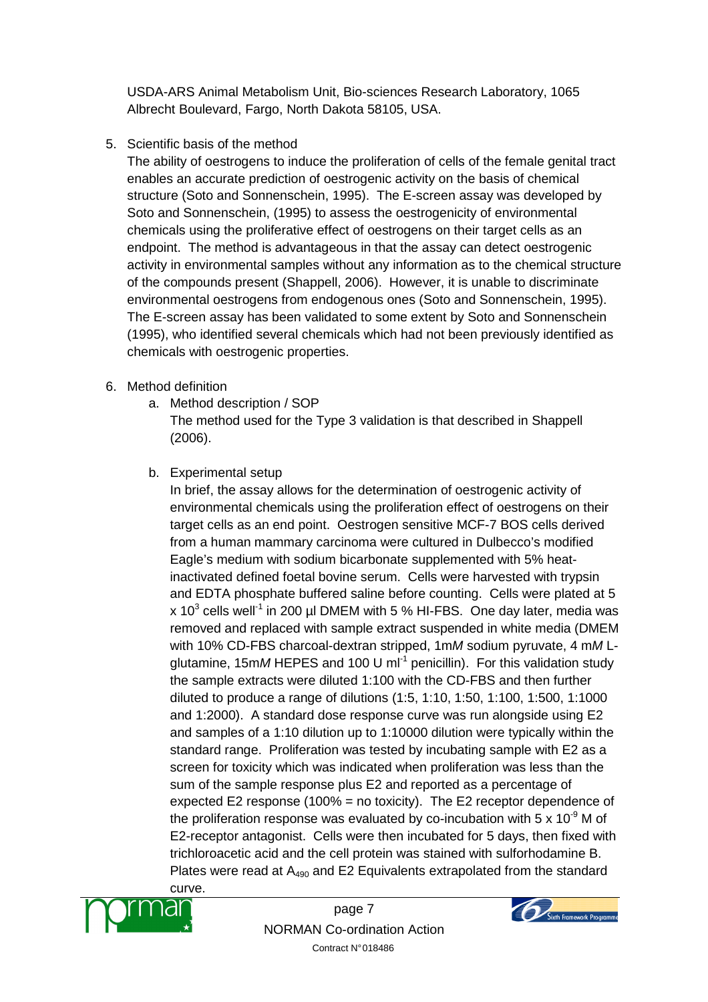USDA-ARS Animal Metabolism Unit, Bio-sciences Research Laboratory, 1065 Albrecht Boulevard, Fargo, North Dakota 58105, USA.

5. Scientific basis of the method

The ability of oestrogens to induce the proliferation of cells of the female genital tract enables an accurate prediction of oestrogenic activity on the basis of chemical structure (Soto and Sonnenschein, 1995). The E-screen assay was developed by Soto and Sonnenschein, (1995) to assess the oestrogenicity of environmental chemicals using the proliferative effect of oestrogens on their target cells as an endpoint. The method is advantageous in that the assay can detect oestrogenic activity in environmental samples without any information as to the chemical structure of the compounds present (Shappell, 2006). However, it is unable to discriminate environmental oestrogens from endogenous ones (Soto and Sonnenschein, 1995). The E-screen assay has been validated to some extent by Soto and Sonnenschein (1995), who identified several chemicals which had not been previously identified as chemicals with oestrogenic properties.

## 6. Method definition

a. Method description / SOP

The method used for the Type 3 validation is that described in Shappell (2006).

b. Experimental setup

In brief, the assay allows for the determination of oestrogenic activity of environmental chemicals using the proliferation effect of oestrogens on their target cells as an end point. Oestrogen sensitive MCF-7 BOS cells derived from a human mammary carcinoma were cultured in Dulbecco's modified Eagle's medium with sodium bicarbonate supplemented with 5% heatinactivated defined foetal bovine serum. Cells were harvested with trypsin and EDTA phosphate buffered saline before counting. Cells were plated at 5 x 10<sup>3</sup> cells well<sup>-1</sup> in 200 µl DMEM with 5 % HI-FBS. One day later, media was removed and replaced with sample extract suspended in white media (DMEM with 10% CD-FBS charcoal-dextran stripped, 1mM sodium pyruvate, 4 mMLglutamine, 15mM HEPES and 100 U ml<sup>-1</sup> penicillin). For this validation study the sample extracts were diluted 1:100 with the CD-FBS and then further diluted to produce a range of dilutions (1:5, 1:10, 1:50, 1:100, 1:500, 1:1000 and 1:2000). A standard dose response curve was run alongside using E2 and samples of a 1:10 dilution up to 1:10000 dilution were typically within the standard range. Proliferation was tested by incubating sample with E2 as a screen for toxicity which was indicated when proliferation was less than the sum of the sample response plus E2 and reported as a percentage of expected E2 response (100% = no toxicity). The E2 receptor dependence of the proliferation response was evaluated by co-incubation with 5  $\times$  10<sup>-9</sup> M of E2-receptor antagonist. Cells were then incubated for 5 days, then fixed with trichloroacetic acid and the cell protein was stained with sulforhodamine B. Plates were read at  $A_{490}$  and E2 Equivalents extrapolated from the standard



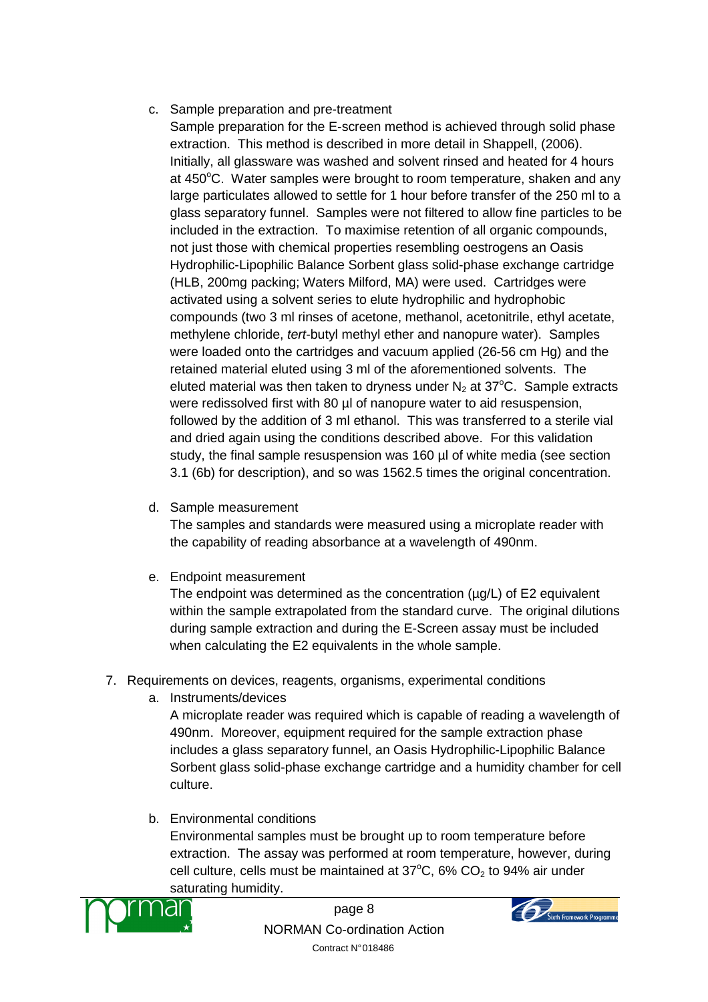## c. Sample preparation and pre-treatment

- Sample preparation for the E-screen method is achieved through solid phase extraction. This method is described in more detail in Shappell, (2006). Initially, all glassware was washed and solvent rinsed and heated for 4 hours at 450°C. Water samples were brought to room temperature, shaken and any large particulates allowed to settle for 1 hour before transfer of the 250 ml to a glass separatory funnel. Samples were not filtered to allow fine particles to be included in the extraction. To maximise retention of all organic compounds, not just those with chemical properties resembling oestrogens an Oasis Hydrophilic-Lipophilic Balance Sorbent glass solid-phase exchange cartridge (HLB, 200mg packing; Waters Milford, MA) were used. Cartridges were activated using a solvent series to elute hydrophilic and hydrophobic compounds (two 3 ml rinses of acetone, methanol, acetonitrile, ethyl acetate, methylene chloride, tert-butyl methyl ether and nanopure water). Samples were loaded onto the cartridges and vacuum applied (26-56 cm Hg) and the retained material eluted using 3 ml of the aforementioned solvents. The eluted material was then taken to dryness under  $N_2$  at 37 $^{\circ}$ C. Sample extracts were redissolved first with 80 µl of nanopure water to aid resuspension, followed by the addition of 3 ml ethanol. This was transferred to a sterile vial and dried again using the conditions described above. For this validation study, the final sample resuspension was 160 µl of white media (see section 3.1 (6b) for description), and so was 1562.5 times the original concentration.
- d. Sample measurement

The samples and standards were measured using a microplate reader with the capability of reading absorbance at a wavelength of 490nm.

e. Endpoint measurement

The endpoint was determined as the concentration ( $\mu$ g/L) of E2 equivalent within the sample extrapolated from the standard curve. The original dilutions during sample extraction and during the E-Screen assay must be included when calculating the E2 equivalents in the whole sample.

- 7. Requirements on devices, reagents, organisms, experimental conditions
	- a. Instruments/devices

A microplate reader was required which is capable of reading a wavelength of 490nm. Moreover, equipment required for the sample extraction phase includes a glass separatory funnel, an Oasis Hydrophilic-Lipophilic Balance Sorbent glass solid-phase exchange cartridge and a humidity chamber for cell culture.

b. Environmental conditions

Environmental samples must be brought up to room temperature before extraction. The assay was performed at room temperature, however, during cell culture, cells must be maintained at  $37^{\circ}$ C, 6% CO<sub>2</sub> to 94% air under saturating humidity.



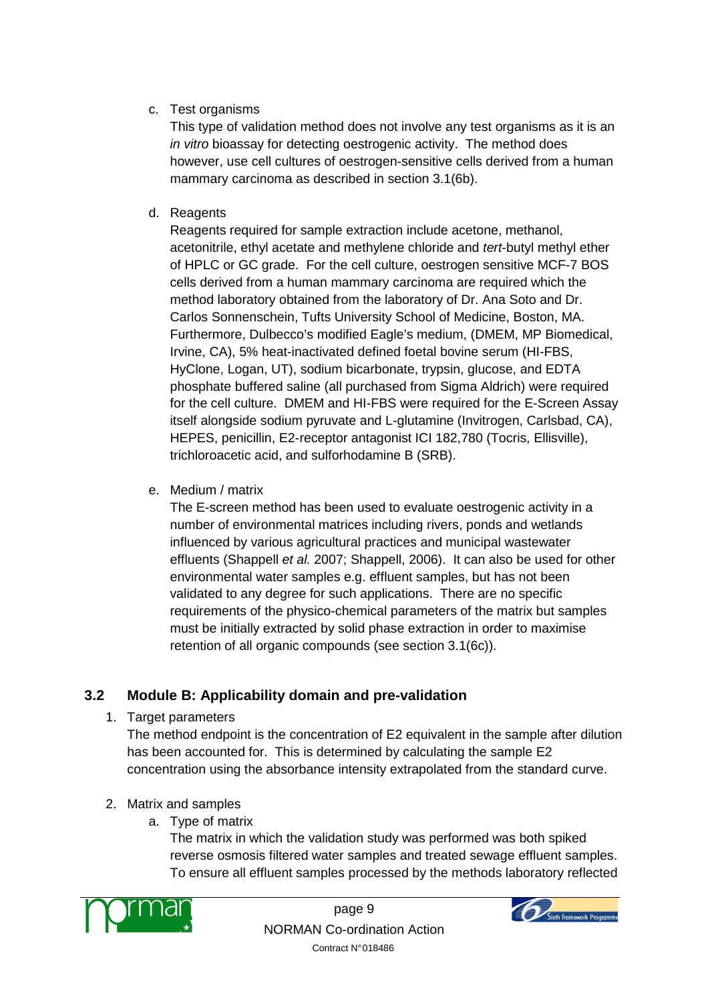## c. Test organisms

This type of validation method does not involve any test organisms as it is an in vitro bioassay for detecting oestrogenic activity. The method does however, use cell cultures of oestrogen-sensitive cells derived from a human mammary carcinoma as described in section 3.1(6b).

d. Reagents

Reagents required for sample extraction include acetone, methanol, acetonitrile, ethyl acetate and methylene chloride and tert-butyl methyl ether of HPLC or GC grade. For the cell culture, oestrogen sensitive MCF-7 BOS cells derived from a human mammary carcinoma are required which the method laboratory obtained from the laboratory of Dr. Ana Soto and Dr. Carlos Sonnenschein, Tufts University School of Medicine, Boston, MA. Furthermore, Dulbecco's modified Eagle's medium, (DMEM, MP Biomedical, Irvine, CA), 5% heat-inactivated defined foetal bovine serum (HI-FBS, HyClone, Logan, UT), sodium bicarbonate, trypsin, glucose, and EDTA phosphate buffered saline (all purchased from Sigma Aldrich) were required for the cell culture. DMEM and HI-FBS were required for the E-Screen Assay itself alongside sodium pyruvate and L-glutamine (Invitrogen, Carlsbad, CA), HEPES, penicillin, E2-receptor antagonist ICI 182,780 (Tocris, Ellisville), trichloroacetic acid, and sulforhodamine B (SRB).

e. Medium / matrix

The E-screen method has been used to evaluate oestrogenic activity in a number of environmental matrices including rivers, ponds and wetlands influenced by various agricultural practices and municipal wastewater effluents (Shappell et al. 2007; Shappell, 2006). It can also be used for other environmental water samples e.g. effluent samples, but has not been validated to any degree for such applications. There are no specific requirements of the physico-chemical parameters of the matrix but samples must be initially extracted by solid phase extraction in order to maximise retention of all organic compounds (see section 3.1(6c)).

## **3.2 Module B: Applicability domain and pre-validation**

1. Target parameters

The method endpoint is the concentration of E2 equivalent in the sample after dilution has been accounted for. This is determined by calculating the sample E2 concentration using the absorbance intensity extrapolated from the standard curve.

- 2. Matrix and samples
	- a. Type of matrix

The matrix in which the validation study was performed was both spiked reverse osmosis filtered water samples and treated sewage effluent samples. To ensure all effluent samples processed by the methods laboratory reflected



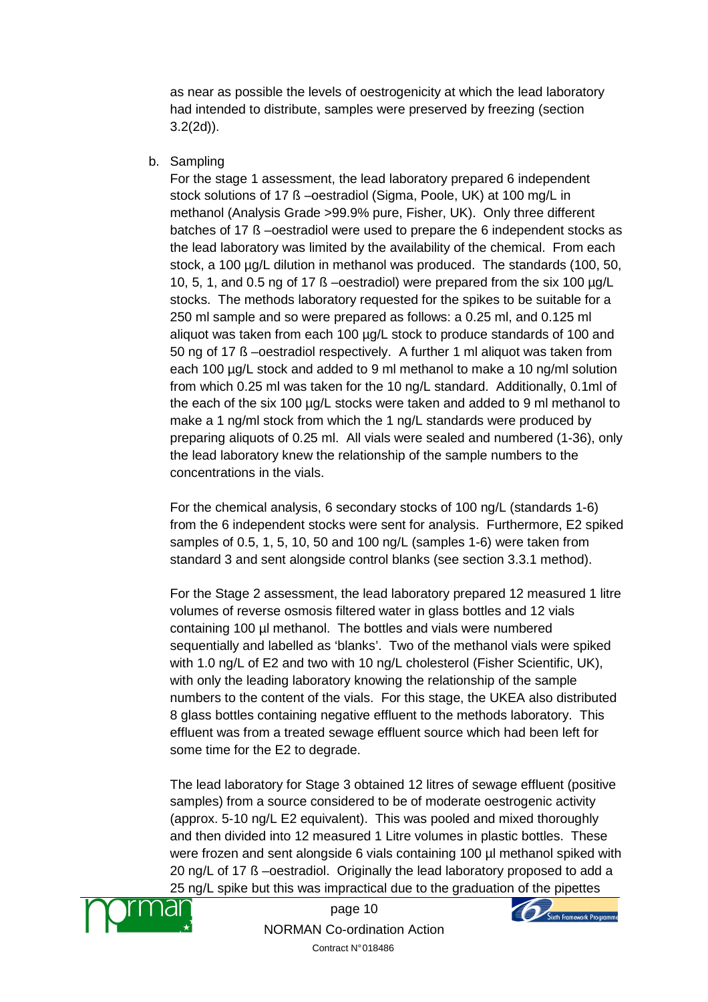as near as possible the levels of oestrogenicity at which the lead laboratory had intended to distribute, samples were preserved by freezing (section 3.2(2d)).

b. Sampling

For the stage 1 assessment, the lead laboratory prepared 6 independent stock solutions of 17 ß –oestradiol (Sigma, Poole, UK) at 100 mg/L in methanol (Analysis Grade >99.9% pure, Fisher, UK). Only three different batches of 17 ß –oestradiol were used to prepare the 6 independent stocks as the lead laboratory was limited by the availability of the chemical. From each stock, a 100 µg/L dilution in methanol was produced. The standards (100, 50, 10, 5, 1, and 0.5 ng of 17 ß –oestradiol) were prepared from the six 100 µg/L stocks. The methods laboratory requested for the spikes to be suitable for a 250 ml sample and so were prepared as follows: a 0.25 ml, and 0.125 ml aliquot was taken from each 100 µg/L stock to produce standards of 100 and 50 ng of 17 ß –oestradiol respectively. A further 1 ml aliquot was taken from each 100 µg/L stock and added to 9 ml methanol to make a 10 ng/ml solution from which 0.25 ml was taken for the 10 ng/L standard. Additionally, 0.1ml of the each of the six 100 µg/L stocks were taken and added to 9 ml methanol to make a 1 ng/ml stock from which the 1 ng/L standards were produced by preparing aliquots of 0.25 ml. All vials were sealed and numbered (1-36), only the lead laboratory knew the relationship of the sample numbers to the concentrations in the vials.

For the chemical analysis, 6 secondary stocks of 100 ng/L (standards 1-6) from the 6 independent stocks were sent for analysis. Furthermore, E2 spiked samples of 0.5, 1, 5, 10, 50 and 100 ng/L (samples 1-6) were taken from standard 3 and sent alongside control blanks (see section 3.3.1 method).

For the Stage 2 assessment, the lead laboratory prepared 12 measured 1 litre volumes of reverse osmosis filtered water in glass bottles and 12 vials containing 100 µl methanol. The bottles and vials were numbered sequentially and labelled as 'blanks'. Two of the methanol vials were spiked with 1.0 ng/L of E2 and two with 10 ng/L cholesterol (Fisher Scientific, UK), with only the leading laboratory knowing the relationship of the sample numbers to the content of the vials. For this stage, the UKEA also distributed 8 glass bottles containing negative effluent to the methods laboratory. This effluent was from a treated sewage effluent source which had been left for some time for the E2 to degrade.

The lead laboratory for Stage 3 obtained 12 litres of sewage effluent (positive samples) from a source considered to be of moderate oestrogenic activity (approx. 5-10 ng/L E2 equivalent). This was pooled and mixed thoroughly and then divided into 12 measured 1 Litre volumes in plastic bottles. These were frozen and sent alongside 6 vials containing 100 µl methanol spiked with 20 ng/L of 17 ß –oestradiol. Originally the lead laboratory proposed to add a 25 ng/L spike but this was impractical due to the graduation of the pipettes



page 10 NORMAN Co-ordination Action Contract N° 018486

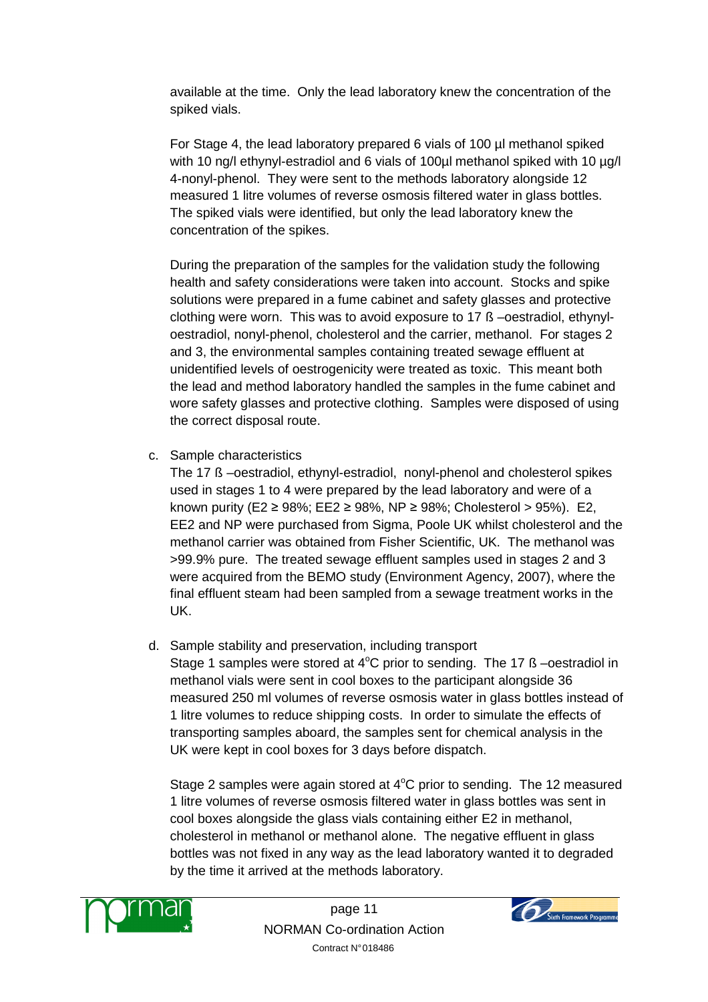available at the time. Only the lead laboratory knew the concentration of the spiked vials.

For Stage 4, the lead laboratory prepared 6 vials of 100 µl methanol spiked with 10 ng/l ethynyl-estradiol and 6 vials of 100ul methanol spiked with 10 ug/l 4-nonyl-phenol. They were sent to the methods laboratory alongside 12 measured 1 litre volumes of reverse osmosis filtered water in glass bottles. The spiked vials were identified, but only the lead laboratory knew the concentration of the spikes.

During the preparation of the samples for the validation study the following health and safety considerations were taken into account. Stocks and spike solutions were prepared in a fume cabinet and safety glasses and protective clothing were worn. This was to avoid exposure to 17 ß –oestradiol, ethynyloestradiol, nonyl-phenol, cholesterol and the carrier, methanol. For stages 2 and 3, the environmental samples containing treated sewage effluent at unidentified levels of oestrogenicity were treated as toxic. This meant both the lead and method laboratory handled the samples in the fume cabinet and wore safety glasses and protective clothing. Samples were disposed of using the correct disposal route.

c. Sample characteristics

The 17 ß –oestradiol, ethynyl-estradiol, nonyl-phenol and cholesterol spikes used in stages 1 to 4 were prepared by the lead laboratory and were of a known purity (E2  $\geq$  98%; EE2  $\geq$  98%, NP  $\geq$  98%; Cholesterol  $>$  95%). E2, EE2 and NP were purchased from Sigma, Poole UK whilst cholesterol and the methanol carrier was obtained from Fisher Scientific, UK. The methanol was >99.9% pure. The treated sewage effluent samples used in stages 2 and 3 were acquired from the BEMO study (Environment Agency, 2007), where the final effluent steam had been sampled from a sewage treatment works in the UK.

d. Sample stability and preservation, including transport

Stage 1 samples were stored at  $4^{\circ}$ C prior to sending. The 17 ß –oestradiol in methanol vials were sent in cool boxes to the participant alongside 36 measured 250 ml volumes of reverse osmosis water in glass bottles instead of 1 litre volumes to reduce shipping costs. In order to simulate the effects of transporting samples aboard, the samples sent for chemical analysis in the UK were kept in cool boxes for 3 days before dispatch.

Stage 2 samples were again stored at  $4^{\circ}$ C prior to sending. The 12 measured 1 litre volumes of reverse osmosis filtered water in glass bottles was sent in cool boxes alongside the glass vials containing either E2 in methanol, cholesterol in methanol or methanol alone. The negative effluent in glass bottles was not fixed in any way as the lead laboratory wanted it to degraded by the time it arrived at the methods laboratory.



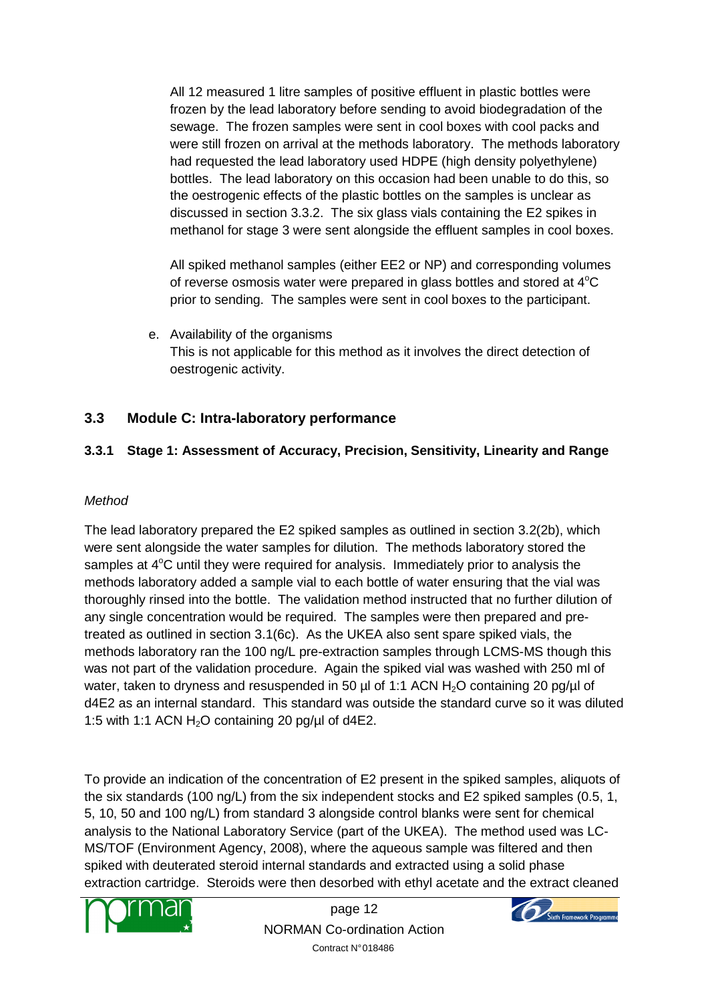All 12 measured 1 litre samples of positive effluent in plastic bottles were frozen by the lead laboratory before sending to avoid biodegradation of the sewage. The frozen samples were sent in cool boxes with cool packs and were still frozen on arrival at the methods laboratory. The methods laboratory had requested the lead laboratory used HDPE (high density polyethylene) bottles. The lead laboratory on this occasion had been unable to do this, so the oestrogenic effects of the plastic bottles on the samples is unclear as discussed in section 3.3.2. The six glass vials containing the E2 spikes in methanol for stage 3 were sent alongside the effluent samples in cool boxes.

All spiked methanol samples (either EE2 or NP) and corresponding volumes of reverse osmosis water were prepared in glass bottles and stored at  $4^{\circ}C$ prior to sending. The samples were sent in cool boxes to the participant.

e. Availability of the organisms This is not applicable for this method as it involves the direct detection of oestrogenic activity.

## **3.3 Module C: Intra-laboratory performance**

## **3.3.1 Stage 1: Assessment of Accuracy, Precision, Sensitivity, Linearity and Range**

#### **Method**

The lead laboratory prepared the E2 spiked samples as outlined in section 3.2(2b), which were sent alongside the water samples for dilution. The methods laboratory stored the samples at  $4^{\circ}$ C until they were required for analysis. Immediately prior to analysis the methods laboratory added a sample vial to each bottle of water ensuring that the vial was thoroughly rinsed into the bottle. The validation method instructed that no further dilution of any single concentration would be required. The samples were then prepared and pretreated as outlined in section 3.1(6c). As the UKEA also sent spare spiked vials, the methods laboratory ran the 100 ng/L pre-extraction samples through LCMS-MS though this was not part of the validation procedure. Again the spiked vial was washed with 250 ml of water, taken to dryness and resuspended in 50  $\mu$ l of 1:1 ACN H<sub>2</sub>O containing 20 pg/ $\mu$ l of d4E2 as an internal standard. This standard was outside the standard curve so it was diluted 1:5 with 1:1 ACN  $H_2O$  containing 20 pg/ $\mu$ l of d4E2.

To provide an indication of the concentration of E2 present in the spiked samples, aliquots of the six standards (100 ng/L) from the six independent stocks and E2 spiked samples (0.5, 1, 5, 10, 50 and 100 ng/L) from standard 3 alongside control blanks were sent for chemical analysis to the National Laboratory Service (part of the UKEA). The method used was LC-MS/TOF (Environment Agency, 2008), where the aqueous sample was filtered and then spiked with deuterated steroid internal standards and extracted using a solid phase extraction cartridge. Steroids were then desorbed with ethyl acetate and the extract cleaned



page 12 NORMAN Co-ordination Action Contract N° 018486

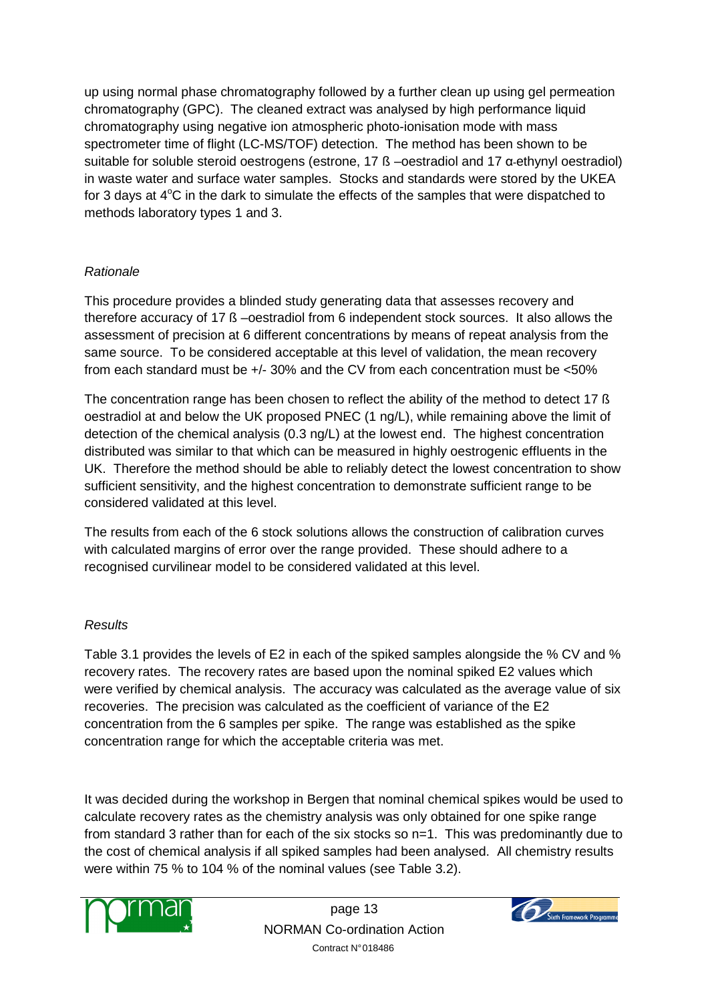up using normal phase chromatography followed by a further clean up using gel permeation chromatography (GPC). The cleaned extract was analysed by high performance liquid chromatography using negative ion atmospheric photo-ionisation mode with mass spectrometer time of flight (LC-MS/TOF) detection. The method has been shown to be suitable for soluble steroid oestrogens (estrone, 17 ß –oestradiol and 17 α-ethynyl oestradiol) in waste water and surface water samples. Stocks and standards were stored by the UKEA for 3 days at  $4^{\circ}$ C in the dark to simulate the effects of the samples that were dispatched to methods laboratory types 1 and 3.

## Rationale

This procedure provides a blinded study generating data that assesses recovery and therefore accuracy of 17 ß –oestradiol from 6 independent stock sources. It also allows the assessment of precision at 6 different concentrations by means of repeat analysis from the same source. To be considered acceptable at this level of validation, the mean recovery from each standard must be +/- 30% and the CV from each concentration must be <50%

The concentration range has been chosen to reflect the ability of the method to detect 17 ß oestradiol at and below the UK proposed PNEC (1 ng/L), while remaining above the limit of detection of the chemical analysis (0.3 ng/L) at the lowest end. The highest concentration distributed was similar to that which can be measured in highly oestrogenic effluents in the UK. Therefore the method should be able to reliably detect the lowest concentration to show sufficient sensitivity, and the highest concentration to demonstrate sufficient range to be considered validated at this level.

The results from each of the 6 stock solutions allows the construction of calibration curves with calculated margins of error over the range provided. These should adhere to a recognised curvilinear model to be considered validated at this level.

## Results

Table 3.1 provides the levels of E2 in each of the spiked samples alongside the % CV and % recovery rates. The recovery rates are based upon the nominal spiked E2 values which were verified by chemical analysis. The accuracy was calculated as the average value of six recoveries. The precision was calculated as the coefficient of variance of the E2 concentration from the 6 samples per spike. The range was established as the spike concentration range for which the acceptable criteria was met.

It was decided during the workshop in Bergen that nominal chemical spikes would be used to calculate recovery rates as the chemistry analysis was only obtained for one spike range from standard 3 rather than for each of the six stocks so n=1. This was predominantly due to the cost of chemical analysis if all spiked samples had been analysed. All chemistry results were within 75 % to 104 % of the nominal values (see Table 3.2).



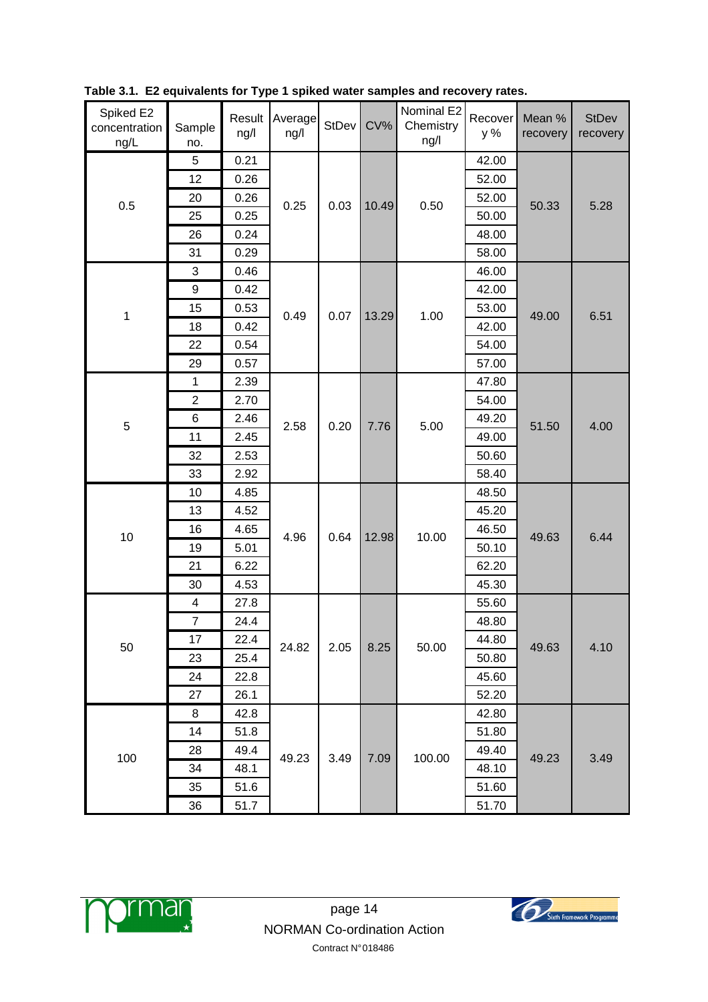| Spiked E2<br>concentration<br>ng/L | Sample<br>no.  | Result<br>ng/l | Average<br>ng/l | StDev | $CV\%$ | Nominal E2<br>Chemistry<br>ng/l | Recover<br>y % | Mean %<br>recovery | <b>StDev</b><br>recovery |
|------------------------------------|----------------|----------------|-----------------|-------|--------|---------------------------------|----------------|--------------------|--------------------------|
|                                    | 5              | 0.21           |                 |       |        |                                 | 42.00          |                    |                          |
|                                    | 12             | 0.26           |                 |       |        |                                 | 52.00          |                    |                          |
| 0.5                                | 20             | 0.26           | 0.25            | 0.03  | 10.49  | 0.50                            | 52.00          | 50.33              | 5.28                     |
|                                    | 25             | 0.25           |                 |       |        |                                 | 50.00          |                    |                          |
|                                    | 26             | 0.24           |                 |       |        |                                 | 48.00          |                    |                          |
|                                    | 31             | 0.29           |                 |       |        |                                 | 58.00          |                    |                          |
|                                    | 3              | 0.46           |                 |       |        |                                 | 46.00          |                    |                          |
|                                    | 9              | 0.42           |                 |       |        |                                 | 42.00          |                    |                          |
| 1                                  | 15             | 0.53           | 0.49            | 0.07  | 13.29  | 1.00                            | 53.00          | 49.00              | 6.51                     |
|                                    | 18             | 0.42           |                 |       |        |                                 | 42.00          |                    |                          |
|                                    | 22             | 0.54           |                 |       |        |                                 | 54.00          |                    |                          |
|                                    | 29             | 0.57           |                 |       |        |                                 | 57.00          |                    |                          |
|                                    | 1              | 2.39           |                 |       | 7.76   | 5.00                            | 47.80          |                    |                          |
|                                    | $\mathbf{2}$   | 2.70           |                 |       |        |                                 | 54.00          |                    |                          |
|                                    | 6              | 2.46           | 2.58            | 0.20  |        |                                 | 49.20          | 51.50              |                          |
| 5                                  | 11             | 2.45           |                 |       |        |                                 | 49.00          |                    | 4.00                     |
|                                    | 32             | 2.53           |                 |       |        |                                 | 50.60          |                    |                          |
|                                    | 33             | 2.92           |                 |       |        |                                 | 58.40          |                    |                          |
|                                    | 10             | 4.85           |                 |       | 12.98  | 10.00                           | 48.50          | 49.63              | 6.44                     |
|                                    | 13             | 4.52           |                 |       |        |                                 | 45.20          |                    |                          |
|                                    | 16             | 4.65           |                 |       |        |                                 | 46.50          |                    |                          |
| 10                                 | 19             | 5.01           | 4.96            | 0.64  |        |                                 | 50.10          |                    |                          |
|                                    | 21             | 6.22           |                 |       |        |                                 | 62.20          |                    |                          |
|                                    | 30             | 4.53           |                 |       |        |                                 | 45.30          |                    |                          |
|                                    | 4              | 27.8           |                 |       |        |                                 | 55.60          |                    |                          |
|                                    | $\overline{7}$ | 24.4           |                 |       |        |                                 | 48.80          |                    |                          |
|                                    | 17             | 22.4           |                 |       |        |                                 | 44.80          |                    |                          |
| 50                                 | 23             | 25.4           | 24.82           | 2.05  | 8.25   | 50.00                           | 50.80          | 49.63              | 4.10                     |
|                                    | 24             | 22.8           |                 |       |        |                                 | 45.60          |                    |                          |
|                                    | 27             | 26.1           |                 |       |        |                                 | 52.20          |                    |                          |
|                                    | 8              | 42.8           |                 |       |        |                                 | 42.80          |                    |                          |
|                                    | 14             | 51.8           |                 |       |        |                                 | 51.80          |                    |                          |
| 100                                | 28             | 49.4           |                 |       |        |                                 | 49.40          | 49.23              | 3.49                     |
|                                    | 34             | 48.1           | 49.23           | 3.49  | 7.09   | 100.00                          | 48.10          |                    |                          |
|                                    | 35             | 51.6           |                 |       |        |                                 | 51.60          |                    |                          |
|                                    | 36             | 51.7           |                 |       |        |                                 | 51.70          |                    |                          |

**Table 3.1. E2 equivalents for Type 1 spiked water samples and recovery rates.** 



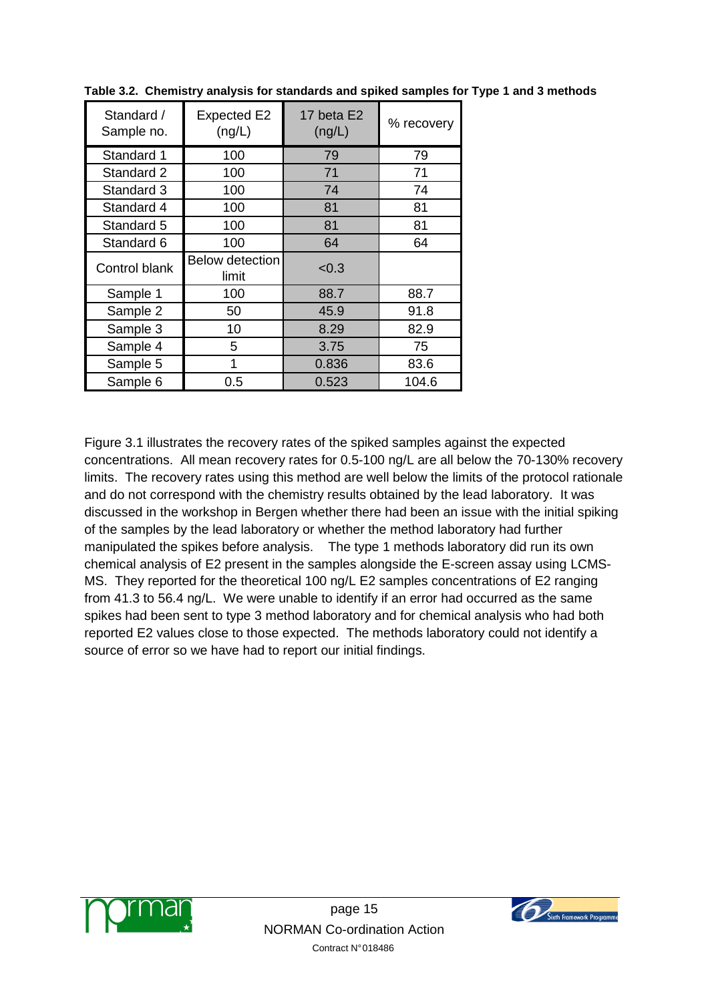| Standard /<br>Sample no. | <b>Expected E2</b><br>(ng/L)    | 17 beta E2<br>(ng/L) | % recovery |
|--------------------------|---------------------------------|----------------------|------------|
| Standard 1               | 100                             | 79                   | 79         |
| Standard 2               | 100                             | 71                   | 71         |
| Standard 3               | 100                             | 74                   | 74         |
| Standard 4               | 100                             | 81                   | 81         |
| Standard 5               | 100                             | 81                   | 81         |
| Standard 6               | 100                             | 64                   | 64         |
| Control blank            | <b>Below detection</b><br>limit | < 0.3                |            |
| Sample 1                 | 100                             | 88.7                 | 88.7       |
| Sample 2                 | 50                              | 45.9                 | 91.8       |
| Sample 3                 | 10                              | 8.29                 | 82.9       |
| Sample 4                 | 5                               | 3.75                 | 75         |
| Sample 5                 | 1                               | 0.836                | 83.6       |
| Sample 6                 | 0.5                             | 0.523                | 104.6      |

**Table 3.2. Chemistry analysis for standards and spiked samples for Type 1 and 3 methods**

Figure 3.1 illustrates the recovery rates of the spiked samples against the expected concentrations. All mean recovery rates for 0.5-100 ng/L are all below the 70-130% recovery limits. The recovery rates using this method are well below the limits of the protocol rationale and do not correspond with the chemistry results obtained by the lead laboratory. It was discussed in the workshop in Bergen whether there had been an issue with the initial spiking of the samples by the lead laboratory or whether the method laboratory had further manipulated the spikes before analysis. The type 1 methods laboratory did run its own chemical analysis of E2 present in the samples alongside the E-screen assay using LCMS-MS. They reported for the theoretical 100 ng/L E2 samples concentrations of E2 ranging from 41.3 to 56.4 ng/L. We were unable to identify if an error had occurred as the same spikes had been sent to type 3 method laboratory and for chemical analysis who had both reported E2 values close to those expected. The methods laboratory could not identify a source of error so we have had to report our initial findings.



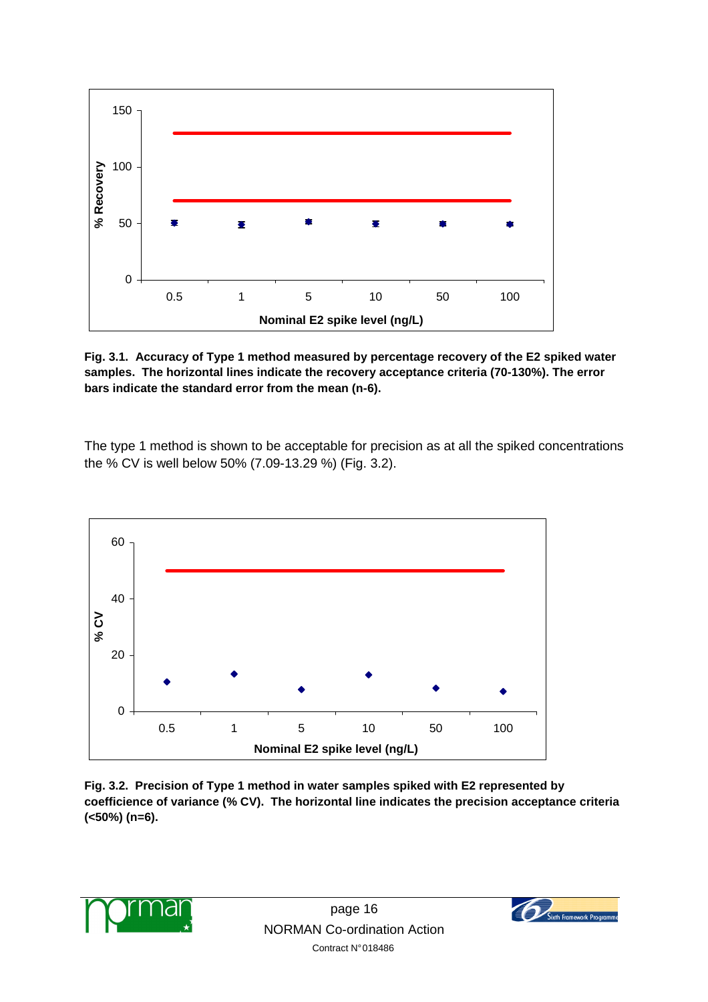

**Fig. 3.1. Accuracy of Type 1 method measured by percentage recovery of the E2 spiked water samples. The horizontal lines indicate the recovery acceptance criteria (70-130%). The error bars indicate the standard error from the mean (n-6).**

The type 1 method is shown to be acceptable for precision as at all the spiked concentrations the % CV is well below 50% (7.09-13.29 %) (Fig. 3.2).



**Fig. 3.2. Precision of Type 1 method in water samples spiked with E2 represented by coefficience of variance (% CV). The horizontal line indicates the precision acceptance criteria (<50%) (n=6).** 



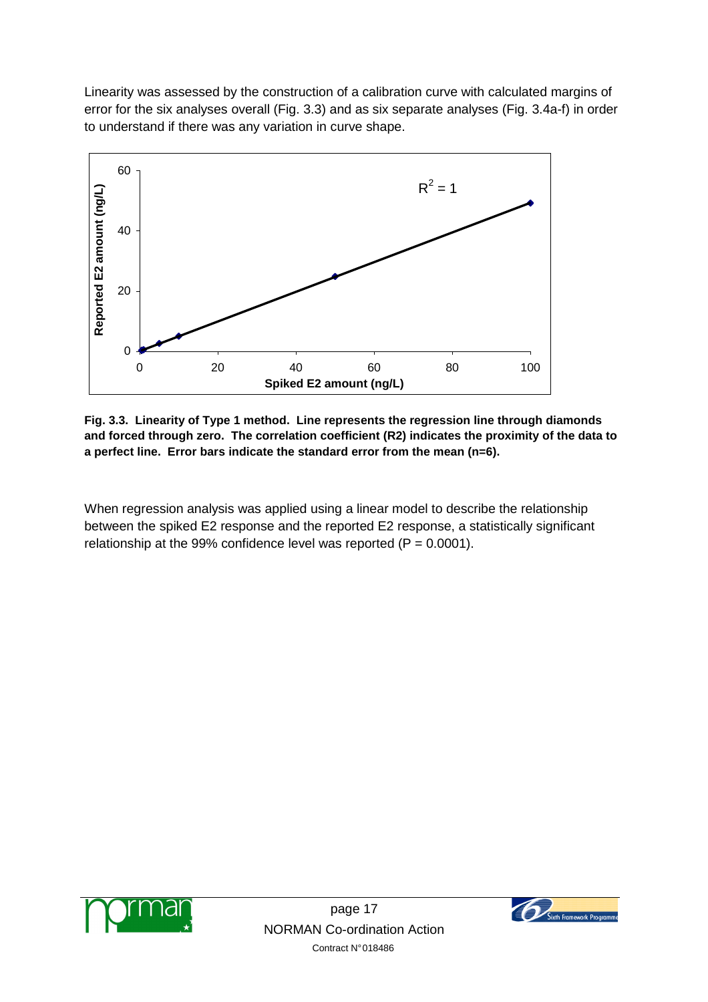Linearity was assessed by the construction of a calibration curve with calculated margins of error for the six analyses overall (Fig. 3.3) and as six separate analyses (Fig. 3.4a-f) in order to understand if there was any variation in curve shape.



**Fig. 3.3. Linearity of Type 1 method. Line represents the regression line through diamonds and forced through zero. The correlation coefficient (R2) indicates the proximity of the data to a perfect line. Error bars indicate the standard error from the mean (n=6).** 

When regression analysis was applied using a linear model to describe the relationship between the spiked E2 response and the reported E2 response, a statistically significant relationship at the 99% confidence level was reported  $(P = 0.0001)$ .



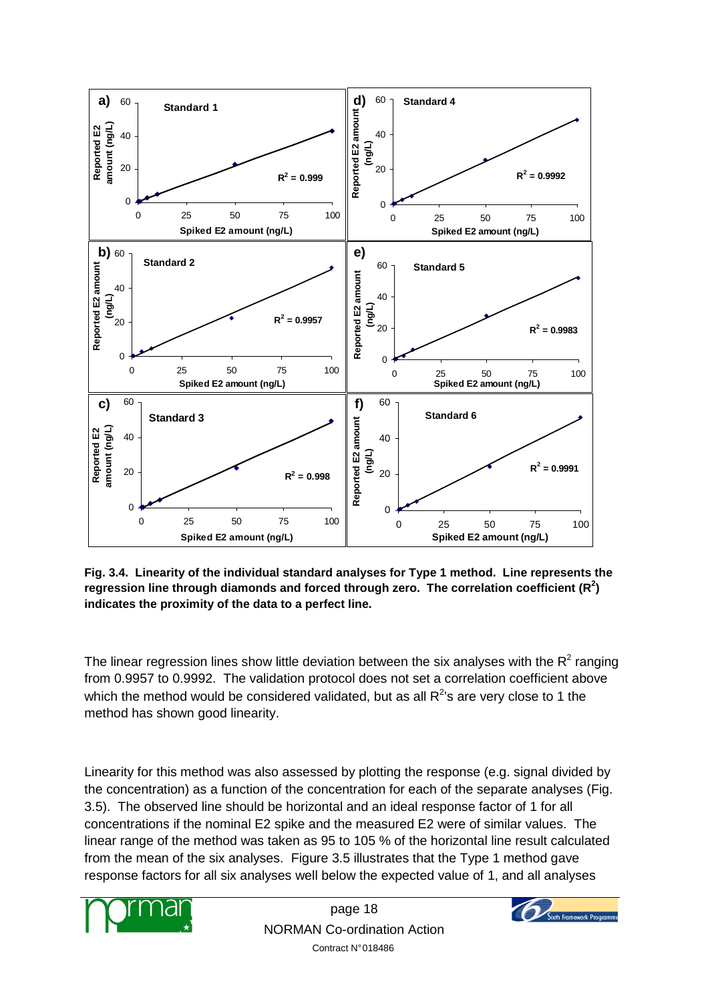

**Fig. 3.4. Linearity of the individual standard analyses for Type 1 method. Line represents the regression line through diamonds and forced through zero. The correlation coefficient (R<sup>2</sup> ) indicates the proximity of the data to a perfect line.** 

The linear regression lines show little deviation between the six analyses with the R<sup>2</sup> ranging from 0.9957 to 0.9992. The validation protocol does not set a correlation coefficient above which the method would be considered validated, but as all  $R^{2}$ 's are very close to 1 the method has shown good linearity.

Linearity for this method was also assessed by plotting the response (e.g. signal divided by the concentration) as a function of the concentration for each of the separate analyses (Fig. 3.5). The observed line should be horizontal and an ideal response factor of 1 for all concentrations if the nominal E2 spike and the measured E2 were of similar values. The linear range of the method was taken as 95 to 105 % of the horizontal line result calculated from the mean of the six analyses. Figure 3.5 illustrates that the Type 1 method gave response factors for all six analyses well below the expected value of 1, and all analyses



page 18 NORMAN Co-ordination Action Contract N° 018486

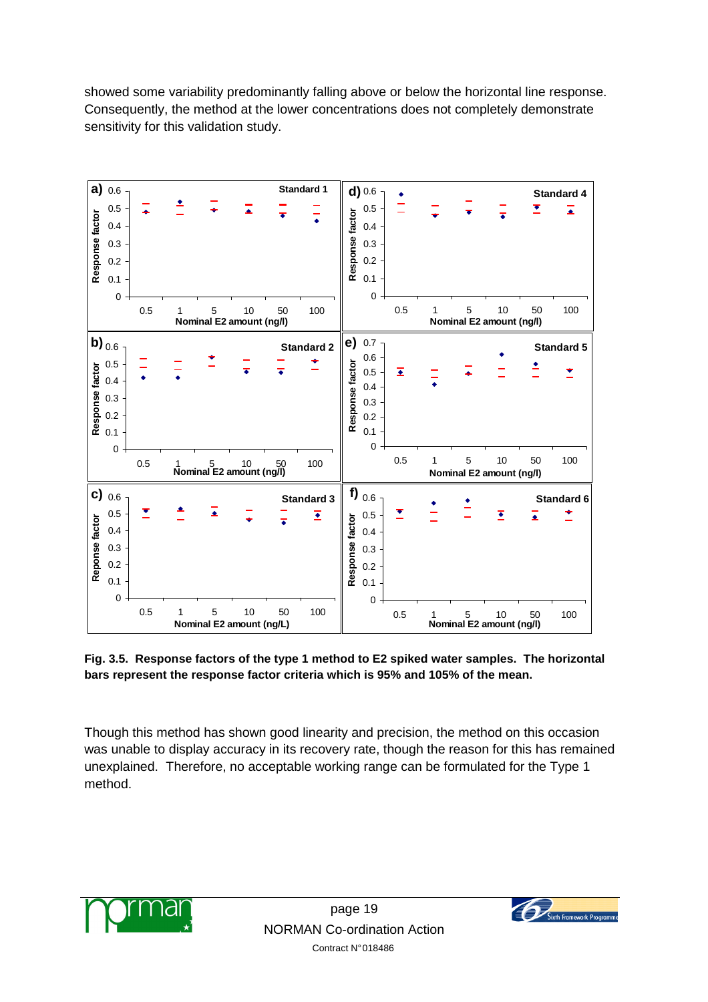showed some variability predominantly falling above or below the horizontal line response. Consequently, the method at the lower concentrations does not completely demonstrate sensitivity for this validation study.



**Fig. 3.5. Response factors of the type 1 method to E2 spiked water samples. The horizontal bars represent the response factor criteria which is 95% and 105% of the mean.** 

Though this method has shown good linearity and precision, the method on this occasion was unable to display accuracy in its recovery rate, though the reason for this has remained unexplained. Therefore, no acceptable working range can be formulated for the Type 1 method.



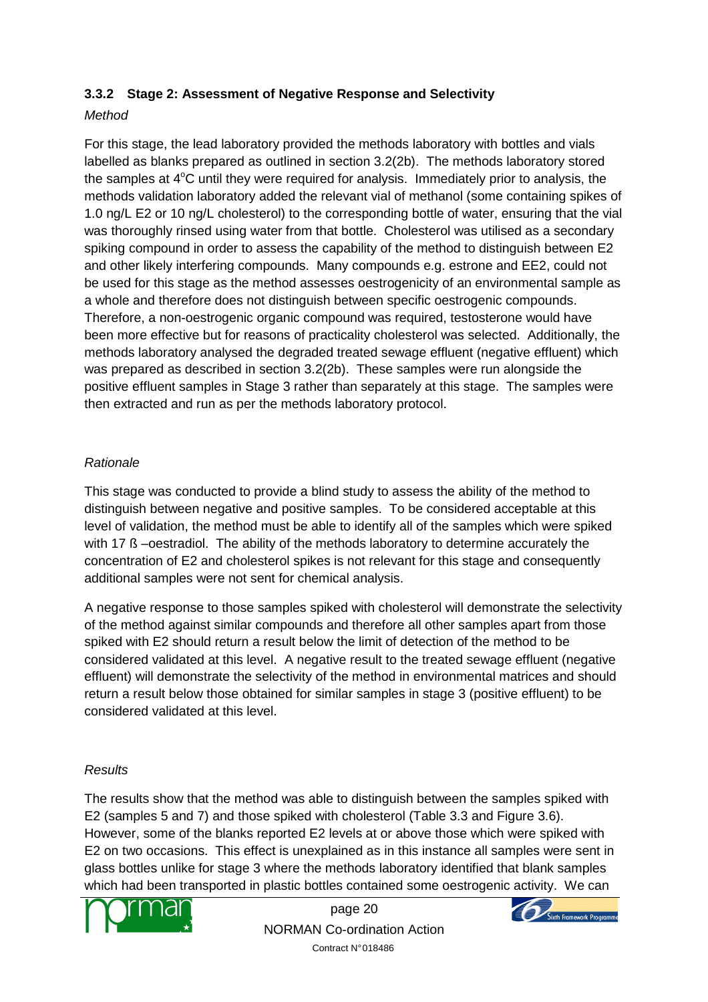## **3.3.2 Stage 2: Assessment of Negative Response and Selectivity**

## **Method**

For this stage, the lead laboratory provided the methods laboratory with bottles and vials labelled as blanks prepared as outlined in section 3.2(2b). The methods laboratory stored the samples at  $4^{\circ}$ C until they were required for analysis. Immediately prior to analysis, the methods validation laboratory added the relevant vial of methanol (some containing spikes of 1.0 ng/L E2 or 10 ng/L cholesterol) to the corresponding bottle of water, ensuring that the vial was thoroughly rinsed using water from that bottle. Cholesterol was utilised as a secondary spiking compound in order to assess the capability of the method to distinguish between E2 and other likely interfering compounds. Many compounds e.g. estrone and EE2, could not be used for this stage as the method assesses oestrogenicity of an environmental sample as a whole and therefore does not distinguish between specific oestrogenic compounds. Therefore, a non-oestrogenic organic compound was required, testosterone would have been more effective but for reasons of practicality cholesterol was selected. Additionally, the methods laboratory analysed the degraded treated sewage effluent (negative effluent) which was prepared as described in section 3.2(2b). These samples were run alongside the positive effluent samples in Stage 3 rather than separately at this stage. The samples were then extracted and run as per the methods laboratory protocol.

## Rationale

This stage was conducted to provide a blind study to assess the ability of the method to distinguish between negative and positive samples. To be considered acceptable at this level of validation, the method must be able to identify all of the samples which were spiked with 17  $\beta$  –oestradiol. The ability of the methods laboratory to determine accurately the concentration of E2 and cholesterol spikes is not relevant for this stage and consequently additional samples were not sent for chemical analysis.

A negative response to those samples spiked with cholesterol will demonstrate the selectivity of the method against similar compounds and therefore all other samples apart from those spiked with E2 should return a result below the limit of detection of the method to be considered validated at this level. A negative result to the treated sewage effluent (negative effluent) will demonstrate the selectivity of the method in environmental matrices and should return a result below those obtained for similar samples in stage 3 (positive effluent) to be considered validated at this level.

## **Results**

The results show that the method was able to distinguish between the samples spiked with E2 (samples 5 and 7) and those spiked with cholesterol (Table 3.3 and Figure 3.6). However, some of the blanks reported E2 levels at or above those which were spiked with E2 on two occasions. This effect is unexplained as in this instance all samples were sent in glass bottles unlike for stage 3 where the methods laboratory identified that blank samples which had been transported in plastic bottles contained some oestrogenic activity. We can



page 20 NORMAN Co-ordination Action Contract N° 018486

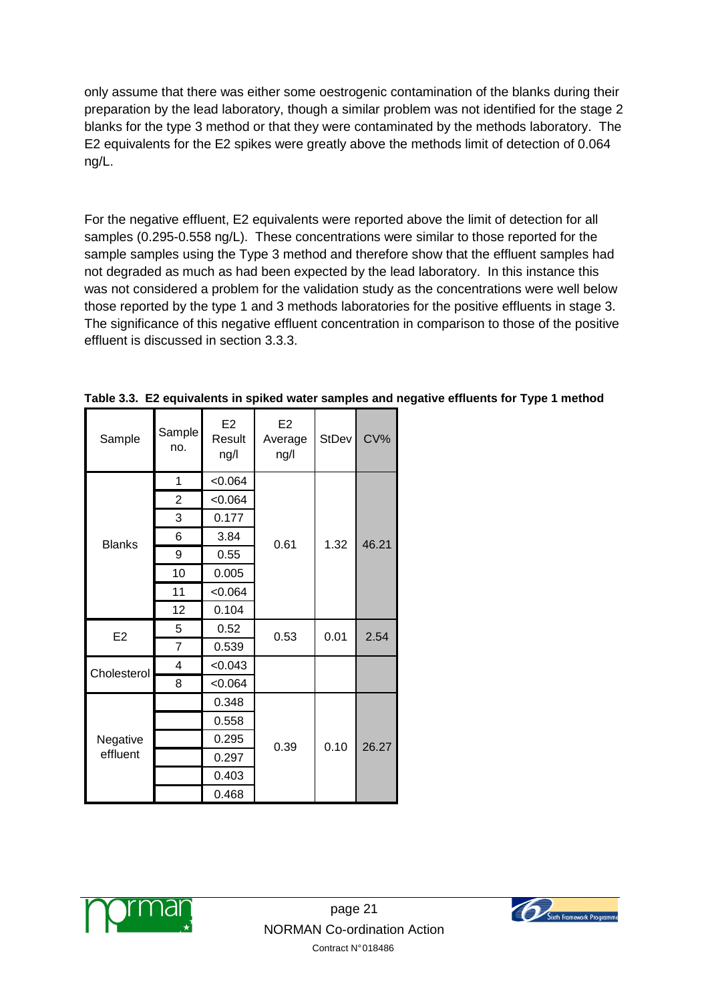only assume that there was either some oestrogenic contamination of the blanks during their preparation by the lead laboratory, though a similar problem was not identified for the stage 2 blanks for the type 3 method or that they were contaminated by the methods laboratory. The E2 equivalents for the E2 spikes were greatly above the methods limit of detection of 0.064 ng/L.

For the negative effluent, E2 equivalents were reported above the limit of detection for all samples (0.295-0.558 ng/L). These concentrations were similar to those reported for the sample samples using the Type 3 method and therefore show that the effluent samples had not degraded as much as had been expected by the lead laboratory. In this instance this was not considered a problem for the validation study as the concentrations were well below those reported by the type 1 and 3 methods laboratories for the positive effluents in stage 3. The significance of this negative effluent concentration in comparison to those of the positive effluent is discussed in section 3.3.3.

| Sample         | Sample<br>no.  | E <sub>2</sub><br>Result<br>ng/l | E <sub>2</sub><br>Average<br>ng/l | StDev | CV%   |  |
|----------------|----------------|----------------------------------|-----------------------------------|-------|-------|--|
|                | 1              | < 0.064                          |                                   |       |       |  |
|                | $\overline{2}$ | < 0.064                          |                                   |       |       |  |
|                | 3              | 0.177                            |                                   |       |       |  |
| <b>Blanks</b>  | 6              | 3.84                             | 0.61                              | 1.32  | 46.21 |  |
|                | 9              | 0.55                             |                                   |       |       |  |
|                | 10             | 0.005                            |                                   |       |       |  |
|                | 11             | < 0.064                          |                                   |       |       |  |
|                | 12             | 0.104                            |                                   |       |       |  |
| E <sub>2</sub> | 5              | 0.52                             | 0.53                              | 0.01  | 2.54  |  |
|                | $\overline{7}$ | 0.539                            |                                   |       |       |  |
| Cholesterol    | 4              | < 0.043                          |                                   |       |       |  |
|                | 8              | < 0.064                          |                                   |       |       |  |
|                |                | 0.348                            |                                   |       |       |  |
|                |                | 0.558                            |                                   |       |       |  |
| Negative       |                | 0.295                            | 0.39                              | 0.10  | 26.27 |  |
| effluent       |                | 0.297                            |                                   |       |       |  |
|                |                | 0.403                            |                                   |       |       |  |
|                |                | 0.468                            |                                   |       |       |  |

**Table 3.3. E2 equivalents in spiked water samples and negative effluents for Type 1 method** 



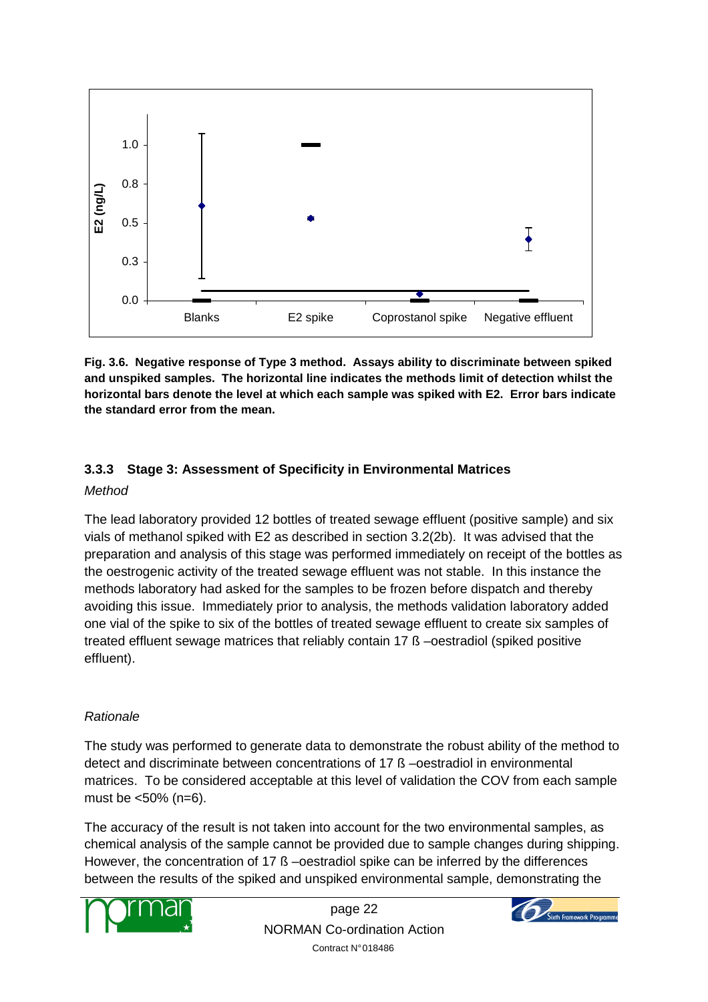

**Fig. 3.6. Negative response of Type 3 method. Assays ability to discriminate between spiked and unspiked samples. The horizontal line indicates the methods limit of detection whilst the horizontal bars denote the level at which each sample was spiked with E2. Error bars indicate the standard error from the mean.** 

## **3.3.3 Stage 3: Assessment of Specificity in Environmental Matrices**

#### Method

The lead laboratory provided 12 bottles of treated sewage effluent (positive sample) and six vials of methanol spiked with E2 as described in section 3.2(2b). It was advised that the preparation and analysis of this stage was performed immediately on receipt of the bottles as the oestrogenic activity of the treated sewage effluent was not stable. In this instance the methods laboratory had asked for the samples to be frozen before dispatch and thereby avoiding this issue. Immediately prior to analysis, the methods validation laboratory added one vial of the spike to six of the bottles of treated sewage effluent to create six samples of treated effluent sewage matrices that reliably contain 17 ß –oestradiol (spiked positive effluent).

## Rationale

The study was performed to generate data to demonstrate the robust ability of the method to detect and discriminate between concentrations of 17 ß –oestradiol in environmental matrices. To be considered acceptable at this level of validation the COV from each sample must be <50% (n=6).

The accuracy of the result is not taken into account for the two environmental samples, as chemical analysis of the sample cannot be provided due to sample changes during shipping. However, the concentration of 17 ß –oestradiol spike can be inferred by the differences between the results of the spiked and unspiked environmental sample, demonstrating the



page 22 NORMAN Co-ordination Action Contract N° 018486

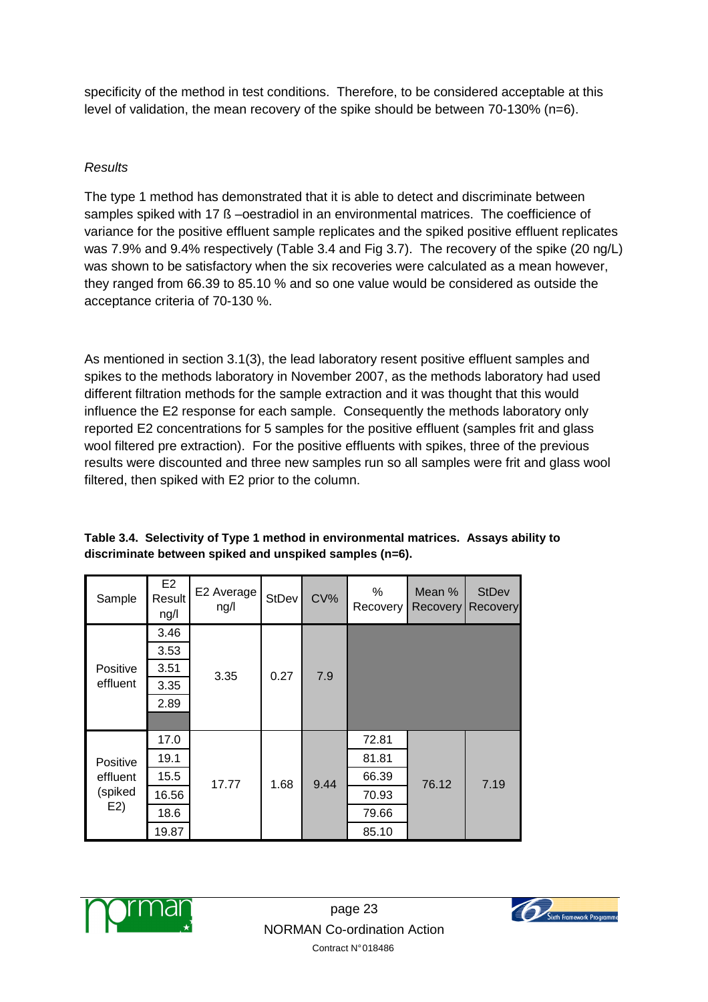specificity of the method in test conditions. Therefore, to be considered acceptable at this level of validation, the mean recovery of the spike should be between 70-130% (n=6).

## **Results**

The type 1 method has demonstrated that it is able to detect and discriminate between samples spiked with 17 ß –oestradiol in an environmental matrices. The coefficience of variance for the positive effluent sample replicates and the spiked positive effluent replicates was 7.9% and 9.4% respectively (Table 3.4 and Fig 3.7). The recovery of the spike (20 ng/L) was shown to be satisfactory when the six recoveries were calculated as a mean however, they ranged from 66.39 to 85.10 % and so one value would be considered as outside the acceptance criteria of 70-130 %.

As mentioned in section 3.1(3), the lead laboratory resent positive effluent samples and spikes to the methods laboratory in November 2007, as the methods laboratory had used different filtration methods for the sample extraction and it was thought that this would influence the E2 response for each sample. Consequently the methods laboratory only reported E2 concentrations for 5 samples for the positive effluent (samples frit and glass wool filtered pre extraction). For the positive effluents with spikes, three of the previous results were discounted and three new samples run so all samples were frit and glass wool filtered, then spiked with E2 prior to the column.

| Sample         | E <sub>2</sub><br>Result<br>ng/l | E2 Average<br>ng/l | StDev | CV%  | %<br>Recovery | Mean %<br>Recovery | <b>StDev</b><br>Recovery |
|----------------|----------------------------------|--------------------|-------|------|---------------|--------------------|--------------------------|
|                | 3.46                             |                    |       |      |               |                    |                          |
|                | 3.53                             |                    |       |      |               |                    |                          |
| Positive       | 3.51                             | 3.35               | 0.27  | 7.9  |               |                    |                          |
| effluent       | 3.35                             |                    |       |      |               |                    |                          |
|                | 2.89                             |                    |       |      |               |                    |                          |
|                |                                  |                    |       |      |               |                    |                          |
|                | 17.0                             |                    |       |      | 72.81         |                    |                          |
| Positive       | 19.1                             |                    |       |      | 81.81         |                    |                          |
| effluent       | 15.5                             | 17.77              | 1.68  | 9.44 | 66.39         | 76.12              | 7.19                     |
| (spiked<br>E2) | 16.56                            |                    |       |      | 70.93         |                    |                          |
|                | 18.6                             |                    |       |      | 79.66         |                    |                          |
|                | 19.87                            |                    |       |      | 85.10         |                    |                          |

**Table 3.4. Selectivity of Type 1 method in environmental matrices. Assays ability to discriminate between spiked and unspiked samples (n=6).** 



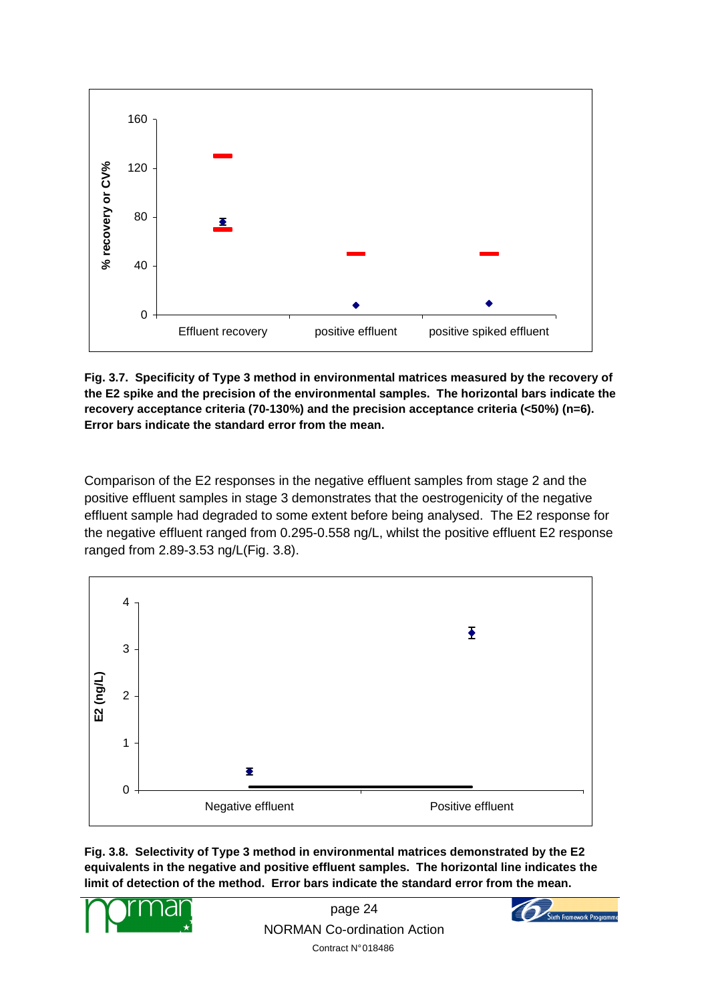

**Fig. 3.7. Specificity of Type 3 method in environmental matrices measured by the recovery of the E2 spike and the precision of the environmental samples. The horizontal bars indicate the recovery acceptance criteria (70-130%) and the precision acceptance criteria (<50%) (n=6). Error bars indicate the standard error from the mean.** 

Comparison of the E2 responses in the negative effluent samples from stage 2 and the positive effluent samples in stage 3 demonstrates that the oestrogenicity of the negative effluent sample had degraded to some extent before being analysed. The E2 response for the negative effluent ranged from 0.295-0.558 ng/L, whilst the positive effluent E2 response ranged from 2.89-3.53 ng/L(Fig. 3.8).



**Fig. 3.8. Selectivity of Type 3 method in environmental matrices demonstrated by the E2 equivalents in the negative and positive effluent samples. The horizontal line indicates the limit of detection of the method. Error bars indicate the standard error from the mean.** 



page 24 NORMAN Co-ordination Action Contract N° 018486

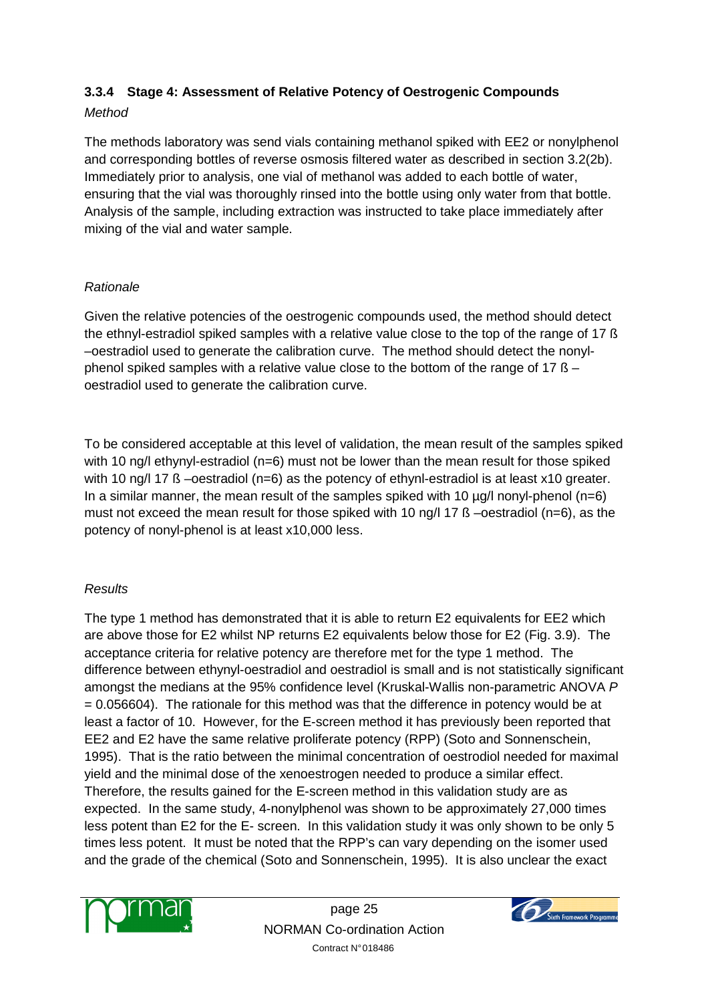## **3.3.4 Stage 4: Assessment of Relative Potency of Oestrogenic Compounds**

## **Method**

The methods laboratory was send vials containing methanol spiked with EE2 or nonylphenol and corresponding bottles of reverse osmosis filtered water as described in section 3.2(2b). Immediately prior to analysis, one vial of methanol was added to each bottle of water, ensuring that the vial was thoroughly rinsed into the bottle using only water from that bottle. Analysis of the sample, including extraction was instructed to take place immediately after mixing of the vial and water sample.

## Rationale

Given the relative potencies of the oestrogenic compounds used, the method should detect the ethnyl-estradiol spiked samples with a relative value close to the top of the range of 17 ß –oestradiol used to generate the calibration curve. The method should detect the nonylphenol spiked samples with a relative value close to the bottom of the range of 17 ß – oestradiol used to generate the calibration curve.

To be considered acceptable at this level of validation, the mean result of the samples spiked with 10 ng/l ethynyl-estradiol (n=6) must not be lower than the mean result for those spiked with 10 ng/l 17 ß –oestradiol (n=6) as the potency of ethynl-estradiol is at least x10 greater. In a similar manner, the mean result of the samples spiked with 10  $\mu$ g/l nonyl-phenol (n=6) must not exceed the mean result for those spiked with 10 ng/l 17 ß –oestradiol (n=6), as the potency of nonyl-phenol is at least x10,000 less.

## **Results**

The type 1 method has demonstrated that it is able to return E2 equivalents for EE2 which are above those for E2 whilst NP returns E2 equivalents below those for E2 (Fig. 3.9). The acceptance criteria for relative potency are therefore met for the type 1 method. The difference between ethynyl-oestradiol and oestradiol is small and is not statistically significant amongst the medians at the 95% confidence level (Kruskal-Wallis non-parametric ANOVA P  $= 0.056604$ ). The rationale for this method was that the difference in potency would be at least a factor of 10. However, for the E-screen method it has previously been reported that EE2 and E2 have the same relative proliferate potency (RPP) (Soto and Sonnenschein, 1995). That is the ratio between the minimal concentration of oestrodiol needed for maximal yield and the minimal dose of the xenoestrogen needed to produce a similar effect. Therefore, the results gained for the E-screen method in this validation study are as expected. In the same study, 4-nonylphenol was shown to be approximately 27,000 times less potent than E2 for the E- screen. In this validation study it was only shown to be only 5 times less potent. It must be noted that the RPP's can vary depending on the isomer used and the grade of the chemical (Soto and Sonnenschein, 1995). It is also unclear the exact



page 25 NORMAN Co-ordination Action Contract N° 018486

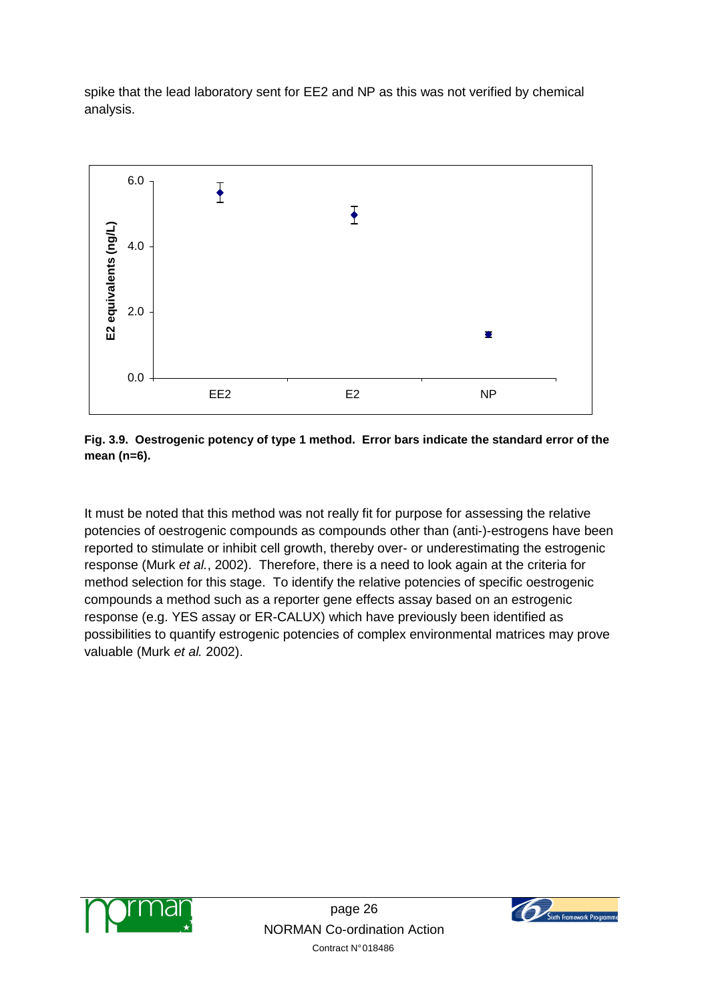spike that the lead laboratory sent for EE2 and NP as this was not verified by chemical analysis.



**Fig. 3.9. Oestrogenic potency of type 1 method. Error bars indicate the standard error of the mean (n=6).** 

It must be noted that this method was not really fit for purpose for assessing the relative potencies of oestrogenic compounds as compounds other than (anti-)-estrogens have been reported to stimulate or inhibit cell growth, thereby over- or underestimating the estrogenic response (Murk et al., 2002). Therefore, there is a need to look again at the criteria for method selection for this stage. To identify the relative potencies of specific oestrogenic compounds a method such as a reporter gene effects assay based on an estrogenic response (e.g. YES assay or ER-CALUX) which have previously been identified as possibilities to quantify estrogenic potencies of complex environmental matrices may prove valuable (Murk et al. 2002).



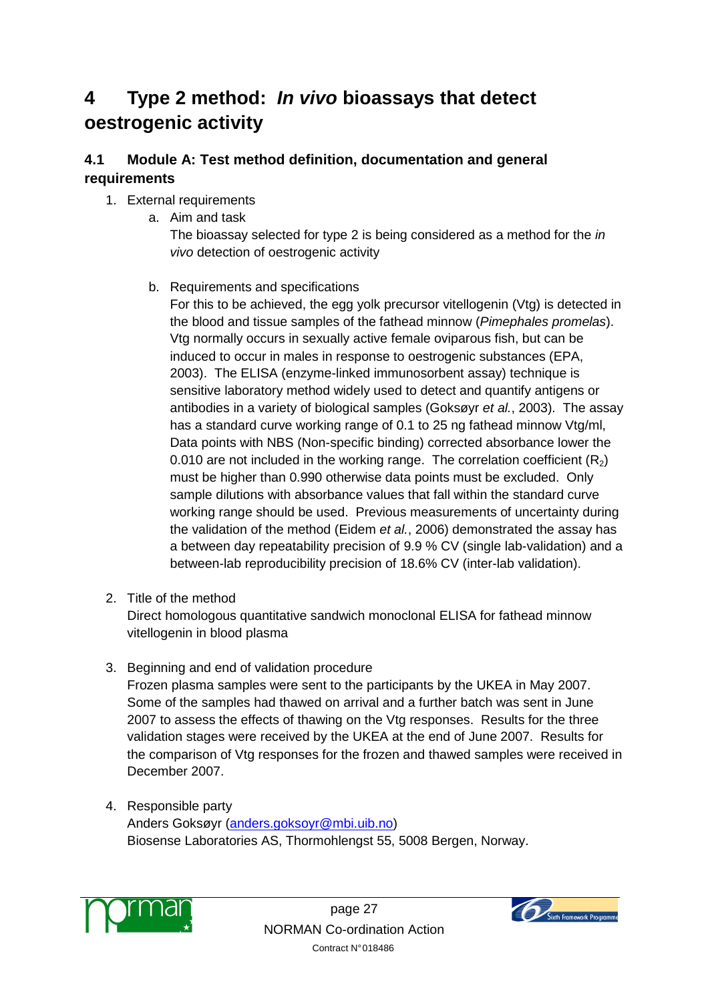# **4 Type 2 method: In vivo bioassays that detect oestrogenic activity**

## **4.1 Module A: Test method definition, documentation and general requirements**

## 1. External requirements

a. Aim and task

The bioassay selected for type 2 is being considered as a method for the *in* vivo detection of oestrogenic activity

b. Requirements and specifications

For this to be achieved, the egg yolk precursor vitellogenin (Vtg) is detected in the blood and tissue samples of the fathead minnow (Pimephales promelas). Vtg normally occurs in sexually active female oviparous fish, but can be induced to occur in males in response to oestrogenic substances (EPA, 2003). The ELISA (enzyme-linked immunosorbent assay) technique is sensitive laboratory method widely used to detect and quantify antigens or antibodies in a variety of biological samples (Goksøyr et al., 2003). The assay has a standard curve working range of 0.1 to 25 ng fathead minnow Vtg/ml, Data points with NBS (Non-specific binding) corrected absorbance lower the 0.010 are not included in the working range. The correlation coefficient  $(R_2)$ must be higher than 0.990 otherwise data points must be excluded. Only sample dilutions with absorbance values that fall within the standard curve working range should be used. Previous measurements of uncertainty during the validation of the method (Eidem et al., 2006) demonstrated the assay has a between day repeatability precision of 9.9 % CV (single lab-validation) and a between-lab reproducibility precision of 18.6% CV (inter-lab validation).

2. Title of the method

Direct homologous quantitative sandwich monoclonal ELISA for fathead minnow vitellogenin in blood plasma

- 3. Beginning and end of validation procedure Frozen plasma samples were sent to the participants by the UKEA in May 2007. Some of the samples had thawed on arrival and a further batch was sent in June 2007 to assess the effects of thawing on the Vtg responses. Results for the three validation stages were received by the UKEA at the end of June 2007. Results for the comparison of Vtg responses for the frozen and thawed samples were received in December 2007.
- 4. Responsible party Anders Goksøyr (anders.goksoyr@mbi.uib.no) Biosense Laboratories AS, Thormohlengst 55, 5008 Bergen, Norway.



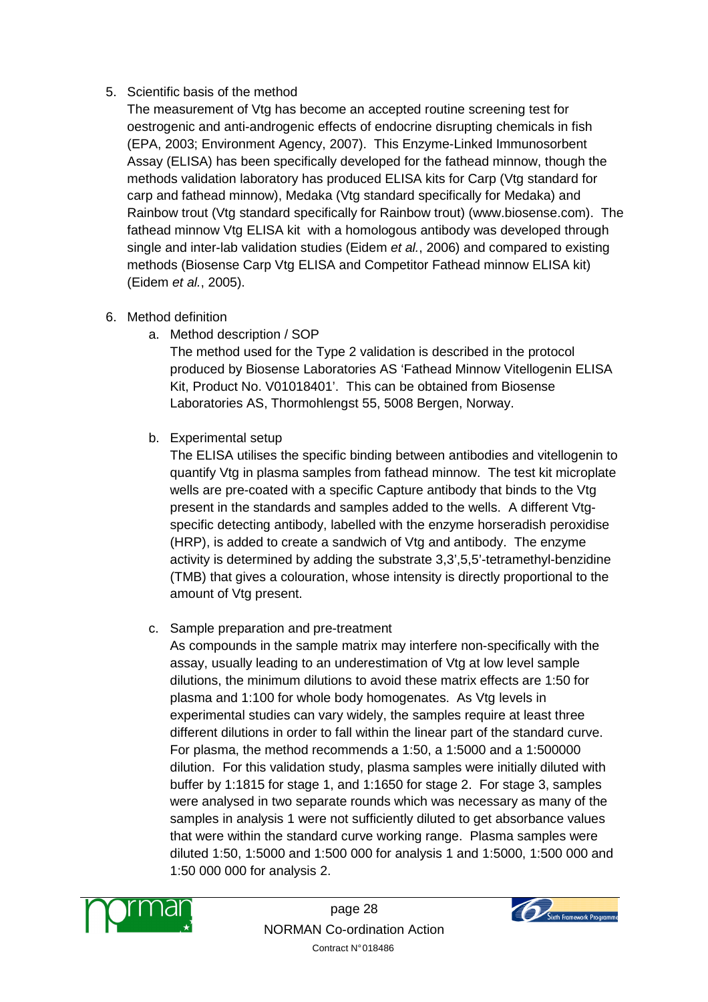## 5. Scientific basis of the method

The measurement of Vtg has become an accepted routine screening test for oestrogenic and anti-androgenic effects of endocrine disrupting chemicals in fish (EPA, 2003; Environment Agency, 2007). This Enzyme-Linked Immunosorbent Assay (ELISA) has been specifically developed for the fathead minnow, though the methods validation laboratory has produced ELISA kits for Carp (Vtg standard for carp and fathead minnow), Medaka (Vtg standard specifically for Medaka) and Rainbow trout (Vtg standard specifically for Rainbow trout) (www.biosense.com). The fathead minnow Vtg ELISA kit with a homologous antibody was developed through single and inter-lab validation studies (Eidem et al., 2006) and compared to existing methods (Biosense Carp Vtg ELISA and Competitor Fathead minnow ELISA kit) (Eidem et al., 2005).

- 6. Method definition
	- a. Method description / SOP

The method used for the Type 2 validation is described in the protocol produced by Biosense Laboratories AS 'Fathead Minnow Vitellogenin ELISA Kit, Product No. V01018401'. This can be obtained from Biosense Laboratories AS, Thormohlengst 55, 5008 Bergen, Norway.

b. Experimental setup

The ELISA utilises the specific binding between antibodies and vitellogenin to quantify Vtg in plasma samples from fathead minnow. The test kit microplate wells are pre-coated with a specific Capture antibody that binds to the Vtg present in the standards and samples added to the wells. A different Vtgspecific detecting antibody, labelled with the enzyme horseradish peroxidise (HRP), is added to create a sandwich of Vtg and antibody. The enzyme activity is determined by adding the substrate 3,3',5,5'-tetramethyl-benzidine (TMB) that gives a colouration, whose intensity is directly proportional to the amount of Vtg present.

c. Sample preparation and pre-treatment

As compounds in the sample matrix may interfere non-specifically with the assay, usually leading to an underestimation of Vtg at low level sample dilutions, the minimum dilutions to avoid these matrix effects are 1:50 for plasma and 1:100 for whole body homogenates. As Vtg levels in experimental studies can vary widely, the samples require at least three different dilutions in order to fall within the linear part of the standard curve. For plasma, the method recommends a 1:50, a 1:5000 and a 1:500000 dilution. For this validation study, plasma samples were initially diluted with buffer by 1:1815 for stage 1, and 1:1650 for stage 2. For stage 3, samples were analysed in two separate rounds which was necessary as many of the samples in analysis 1 were not sufficiently diluted to get absorbance values that were within the standard curve working range. Plasma samples were diluted 1:50, 1:5000 and 1:500 000 for analysis 1 and 1:5000, 1:500 000 and 1:50 000 000 for analysis 2.



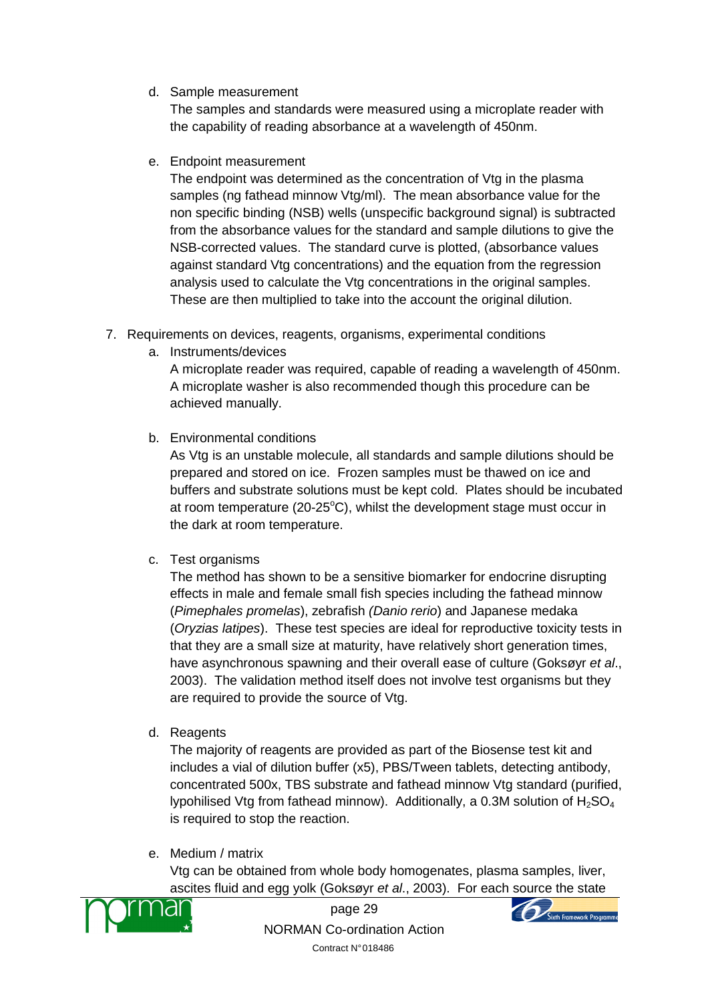d. Sample measurement

The samples and standards were measured using a microplate reader with the capability of reading absorbance at a wavelength of 450nm.

e. Endpoint measurement

The endpoint was determined as the concentration of Vtg in the plasma samples (ng fathead minnow Vtg/ml). The mean absorbance value for the non specific binding (NSB) wells (unspecific background signal) is subtracted from the absorbance values for the standard and sample dilutions to give the NSB-corrected values. The standard curve is plotted, (absorbance values against standard Vtg concentrations) and the equation from the regression analysis used to calculate the Vtg concentrations in the original samples. These are then multiplied to take into the account the original dilution.

- 7. Requirements on devices, reagents, organisms, experimental conditions
	- a. Instruments/devices

A microplate reader was required, capable of reading a wavelength of 450nm. A microplate washer is also recommended though this procedure can be achieved manually.

b. Environmental conditions

As Vtg is an unstable molecule, all standards and sample dilutions should be prepared and stored on ice. Frozen samples must be thawed on ice and buffers and substrate solutions must be kept cold. Plates should be incubated at room temperature (20-25 $^{\circ}$ C), whilst the development stage must occur in the dark at room temperature.

c. Test organisms

The method has shown to be a sensitive biomarker for endocrine disrupting effects in male and female small fish species including the fathead minnow (Pimephales promelas), zebrafish (Danio rerio) and Japanese medaka (Oryzias latipes). These test species are ideal for reproductive toxicity tests in that they are a small size at maturity, have relatively short generation times, have asynchronous spawning and their overall ease of culture (Goksøyr et al., 2003). The validation method itself does not involve test organisms but they are required to provide the source of Vtg.

d. Reagents

The majority of reagents are provided as part of the Biosense test kit and includes a vial of dilution buffer (x5), PBS/Tween tablets, detecting antibody, concentrated 500x, TBS substrate and fathead minnow Vtg standard (purified, lypohilised Vtg from fathead minnow). Additionally, a 0.3M solution of  $H_2SO_4$ is required to stop the reaction.

e. Medium / matrix

Vtg can be obtained from whole body homogenates, plasma samples, liver, ascites fluid and egg yolk (Goksøyr et al., 2003). For each source the state



page 29 NORMAN Co-ordination Action Contract N° 018486

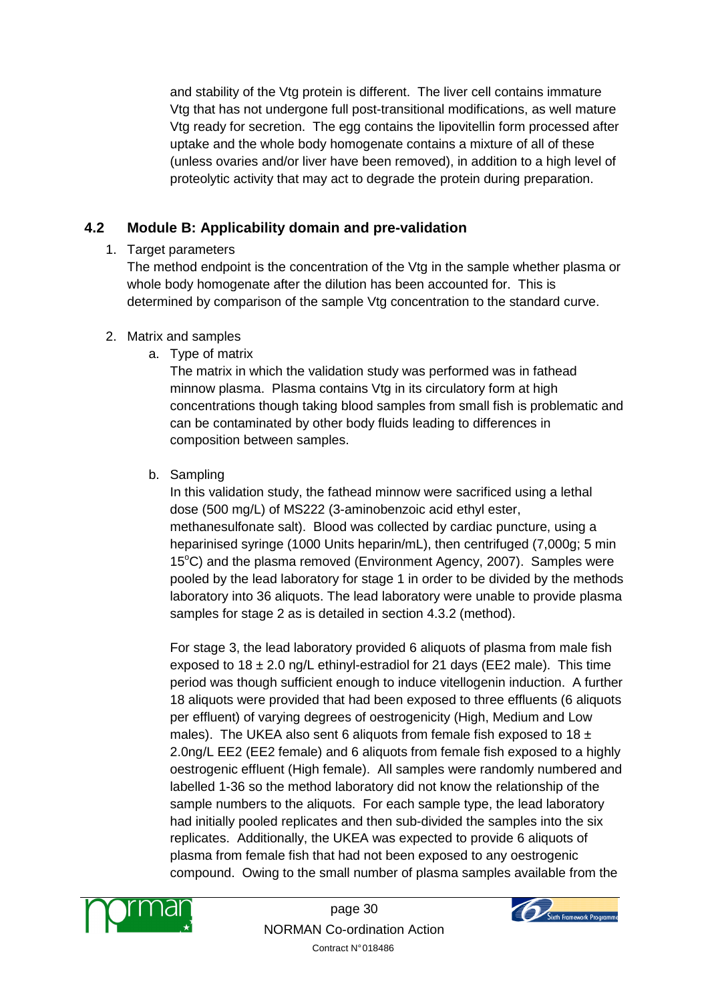and stability of the Vtg protein is different. The liver cell contains immature Vtg that has not undergone full post-transitional modifications, as well mature Vtg ready for secretion. The egg contains the lipovitellin form processed after uptake and the whole body homogenate contains a mixture of all of these (unless ovaries and/or liver have been removed), in addition to a high level of proteolytic activity that may act to degrade the protein during preparation.

## **4.2 Module B: Applicability domain and pre-validation**

## 1. Target parameters

The method endpoint is the concentration of the Vtg in the sample whether plasma or whole body homogenate after the dilution has been accounted for. This is determined by comparison of the sample Vtg concentration to the standard curve.

## 2. Matrix and samples

a. Type of matrix

The matrix in which the validation study was performed was in fathead minnow plasma. Plasma contains Vtg in its circulatory form at high concentrations though taking blood samples from small fish is problematic and can be contaminated by other body fluids leading to differences in composition between samples.

b. Sampling

In this validation study, the fathead minnow were sacrificed using a lethal dose (500 mg/L) of MS222 (3-aminobenzoic acid ethyl ester, methanesulfonate salt). Blood was collected by cardiac puncture, using a heparinised syringe (1000 Units heparin/mL), then centrifuged (7,000g; 5 min 15 $^{\circ}$ C) and the plasma removed (Environment Agency, 2007). Samples were pooled by the lead laboratory for stage 1 in order to be divided by the methods laboratory into 36 aliquots. The lead laboratory were unable to provide plasma samples for stage 2 as is detailed in section 4.3.2 (method).

For stage 3, the lead laboratory provided 6 aliquots of plasma from male fish exposed to  $18 \pm 2.0$  ng/L ethinyl-estradiol for 21 days (EE2 male). This time period was though sufficient enough to induce vitellogenin induction. A further 18 aliquots were provided that had been exposed to three effluents (6 aliquots per effluent) of varying degrees of oestrogenicity (High, Medium and Low males). The UKEA also sent 6 aliquots from female fish exposed to 18  $\pm$ 2.0ng/L EE2 (EE2 female) and 6 aliquots from female fish exposed to a highly oestrogenic effluent (High female). All samples were randomly numbered and labelled 1-36 so the method laboratory did not know the relationship of the sample numbers to the aliquots. For each sample type, the lead laboratory had initially pooled replicates and then sub-divided the samples into the six replicates. Additionally, the UKEA was expected to provide 6 aliquots of plasma from female fish that had not been exposed to any oestrogenic compound. Owing to the small number of plasma samples available from the



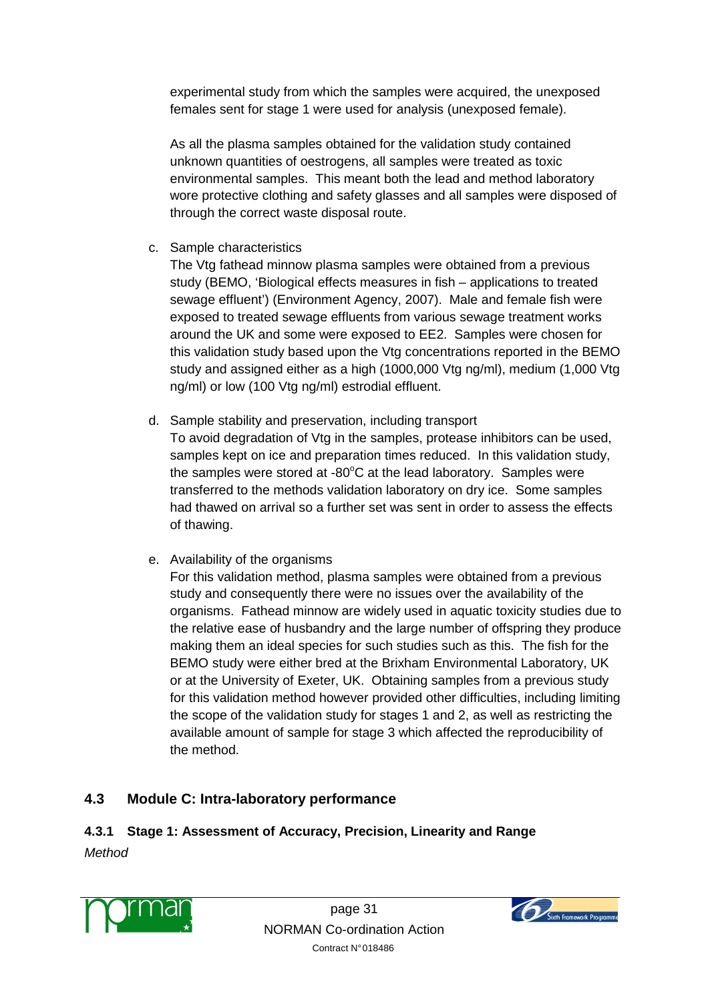experimental study from which the samples were acquired, the unexposed females sent for stage 1 were used for analysis (unexposed female).

As all the plasma samples obtained for the validation study contained unknown quantities of oestrogens, all samples were treated as toxic environmental samples. This meant both the lead and method laboratory wore protective clothing and safety glasses and all samples were disposed of through the correct waste disposal route.

c. Sample characteristics

The Vtg fathead minnow plasma samples were obtained from a previous study (BEMO, 'Biological effects measures in fish – applications to treated sewage effluent') (Environment Agency, 2007). Male and female fish were exposed to treated sewage effluents from various sewage treatment works around the UK and some were exposed to EE2. Samples were chosen for this validation study based upon the Vtg concentrations reported in the BEMO study and assigned either as a high (1000,000 Vtg ng/ml), medium (1,000 Vtg ng/ml) or low (100 Vtg ng/ml) estrodial effluent.

- d. Sample stability and preservation, including transport To avoid degradation of Vtg in the samples, protease inhibitors can be used, samples kept on ice and preparation times reduced. In this validation study, the samples were stored at -80 $\degree$ C at the lead laboratory. Samples were transferred to the methods validation laboratory on dry ice. Some samples had thawed on arrival so a further set was sent in order to assess the effects of thawing.
- e. Availability of the organisms

For this validation method, plasma samples were obtained from a previous study and consequently there were no issues over the availability of the organisms. Fathead minnow are widely used in aquatic toxicity studies due to the relative ease of husbandry and the large number of offspring they produce making them an ideal species for such studies such as this. The fish for the BEMO study were either bred at the Brixham Environmental Laboratory, UK or at the University of Exeter, UK. Obtaining samples from a previous study for this validation method however provided other difficulties, including limiting the scope of the validation study for stages 1 and 2, as well as restricting the available amount of sample for stage 3 which affected the reproducibility of the method.

## **4.3 Module C: Intra-laboratory performance**

## **4.3.1 Stage 1: Assessment of Accuracy, Precision, Linearity and Range**

**Method** 



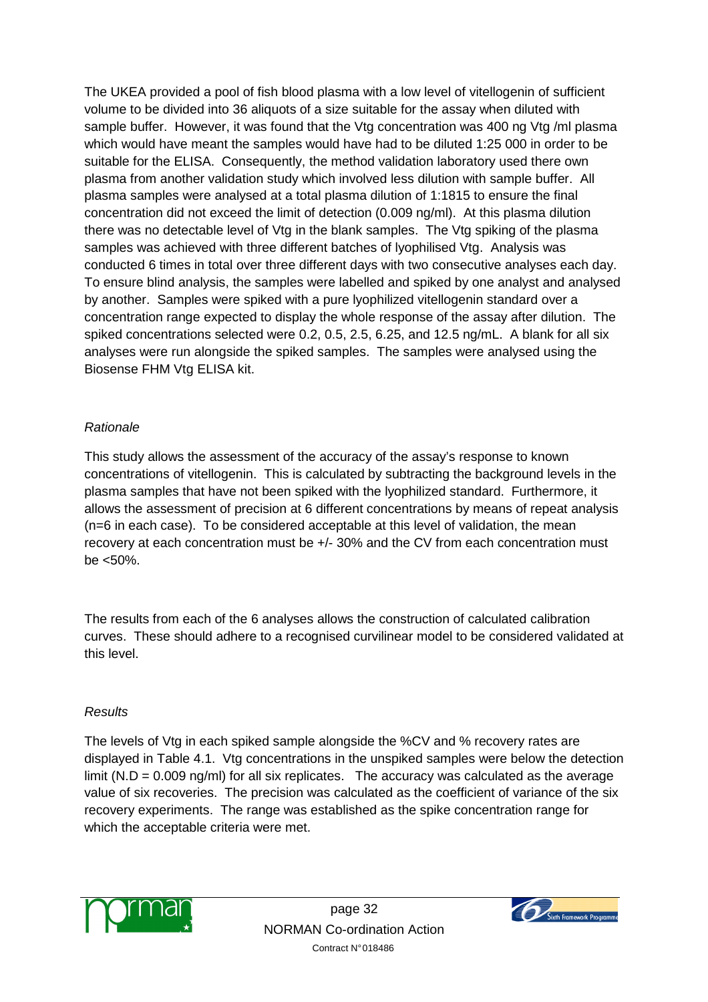The UKEA provided a pool of fish blood plasma with a low level of vitellogenin of sufficient volume to be divided into 36 aliquots of a size suitable for the assay when diluted with sample buffer. However, it was found that the Vtg concentration was 400 ng Vtg /ml plasma which would have meant the samples would have had to be diluted 1:25 000 in order to be suitable for the ELISA. Consequently, the method validation laboratory used there own plasma from another validation study which involved less dilution with sample buffer. All plasma samples were analysed at a total plasma dilution of 1:1815 to ensure the final concentration did not exceed the limit of detection (0.009 ng/ml). At this plasma dilution there was no detectable level of Vtg in the blank samples. The Vtg spiking of the plasma samples was achieved with three different batches of lyophilised Vtg. Analysis was conducted 6 times in total over three different days with two consecutive analyses each day. To ensure blind analysis, the samples were labelled and spiked by one analyst and analysed by another. Samples were spiked with a pure lyophilized vitellogenin standard over a concentration range expected to display the whole response of the assay after dilution. The spiked concentrations selected were 0.2, 0.5, 2.5, 6.25, and 12.5 ng/mL. A blank for all six analyses were run alongside the spiked samples. The samples were analysed using the Biosense FHM Vtg ELISA kit.

#### Rationale

This study allows the assessment of the accuracy of the assay's response to known concentrations of vitellogenin. This is calculated by subtracting the background levels in the plasma samples that have not been spiked with the lyophilized standard. Furthermore, it allows the assessment of precision at 6 different concentrations by means of repeat analysis (n=6 in each case). To be considered acceptable at this level of validation, the mean recovery at each concentration must be +/- 30% and the CV from each concentration must be <50%.

The results from each of the 6 analyses allows the construction of calculated calibration curves. These should adhere to a recognised curvilinear model to be considered validated at this level.

#### **Results**

The levels of Vtg in each spiked sample alongside the %CV and % recovery rates are displayed in Table 4.1. Vtg concentrations in the unspiked samples were below the detection limit ( $N.D = 0.009$  ng/ml) for all six replicates. The accuracy was calculated as the average value of six recoveries. The precision was calculated as the coefficient of variance of the six recovery experiments. The range was established as the spike concentration range for which the acceptable criteria were met.



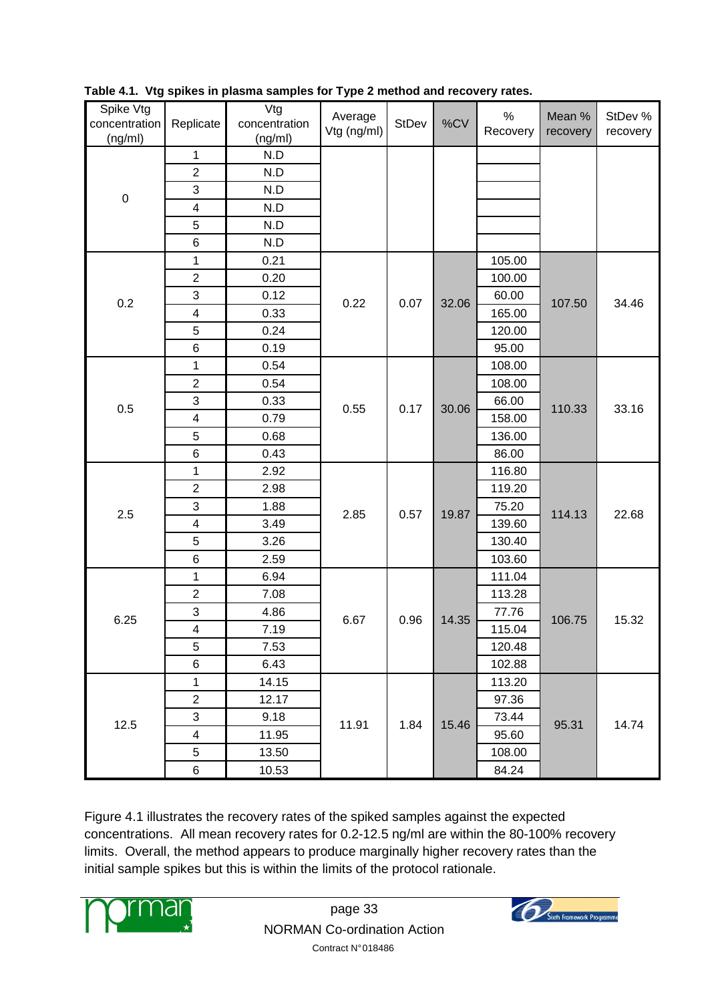| Spike Vtg<br>concentration | Replicate                 | Vtg<br>concentration | Average<br>Vtg (ng/ml) | StDev | %CV   | $\%$<br>Recovery | Mean %<br>recovery | StDev %<br>recovery |
|----------------------------|---------------------------|----------------------|------------------------|-------|-------|------------------|--------------------|---------------------|
| (ng/ml)                    | $\mathbf{1}$              | (ng/ml)<br>N.D       |                        |       |       |                  |                    |                     |
|                            | $\overline{c}$            | N.D                  |                        |       |       |                  |                    |                     |
|                            | 3                         | N.D                  |                        |       |       |                  |                    |                     |
| $\pmb{0}$                  | $\overline{\mathbf{4}}$   | N.D                  |                        |       |       |                  |                    |                     |
|                            | $\sqrt{5}$                | N.D                  |                        |       |       |                  |                    |                     |
|                            | 6                         | N.D                  |                        |       |       |                  |                    |                     |
|                            | 1                         | 0.21                 |                        |       |       | 105.00           |                    |                     |
|                            | $\overline{2}$            | 0.20                 |                        |       |       | 100.00           |                    |                     |
|                            | 3                         | 0.12                 |                        |       |       | 60.00            |                    |                     |
| 0.2                        | $\overline{\mathbf{4}}$   | 0.33                 | 0.22                   | 0.07  | 32.06 | 165.00           | 107.50             | 34.46               |
|                            | $\mathbf 5$               | 0.24                 |                        |       |       | 120.00           |                    |                     |
|                            | $6\phantom{1}6$           | 0.19                 |                        |       |       | 95.00            |                    |                     |
|                            | 1                         | 0.54                 |                        |       |       | 108.00           |                    |                     |
|                            | $\sqrt{2}$                | 0.54                 |                        | 0.17  |       | 108.00           |                    | 33.16               |
|                            | $\ensuremath{\mathsf{3}}$ | 0.33                 |                        |       |       | 66.00            | 110.33             |                     |
| 0.5                        | $\overline{\mathbf{4}}$   | 0.79                 | 0.55                   |       | 30.06 | 158.00           |                    |                     |
|                            | 5                         | 0.68                 |                        |       |       | 136.00           |                    |                     |
|                            | $\,6$                     | 0.43                 |                        |       |       | 86.00            |                    |                     |
|                            | 1                         | 2.92                 |                        |       |       | 116.80           |                    |                     |
|                            | $\overline{c}$            | 2.98                 |                        |       | 19.87 | 119.20           |                    | 22.68               |
|                            | 3                         | 1.88                 |                        |       |       | 75.20            |                    |                     |
| 2.5                        | 4                         | 3.49                 | 2.85                   | 0.57  |       | 139.60           | 114.13             |                     |
|                            | 5                         | 3.26                 |                        |       |       | 130.40           |                    |                     |
|                            | $\,6$                     | 2.59                 |                        |       |       | 103.60           |                    |                     |
|                            | 1                         | 6.94                 |                        |       |       | 111.04           |                    |                     |
|                            | $\overline{c}$            | 7.08                 |                        |       |       | 113.28           |                    |                     |
|                            | $\ensuremath{\mathsf{3}}$ | 4.86                 |                        |       |       | 77.76            |                    |                     |
| 6.25                       | $\overline{\mathbf{4}}$   | 7.19                 | 6.67                   | 0.96  | 14.35 | 115.04           | 106.75             | 15.32               |
|                            | 5                         | 7.53                 |                        |       |       | 120.48           |                    |                     |
|                            | $\,6$                     | 6.43                 |                        |       |       | 102.88           |                    |                     |
|                            | $\mathbf{1}$              | 14.15                |                        |       |       | 113.20           |                    |                     |
|                            | $\overline{c}$            | 12.17                |                        |       |       | 97.36            |                    |                     |
| 12.5                       | $\ensuremath{\mathsf{3}}$ | 9.18                 | 11.91                  |       | 15.46 | 73.44            |                    |                     |
|                            | 4                         | 11.95                |                        | 1.84  |       | 95.60            | 95.31              | 14.74               |
|                            | $\bf 5$                   | 13.50                |                        |       |       | 108.00           |                    |                     |
|                            | $\,6$                     | 10.53                |                        |       |       | 84.24            |                    |                     |

**Table 4.1. Vtg spikes in plasma samples for Type 2 method and recovery rates.** 

Figure 4.1 illustrates the recovery rates of the spiked samples against the expected concentrations. All mean recovery rates for 0.2-12.5 ng/ml are within the 80-100% recovery limits. Overall, the method appears to produce marginally higher recovery rates than the initial sample spikes but this is within the limits of the protocol rationale.



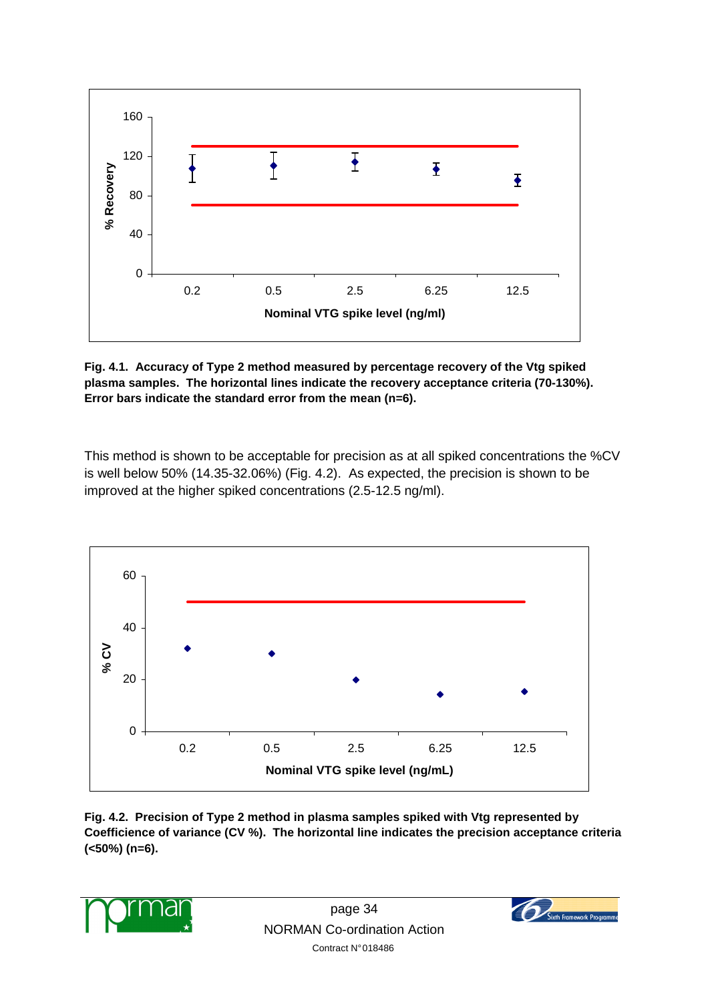

**Fig. 4.1. Accuracy of Type 2 method measured by percentage recovery of the Vtg spiked plasma samples. The horizontal lines indicate the recovery acceptance criteria (70-130%). Error bars indicate the standard error from the mean (n=6).** 

This method is shown to be acceptable for precision as at all spiked concentrations the %CV is well below 50% (14.35-32.06%) (Fig. 4.2). As expected, the precision is shown to be improved at the higher spiked concentrations (2.5-12.5 ng/ml).



**Fig. 4.2. Precision of Type 2 method in plasma samples spiked with Vtg represented by Coefficience of variance (CV %). The horizontal line indicates the precision acceptance criteria (<50%) (n=6).** 



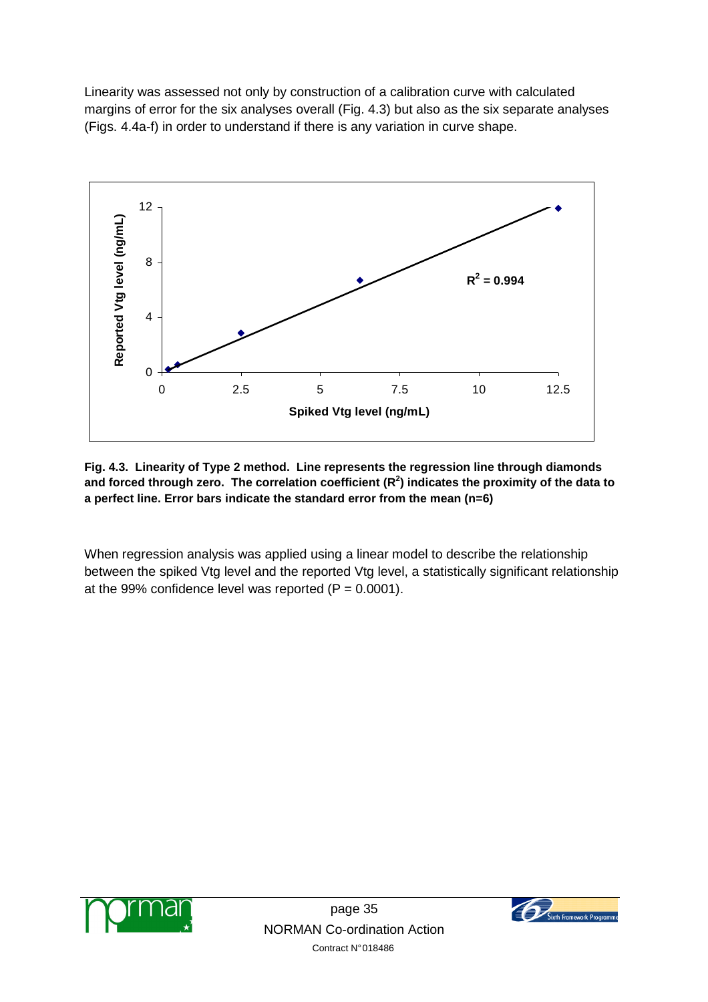Linearity was assessed not only by construction of a calibration curve with calculated margins of error for the six analyses overall (Fig. 4.3) but also as the six separate analyses (Figs. 4.4a-f) in order to understand if there is any variation in curve shape.



**Fig. 4.3. Linearity of Type 2 method. Line represents the regression line through diamonds and forced through zero. The correlation coefficient (R<sup>2</sup> ) indicates the proximity of the data to a perfect line. Error bars indicate the standard error from the mean (n=6)** 

When regression analysis was applied using a linear model to describe the relationship between the spiked Vtg level and the reported Vtg level, a statistically significant relationship at the 99% confidence level was reported  $(P = 0.0001)$ .



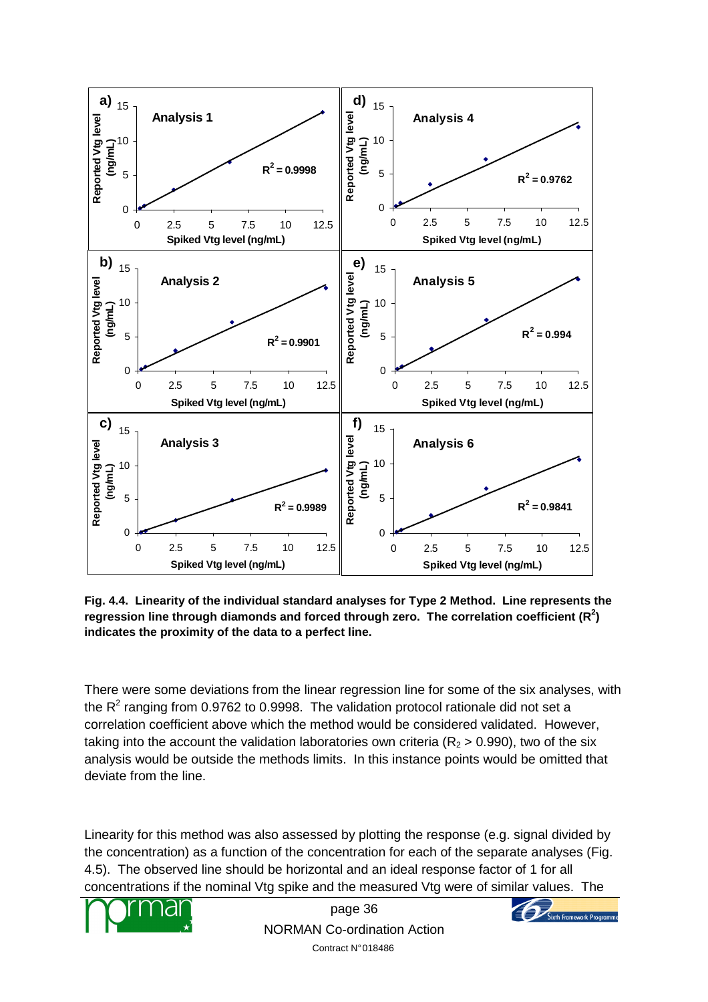

**Fig. 4.4. Linearity of the individual standard analyses for Type 2 Method. Line represents the regression line through diamonds and forced through zero. The correlation coefficient (R<sup>2</sup> ) indicates the proximity of the data to a perfect line.** 

There were some deviations from the linear regression line for some of the six analyses, with the  $R^2$  ranging from 0.9762 to 0.9998. The validation protocol rationale did not set a correlation coefficient above which the method would be considered validated. However, taking into the account the validation laboratories own criteria ( $R<sub>2</sub>$  > 0.990), two of the six analysis would be outside the methods limits. In this instance points would be omitted that deviate from the line.

Linearity for this method was also assessed by plotting the response (e.g. signal divided by the concentration) as a function of the concentration for each of the separate analyses (Fig. 4.5). The observed line should be horizontal and an ideal response factor of 1 for all concentrations if the nominal Vtg spike and the measured Vtg were of similar values. The



page 36 NORMAN Co-ordination Action Contract N° 018486

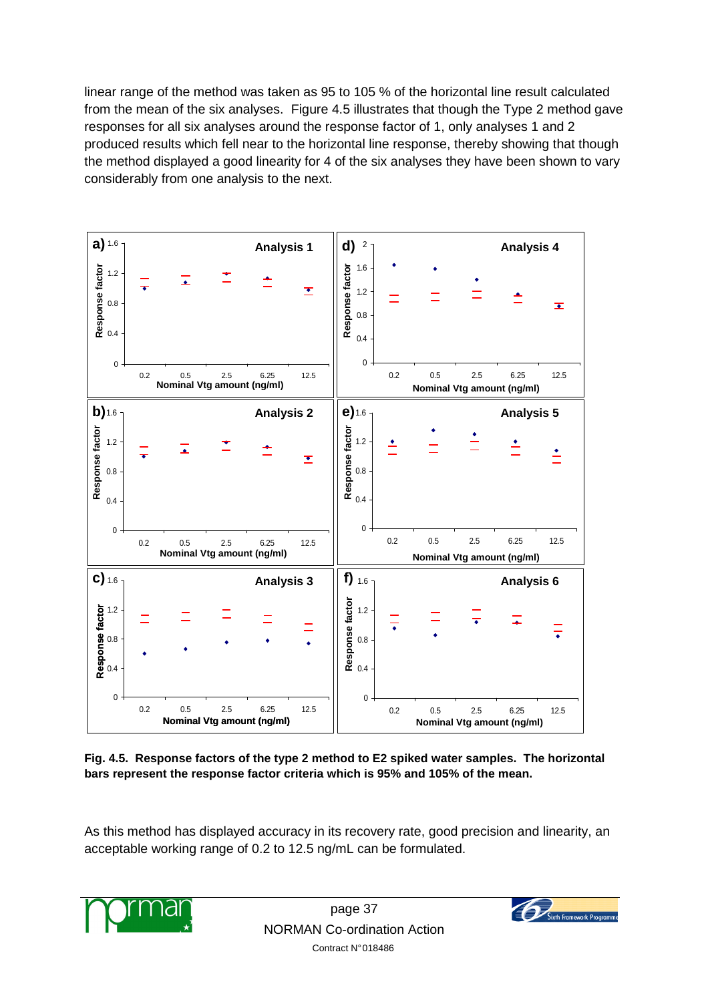linear range of the method was taken as 95 to 105 % of the horizontal line result calculated from the mean of the six analyses. Figure 4.5 illustrates that though the Type 2 method gave responses for all six analyses around the response factor of 1, only analyses 1 and 2 produced results which fell near to the horizontal line response, thereby showing that though the method displayed a good linearity for 4 of the six analyses they have been shown to vary considerably from one analysis to the next.



**Fig. 4.5. Response factors of the type 2 method to E2 spiked water samples. The horizontal bars represent the response factor criteria which is 95% and 105% of the mean.** 

As this method has displayed accuracy in its recovery rate, good precision and linearity, an acceptable working range of 0.2 to 12.5 ng/mL can be formulated.



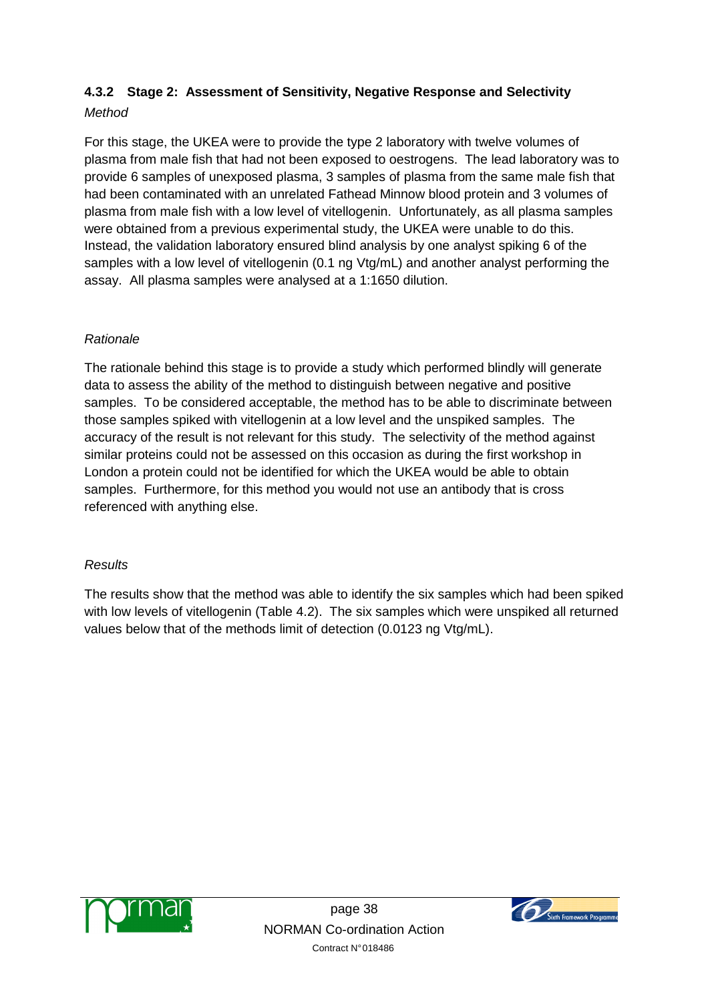# **4.3.2 Stage 2: Assessment of Sensitivity, Negative Response and Selectivity**

## **Method**

For this stage, the UKEA were to provide the type 2 laboratory with twelve volumes of plasma from male fish that had not been exposed to oestrogens. The lead laboratory was to provide 6 samples of unexposed plasma, 3 samples of plasma from the same male fish that had been contaminated with an unrelated Fathead Minnow blood protein and 3 volumes of plasma from male fish with a low level of vitellogenin. Unfortunately, as all plasma samples were obtained from a previous experimental study, the UKEA were unable to do this. Instead, the validation laboratory ensured blind analysis by one analyst spiking 6 of the samples with a low level of vitellogenin (0.1 ng Vtg/mL) and another analyst performing the assay. All plasma samples were analysed at a 1:1650 dilution.

## Rationale

The rationale behind this stage is to provide a study which performed blindly will generate data to assess the ability of the method to distinguish between negative and positive samples. To be considered acceptable, the method has to be able to discriminate between those samples spiked with vitellogenin at a low level and the unspiked samples. The accuracy of the result is not relevant for this study. The selectivity of the method against similar proteins could not be assessed on this occasion as during the first workshop in London a protein could not be identified for which the UKEA would be able to obtain samples. Furthermore, for this method you would not use an antibody that is cross referenced with anything else.

## **Results**

The results show that the method was able to identify the six samples which had been spiked with low levels of vitellogenin (Table 4.2). The six samples which were unspiked all returned values below that of the methods limit of detection (0.0123 ng Vtg/mL).



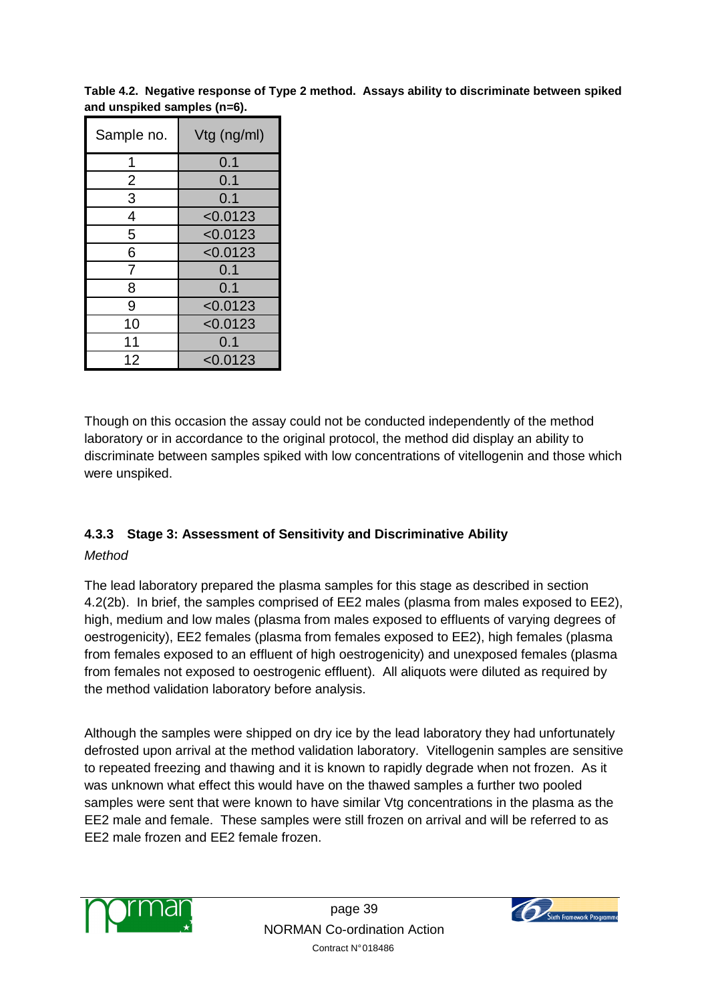**Table 4.2. Negative response of Type 2 method. Assays ability to discriminate between spiked and unspiked samples (n=6).**

| Sample no.     | Vtg (ng/ml) |
|----------------|-------------|
| 1              | 0.1         |
| $\overline{2}$ | 0.1         |
| 3              | 0.1         |
| 4              | < 0.0123    |
| 5              | < 0.0123    |
| 6              | < 0.0123    |
| 7              | 0.1         |
| 8              | 0.1         |
| 9              | < 0.0123    |
| 10             | < 0.0123    |
| 11             | 0.1         |
| 12             | < 0.0123    |

Though on this occasion the assay could not be conducted independently of the method laboratory or in accordance to the original protocol, the method did display an ability to discriminate between samples spiked with low concentrations of vitellogenin and those which were unspiked.

## **4.3.3 Stage 3: Assessment of Sensitivity and Discriminative Ability**

## **Method**

The lead laboratory prepared the plasma samples for this stage as described in section 4.2(2b). In brief, the samples comprised of EE2 males (plasma from males exposed to EE2), high, medium and low males (plasma from males exposed to effluents of varying degrees of oestrogenicity), EE2 females (plasma from females exposed to EE2), high females (plasma from females exposed to an effluent of high oestrogenicity) and unexposed females (plasma from females not exposed to oestrogenic effluent). All aliquots were diluted as required by the method validation laboratory before analysis.

Although the samples were shipped on dry ice by the lead laboratory they had unfortunately defrosted upon arrival at the method validation laboratory. Vitellogenin samples are sensitive to repeated freezing and thawing and it is known to rapidly degrade when not frozen. As it was unknown what effect this would have on the thawed samples a further two pooled samples were sent that were known to have similar Vtg concentrations in the plasma as the EE2 male and female. These samples were still frozen on arrival and will be referred to as EE2 male frozen and EE2 female frozen.



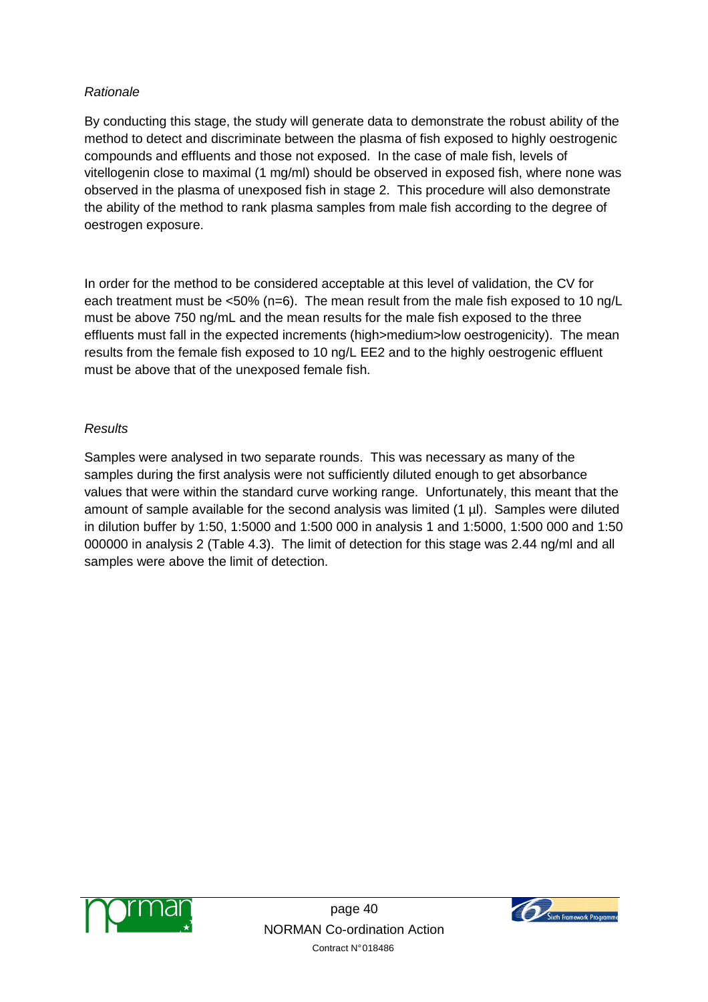#### Rationale

By conducting this stage, the study will generate data to demonstrate the robust ability of the method to detect and discriminate between the plasma of fish exposed to highly oestrogenic compounds and effluents and those not exposed. In the case of male fish, levels of vitellogenin close to maximal (1 mg/ml) should be observed in exposed fish, where none was observed in the plasma of unexposed fish in stage 2. This procedure will also demonstrate the ability of the method to rank plasma samples from male fish according to the degree of oestrogen exposure.

In order for the method to be considered acceptable at this level of validation, the CV for each treatment must be <50% (n=6). The mean result from the male fish exposed to 10 ng/L must be above 750 ng/mL and the mean results for the male fish exposed to the three effluents must fall in the expected increments (high>medium>low oestrogenicity). The mean results from the female fish exposed to 10 ng/L EE2 and to the highly oestrogenic effluent must be above that of the unexposed female fish.

## **Results**

Samples were analysed in two separate rounds. This was necessary as many of the samples during the first analysis were not sufficiently diluted enough to get absorbance values that were within the standard curve working range. Unfortunately, this meant that the amount of sample available for the second analysis was limited (1 µl). Samples were diluted in dilution buffer by 1:50, 1:5000 and 1:500 000 in analysis 1 and 1:5000, 1:500 000 and 1:50 000000 in analysis 2 (Table 4.3). The limit of detection for this stage was 2.44 ng/ml and all samples were above the limit of detection.



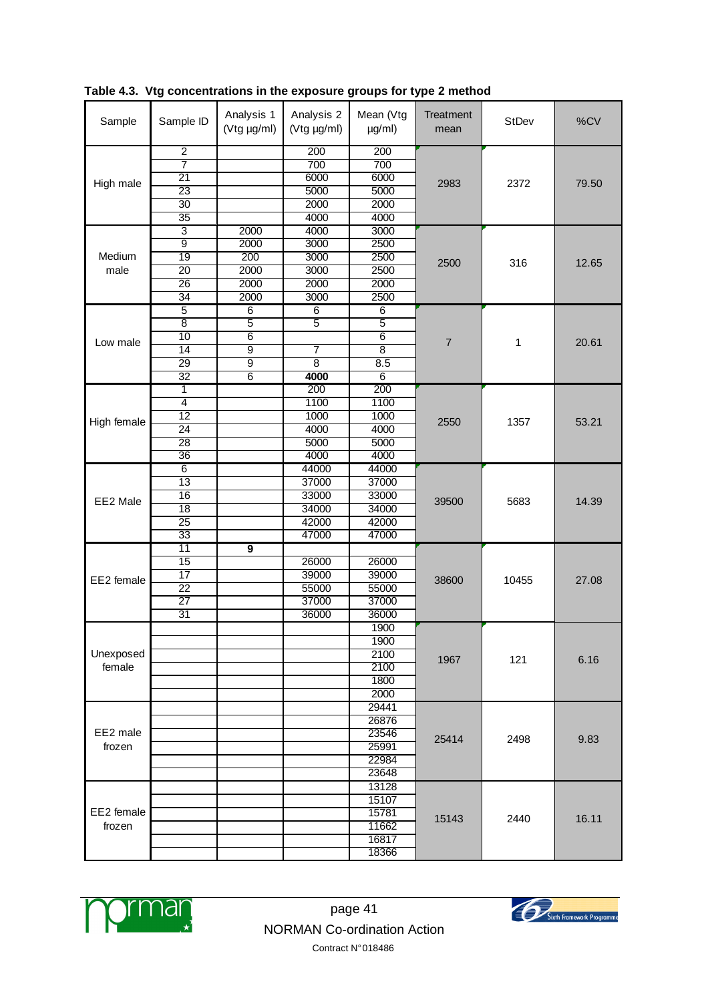| Sample      | Sample ID                          | Analysis 1<br>(Vtg µg/ml) | Analysis 2<br>(Vtg µg/ml) | Mean (Vtg<br>$\mu g/ml$ ) | Treatment<br>mean | StDev | %CV   |
|-------------|------------------------------------|---------------------------|---------------------------|---------------------------|-------------------|-------|-------|
|             | $\overline{2}$                     |                           | 200                       | 200                       |                   |       |       |
|             | 7                                  |                           | 700                       | 700                       |                   |       |       |
| High male   | $\overline{21}$                    |                           | 6000                      | 6000                      | 2983              | 2372  | 79.50 |
|             | 23                                 |                           | 5000                      | 5000                      |                   |       |       |
|             | $\overline{30}$                    |                           | 2000                      | 2000                      |                   |       |       |
|             | $\overline{35}$                    |                           | 4000                      | 4000                      |                   |       |       |
|             | 3                                  | 2000                      | 4000                      | 3000                      |                   |       |       |
|             | $\overline{9}$                     | 2000                      | 3000                      | 2500                      |                   |       |       |
| Medium      | $\overline{19}$                    | 200                       | 3000                      | 2500                      | 2500              | 316   | 12.65 |
| male        | $\overline{20}$                    | 2000                      | 3000                      | 2500                      |                   |       |       |
|             | $\overline{26}$                    | 2000                      | 2000                      | 2000                      |                   |       |       |
|             | $\overline{34}$                    | 2000                      | 3000                      | 2500                      |                   |       |       |
|             | 5                                  | $\overline{6}$            | 6                         | 6                         |                   |       |       |
|             | $\overline{\bf 8}$                 | 5                         | 5                         | 5                         |                   |       |       |
| Low male    | 10                                 | $\overline{6}$            |                           | $6\overline{6}$           | $\overline{7}$    | 1     | 20.61 |
|             | 14                                 | $\overline{9}$            | $\overline{7}$            | $\overline{8}$            |                   |       |       |
|             | 29                                 | 9                         | $\overline{\bf 8}$        | $\overline{8.5}$          |                   |       |       |
|             | $\overline{32}$                    | 6                         | 4000                      | $\overline{6}$            |                   |       |       |
|             | 1                                  |                           | 200                       | 200                       |                   |       |       |
|             | 4                                  |                           | 1100                      | 1100                      |                   | 1357  | 53.21 |
| High female | $\overline{12}$                    |                           | 1000                      | 1000                      | 2550              |       |       |
|             | $\overline{24}$                    |                           | 4000                      | 4000                      |                   |       |       |
|             | $\overline{28}$<br>$\overline{36}$ |                           | 5000<br>4000              | 5000<br>4000              |                   |       |       |
|             | $\overline{6}$                     |                           |                           |                           |                   |       |       |
|             | 13                                 |                           | 44000<br>37000            | 44000                     |                   |       | 14.39 |
|             | $\overline{16}$                    |                           | 33000                     | 37000<br>33000            |                   |       |       |
| EE2 Male    | 18                                 |                           | 34000                     | 34000                     | 39500             | 5683  |       |
|             | $\overline{25}$                    |                           | 42000                     | 42000                     |                   |       |       |
|             | 33                                 |                           | 47000                     | 47000                     |                   |       |       |
|             | 11                                 | 9                         |                           |                           |                   |       |       |
|             | 15                                 |                           | 26000                     | 26000                     |                   |       |       |
|             | $\overline{17}$                    |                           | 39000                     | 39000                     |                   | 10455 |       |
| EE2 female  | $\overline{22}$                    |                           | 55000                     | 55000                     | 38600             |       | 27.08 |
|             | $\overline{27}$                    |                           | 37000                     | 37000                     |                   |       |       |
|             | $\overline{31}$                    |                           | 36000                     | 36000                     |                   |       |       |
|             |                                    |                           |                           | 1900                      |                   |       |       |
|             |                                    |                           |                           | 1900                      |                   |       |       |
| Unexposed   |                                    |                           |                           | 2100                      | 1967              | 121   | 6.16  |
| female      |                                    |                           |                           | 2100                      |                   |       |       |
|             |                                    |                           |                           | 1800                      |                   |       |       |
|             |                                    |                           |                           | 2000                      |                   |       |       |
|             |                                    |                           |                           | 29441                     |                   |       |       |
|             |                                    |                           |                           | 26876                     |                   |       |       |
| EE2 male    |                                    |                           |                           | 23546                     | 25414             | 2498  | 9.83  |
| frozen      |                                    |                           |                           | 25991                     |                   |       |       |
|             |                                    |                           |                           | 22984                     |                   |       |       |
|             |                                    |                           |                           | 23648                     |                   |       |       |
|             |                                    |                           |                           | 13128                     |                   |       |       |
|             |                                    |                           |                           | 15107                     |                   |       |       |
| EE2 female  |                                    |                           |                           | 15781                     | 15143             | 2440  | 16.11 |
| frozen      |                                    |                           |                           | 11662                     |                   |       |       |
|             |                                    |                           |                           | 16817                     |                   |       |       |
|             |                                    |                           |                           | 18366                     |                   |       |       |

**Table 4.3. Vtg concentrations in the exposure groups for type 2 method** 



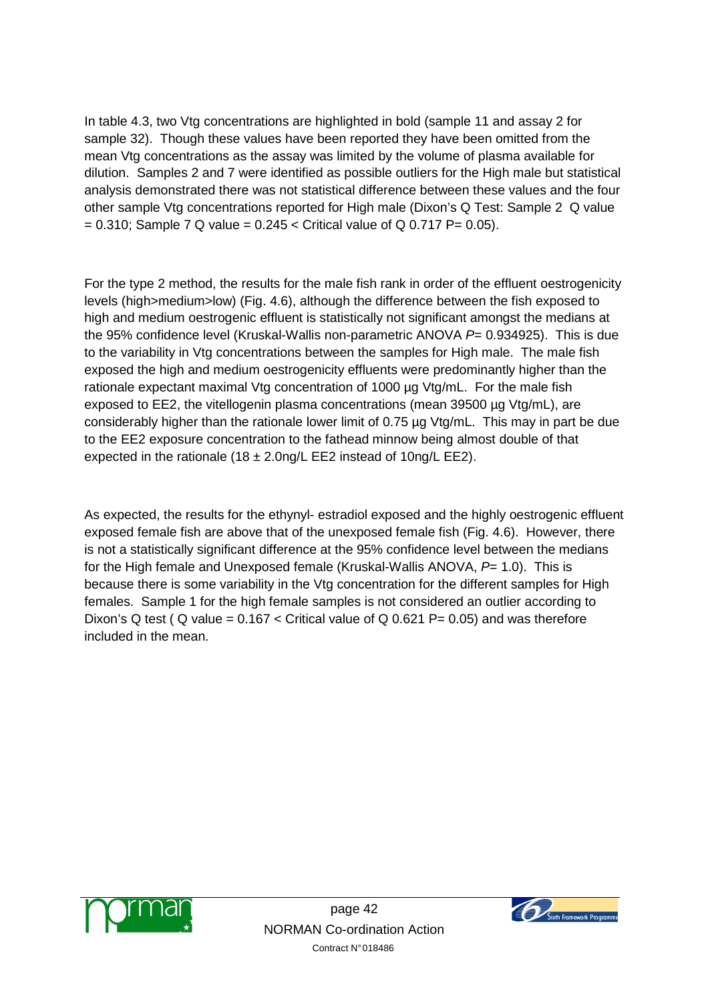In table 4.3, two Vtg concentrations are highlighted in bold (sample 11 and assay 2 for sample 32). Though these values have been reported they have been omitted from the mean Vtg concentrations as the assay was limited by the volume of plasma available for dilution. Samples 2 and 7 were identified as possible outliers for the High male but statistical analysis demonstrated there was not statistical difference between these values and the four other sample Vtg concentrations reported for High male (Dixon's Q Test: Sample 2 Q value  $= 0.310$ ; Sample 7 Q value  $= 0.245 <$  Critical value of Q 0.717 P= 0.05).

For the type 2 method, the results for the male fish rank in order of the effluent oestrogenicity levels (high>medium>low) (Fig. 4.6), although the difference between the fish exposed to high and medium oestrogenic effluent is statistically not significant amongst the medians at the 95% confidence level (Kruskal-Wallis non-parametric ANOVA  $P= 0.934925$ ). This is due to the variability in Vtg concentrations between the samples for High male. The male fish exposed the high and medium oestrogenicity effluents were predominantly higher than the rationale expectant maximal Vtg concentration of 1000 µg Vtg/mL. For the male fish exposed to EE2, the vitellogenin plasma concentrations (mean 39500 µg Vtg/mL), are considerably higher than the rationale lower limit of 0.75 µg Vtg/mL. This may in part be due to the EE2 exposure concentration to the fathead minnow being almost double of that expected in the rationale  $(18 \pm 2.0)$ ng/L EE2 instead of 10ng/L EE2).

As expected, the results for the ethynyl- estradiol exposed and the highly oestrogenic effluent exposed female fish are above that of the unexposed female fish (Fig. 4.6). However, there is not a statistically significant difference at the 95% confidence level between the medians for the High female and Unexposed female (Kruskal-Wallis ANOVA,  $P= 1.0$ ). This is because there is some variability in the Vtg concentration for the different samples for High females. Sample 1 for the high female samples is not considered an outlier according to Dixon's Q test ( Q value =  $0.167 <$  Critical value of Q 0.621 P= 0.05) and was therefore included in the mean.



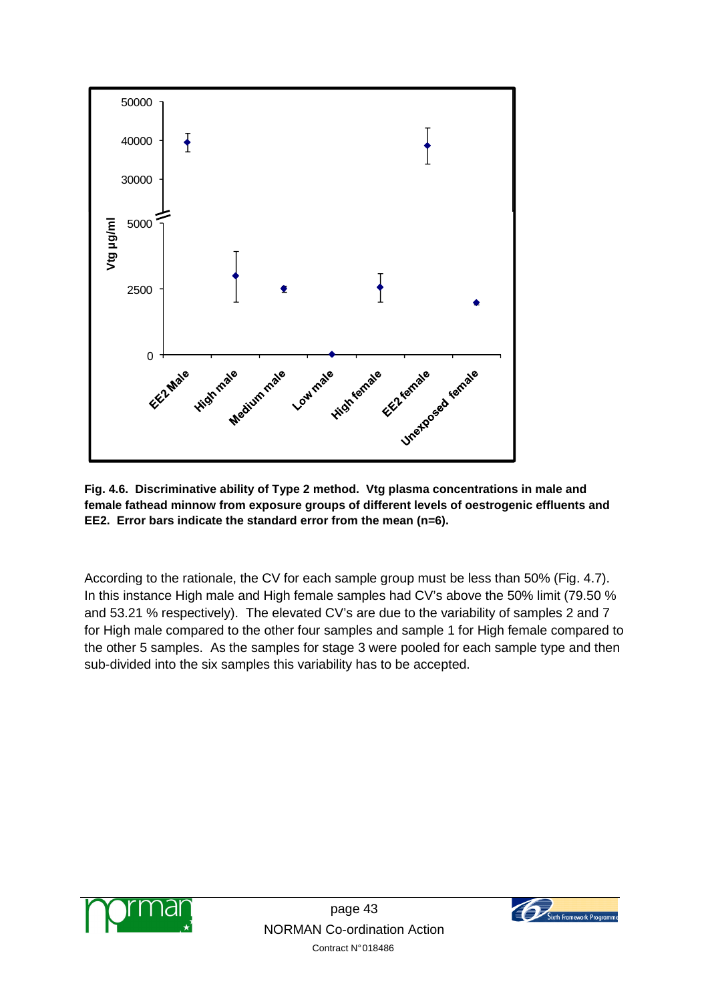

**Fig. 4.6. Discriminative ability of Type 2 method. Vtg plasma concentrations in male and female fathead minnow from exposure groups of different levels of oestrogenic effluents and EE2. Error bars indicate the standard error from the mean (n=6).** 

According to the rationale, the CV for each sample group must be less than 50% (Fig. 4.7). In this instance High male and High female samples had CV's above the 50% limit (79.50 % and 53.21 % respectively). The elevated CV's are due to the variability of samples 2 and 7 for High male compared to the other four samples and sample 1 for High female compared to the other 5 samples. As the samples for stage 3 were pooled for each sample type and then sub-divided into the six samples this variability has to be accepted.



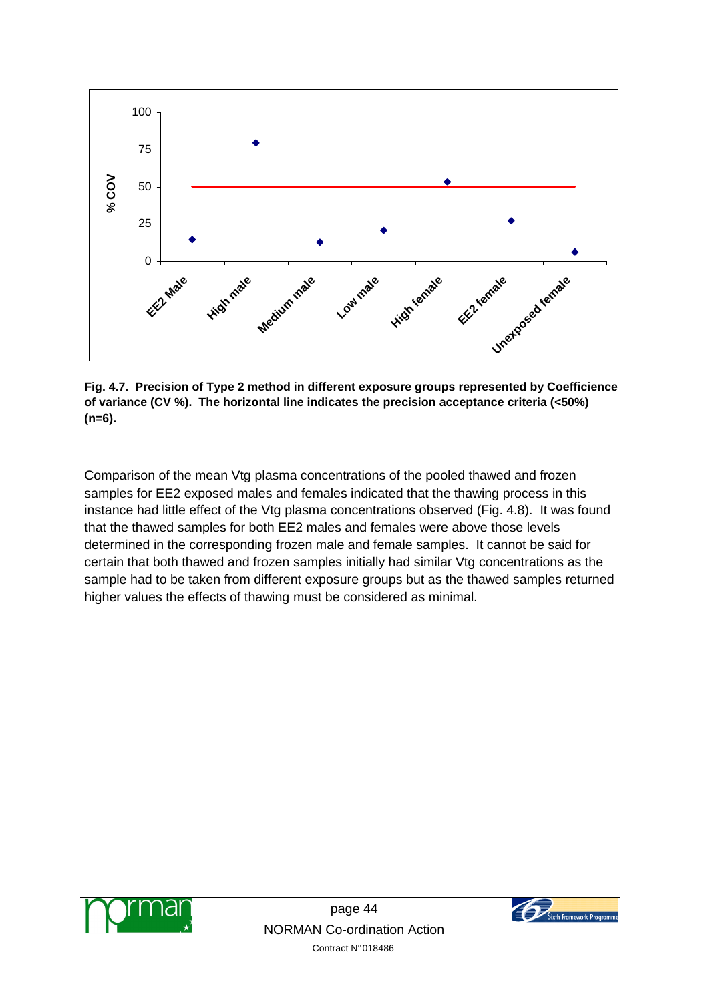

**Fig. 4.7. Precision of Type 2 method in different exposure groups represented by Coefficience of variance (CV %). The horizontal line indicates the precision acceptance criteria (<50%) (n=6).** 

Comparison of the mean Vtg plasma concentrations of the pooled thawed and frozen samples for EE2 exposed males and females indicated that the thawing process in this instance had little effect of the Vtg plasma concentrations observed (Fig. 4.8). It was found that the thawed samples for both EE2 males and females were above those levels determined in the corresponding frozen male and female samples. It cannot be said for certain that both thawed and frozen samples initially had similar Vtg concentrations as the sample had to be taken from different exposure groups but as the thawed samples returned higher values the effects of thawing must be considered as minimal.



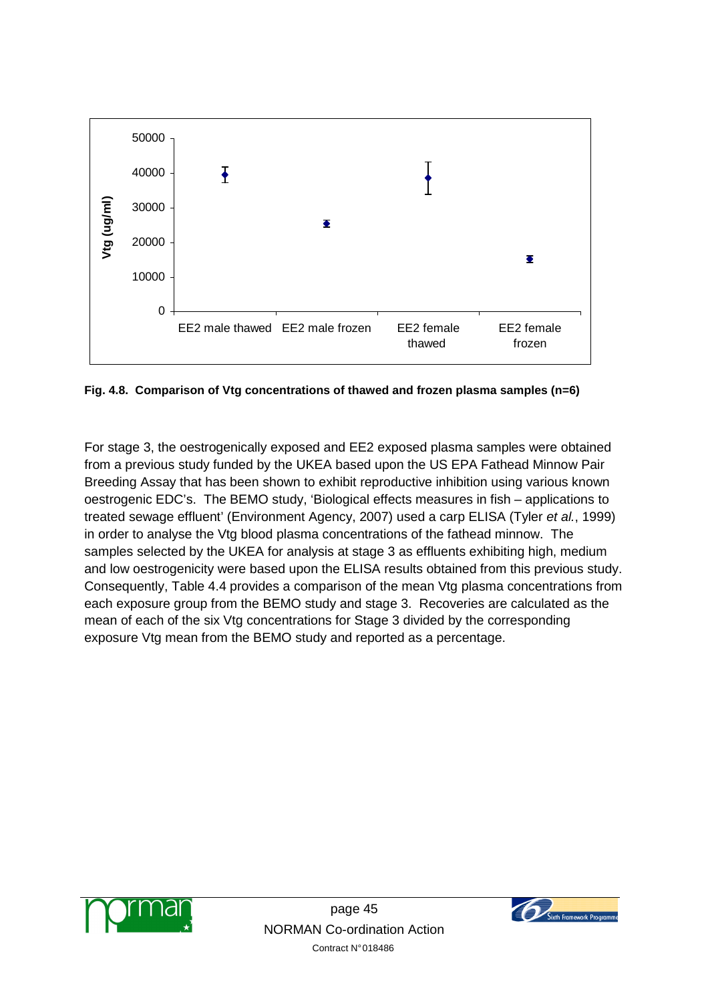

**Fig. 4.8. Comparison of Vtg concentrations of thawed and frozen plasma samples (n=6)** 

For stage 3, the oestrogenically exposed and EE2 exposed plasma samples were obtained from a previous study funded by the UKEA based upon the US EPA Fathead Minnow Pair Breeding Assay that has been shown to exhibit reproductive inhibition using various known oestrogenic EDC's. The BEMO study, 'Biological effects measures in fish – applications to treated sewage effluent' (Environment Agency, 2007) used a carp ELISA (Tyler et al., 1999) in order to analyse the Vtg blood plasma concentrations of the fathead minnow. The samples selected by the UKEA for analysis at stage 3 as effluents exhibiting high, medium and low oestrogenicity were based upon the ELISA results obtained from this previous study. Consequently, Table 4.4 provides a comparison of the mean Vtg plasma concentrations from each exposure group from the BEMO study and stage 3. Recoveries are calculated as the mean of each of the six Vtg concentrations for Stage 3 divided by the corresponding exposure Vtg mean from the BEMO study and reported as a percentage.



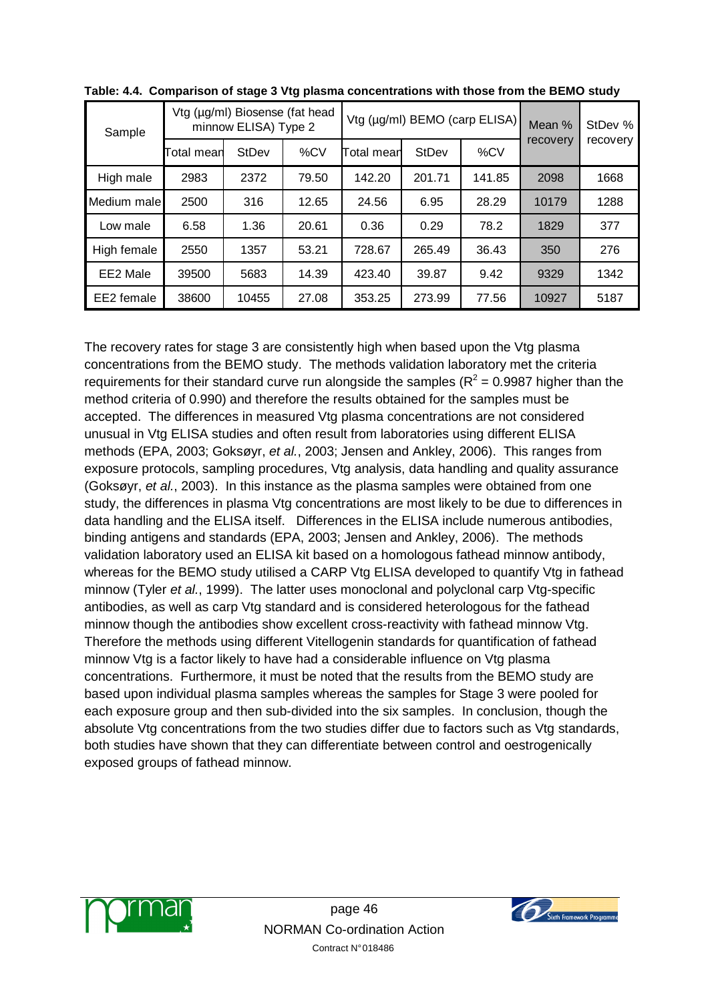| Sample      | Vtg (µg/ml) Biosense (fat head<br>minnow ELISA) Type 2 |       |       |            | Vtg (µg/ml) BEMO (carp ELISA) | Mean % | StDev %  |          |  |
|-------------|--------------------------------------------------------|-------|-------|------------|-------------------------------|--------|----------|----------|--|
|             | <b>StDev</b><br>%CV<br>Total mean                      |       |       | Total mean | %CV<br><b>StDev</b>           |        | recovery | recovery |  |
| High male   | 2983                                                   | 2372  | 79.50 | 142.20     | 201.71                        | 141.85 | 2098     | 1668     |  |
| Medium male | 2500                                                   | 316   | 12.65 | 24.56      | 6.95                          | 28.29  | 10179    | 1288     |  |
| Low male    | 6.58                                                   | 1.36  | 20.61 | 0.36       | 0.29                          | 78.2   | 1829     | 377      |  |
| High female | 2550                                                   | 1357  | 53.21 | 728.67     | 265.49                        | 36.43  | 350      | 276      |  |
| EE2 Male    | 39500                                                  | 5683  | 14.39 | 423.40     | 39.87                         | 9.42   | 9329     | 1342     |  |
| EE2 female  | 38600                                                  | 10455 | 27.08 | 353.25     | 273.99                        | 77.56  | 10927    | 5187     |  |

The recovery rates for stage 3 are consistently high when based upon the Vtg plasma concentrations from the BEMO study. The methods validation laboratory met the criteria requirements for their standard curve run alongside the samples ( $R^2$  = 0.9987 higher than the method criteria of 0.990) and therefore the results obtained for the samples must be accepted. The differences in measured Vtg plasma concentrations are not considered unusual in Vtg ELISA studies and often result from laboratories using different ELISA methods (EPA, 2003; Goksøyr, et al., 2003; Jensen and Ankley, 2006). This ranges from exposure protocols, sampling procedures, Vtg analysis, data handling and quality assurance (Goksøyr, et al., 2003). In this instance as the plasma samples were obtained from one study, the differences in plasma Vtg concentrations are most likely to be due to differences in data handling and the ELISA itself. Differences in the ELISA include numerous antibodies, binding antigens and standards (EPA, 2003; Jensen and Ankley, 2006). The methods validation laboratory used an ELISA kit based on a homologous fathead minnow antibody, whereas for the BEMO study utilised a CARP Vtg ELISA developed to quantify Vtg in fathead minnow (Tyler et al., 1999). The latter uses monoclonal and polyclonal carp Vtg-specific antibodies, as well as carp Vtg standard and is considered heterologous for the fathead minnow though the antibodies show excellent cross-reactivity with fathead minnow Vtg. Therefore the methods using different Vitellogenin standards for quantification of fathead minnow Vtg is a factor likely to have had a considerable influence on Vtg plasma concentrations. Furthermore, it must be noted that the results from the BEMO study are based upon individual plasma samples whereas the samples for Stage 3 were pooled for each exposure group and then sub-divided into the six samples. In conclusion, though the absolute Vtg concentrations from the two studies differ due to factors such as Vtg standards, both studies have shown that they can differentiate between control and oestrogenically exposed groups of fathead minnow.



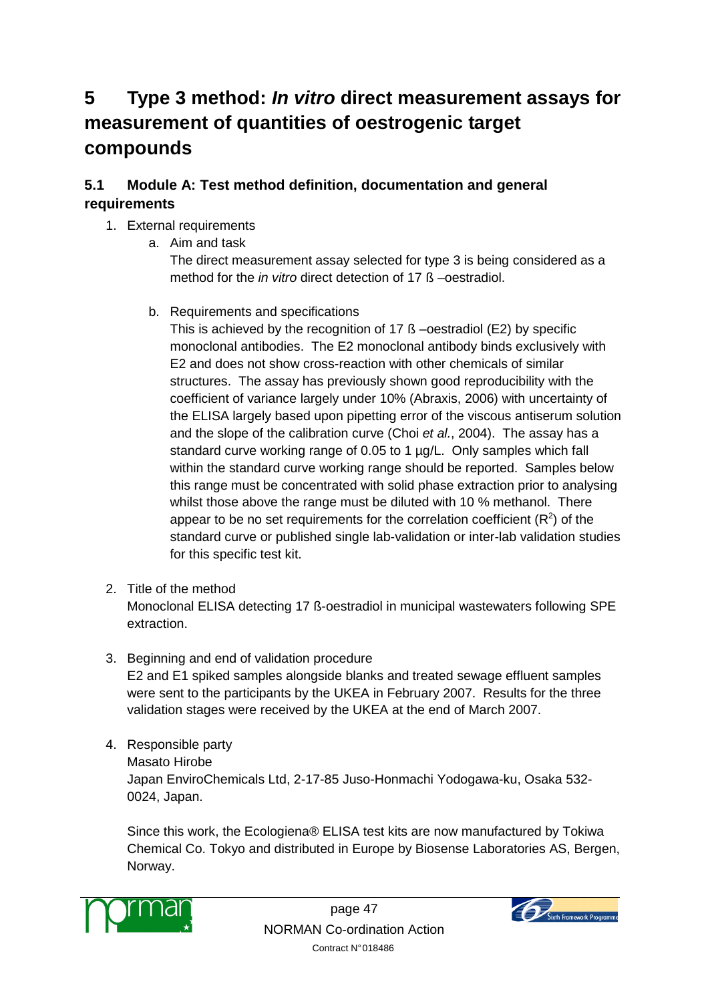# **5 Type 3 method: In vitro direct measurement assays for measurement of quantities of oestrogenic target compounds**

## **5.1 Module A: Test method definition, documentation and general requirements**

## 1. External requirements

a. Aim and task

The direct measurement assay selected for type 3 is being considered as a method for the in vitro direct detection of 17 ß –oestradiol.

b. Requirements and specifications

This is achieved by the recognition of 17 ß –oestradiol (E2) by specific monoclonal antibodies. The E2 monoclonal antibody binds exclusively with E2 and does not show cross-reaction with other chemicals of similar structures. The assay has previously shown good reproducibility with the coefficient of variance largely under 10% (Abraxis, 2006) with uncertainty of the ELISA largely based upon pipetting error of the viscous antiserum solution and the slope of the calibration curve (Choi et al., 2004). The assay has a standard curve working range of 0.05 to 1 µg/L. Only samples which fall within the standard curve working range should be reported. Samples below this range must be concentrated with solid phase extraction prior to analysing whilst those above the range must be diluted with 10 % methanol. There appear to be no set requirements for the correlation coefficient  $(R^2)$  of the standard curve or published single lab-validation or inter-lab validation studies for this specific test kit.

- 2. Title of the method Monoclonal ELISA detecting 17 ß-oestradiol in municipal wastewaters following SPE extraction.
- 3. Beginning and end of validation procedure

E2 and E1 spiked samples alongside blanks and treated sewage effluent samples were sent to the participants by the UKEA in February 2007. Results for the three validation stages were received by the UKEA at the end of March 2007.

- 4. Responsible party
	- Masato Hirobe

Japan EnviroChemicals Ltd, 2-17-85 Juso-Honmachi Yodogawa-ku, Osaka 532- 0024, Japan.

Since this work, the Ecologiena® ELISA test kits are now manufactured by Tokiwa Chemical Co. Tokyo and distributed in Europe by Biosense Laboratories AS, Bergen, Norway.



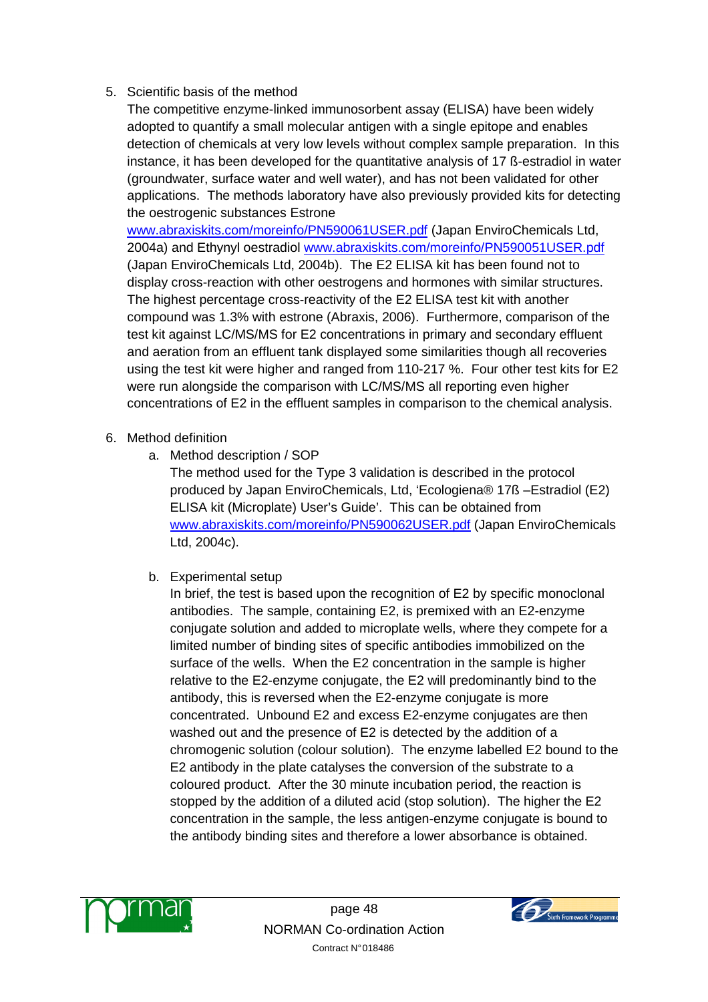## 5. Scientific basis of the method

The competitive enzyme-linked immunosorbent assay (ELISA) have been widely adopted to quantify a small molecular antigen with a single epitope and enables detection of chemicals at very low levels without complex sample preparation. In this instance, it has been developed for the quantitative analysis of 17 ß-estradiol in water (groundwater, surface water and well water), and has not been validated for other applications. The methods laboratory have also previously provided kits for detecting the oestrogenic substances Estrone

www.abraxiskits.com/moreinfo/PN590061USER.pdf (Japan EnviroChemicals Ltd, 2004a) and Ethynyl oestradiol www.abraxiskits.com/moreinfo/PN590051USER.pdf (Japan EnviroChemicals Ltd, 2004b). The E2 ELISA kit has been found not to display cross-reaction with other oestrogens and hormones with similar structures. The highest percentage cross-reactivity of the E2 ELISA test kit with another compound was 1.3% with estrone (Abraxis, 2006). Furthermore, comparison of the test kit against LC/MS/MS for E2 concentrations in primary and secondary effluent and aeration from an effluent tank displayed some similarities though all recoveries using the test kit were higher and ranged from 110-217 %. Four other test kits for E2 were run alongside the comparison with LC/MS/MS all reporting even higher concentrations of E2 in the effluent samples in comparison to the chemical analysis.

- 6. Method definition
	- a. Method description / SOP

The method used for the Type 3 validation is described in the protocol produced by Japan EnviroChemicals, Ltd, 'Ecologiena® 17ß –Estradiol (E2) ELISA kit (Microplate) User's Guide'. This can be obtained from www.abraxiskits.com/moreinfo/PN590062USER.pdf (Japan EnviroChemicals Ltd, 2004c).

b. Experimental setup

In brief, the test is based upon the recognition of E2 by specific monoclonal antibodies. The sample, containing E2, is premixed with an E2-enzyme conjugate solution and added to microplate wells, where they compete for a limited number of binding sites of specific antibodies immobilized on the surface of the wells. When the E2 concentration in the sample is higher relative to the E2-enzyme conjugate, the E2 will predominantly bind to the antibody, this is reversed when the E2-enzyme conjugate is more concentrated. Unbound E2 and excess E2-enzyme conjugates are then washed out and the presence of E2 is detected by the addition of a chromogenic solution (colour solution). The enzyme labelled E2 bound to the E2 antibody in the plate catalyses the conversion of the substrate to a coloured product. After the 30 minute incubation period, the reaction is stopped by the addition of a diluted acid (stop solution). The higher the E2 concentration in the sample, the less antigen-enzyme conjugate is bound to the antibody binding sites and therefore a lower absorbance is obtained.



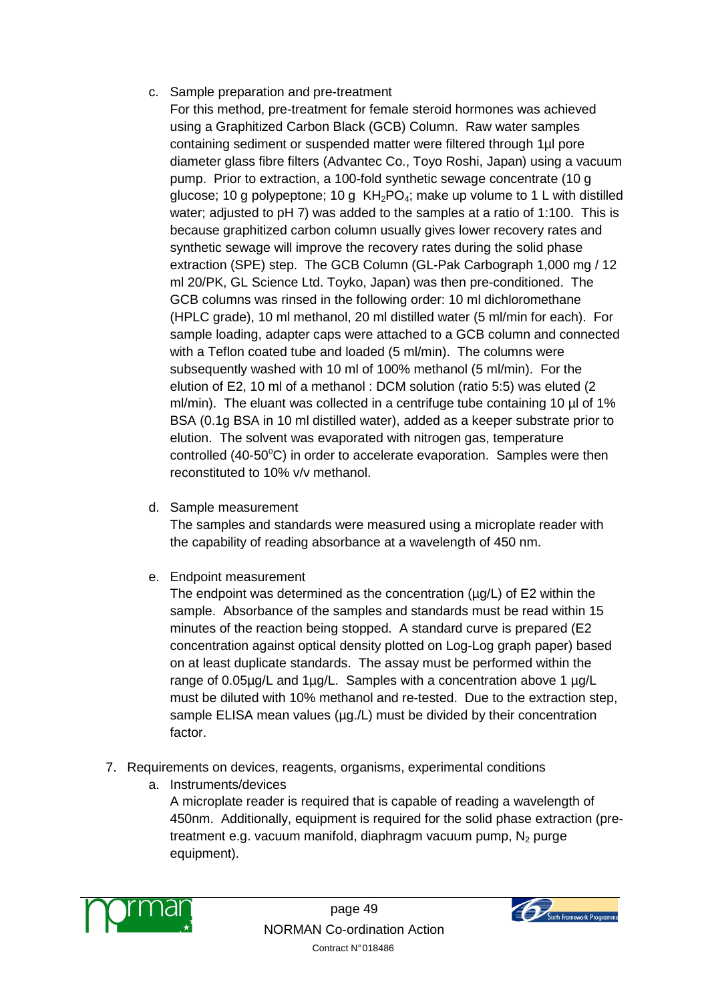#### c. Sample preparation and pre-treatment

- For this method, pre-treatment for female steroid hormones was achieved using a Graphitized Carbon Black (GCB) Column. Raw water samples containing sediment or suspended matter were filtered through 1µl pore diameter glass fibre filters (Advantec Co., Toyo Roshi, Japan) using a vacuum pump. Prior to extraction, a 100-fold synthetic sewage concentrate (10 g glucose; 10 g polypeptone; 10 g  $KH<sub>2</sub>PO<sub>4</sub>$ ; make up volume to 1 L with distilled water; adjusted to pH 7) was added to the samples at a ratio of 1:100. This is because graphitized carbon column usually gives lower recovery rates and synthetic sewage will improve the recovery rates during the solid phase extraction (SPE) step. The GCB Column (GL-Pak Carbograph 1,000 mg / 12 ml 20/PK, GL Science Ltd. Toyko, Japan) was then pre-conditioned. The GCB columns was rinsed in the following order: 10 ml dichloromethane (HPLC grade), 10 ml methanol, 20 ml distilled water (5 ml/min for each). For sample loading, adapter caps were attached to a GCB column and connected with a Teflon coated tube and loaded (5 ml/min). The columns were subsequently washed with 10 ml of 100% methanol (5 ml/min). For the elution of E2, 10 ml of a methanol : DCM solution (ratio 5:5) was eluted (2 ml/min). The eluant was collected in a centrifuge tube containing 10 µl of 1% BSA (0.1g BSA in 10 ml distilled water), added as a keeper substrate prior to elution. The solvent was evaporated with nitrogen gas, temperature controlled (40-50 $\degree$ C) in order to accelerate evaporation. Samples were then reconstituted to 10% v/v methanol.
- d. Sample measurement

The samples and standards were measured using a microplate reader with the capability of reading absorbance at a wavelength of 450 nm.

e. Endpoint measurement

The endpoint was determined as the concentration ( $\mu$ g/L) of E2 within the sample. Absorbance of the samples and standards must be read within 15 minutes of the reaction being stopped. A standard curve is prepared (E2 concentration against optical density plotted on Log-Log graph paper) based on at least duplicate standards. The assay must be performed within the range of 0.05µg/L and 1µg/L. Samples with a concentration above 1 µg/L must be diluted with 10% methanol and re-tested. Due to the extraction step, sample ELISA mean values (µg./L) must be divided by their concentration factor.

- 7. Requirements on devices, reagents, organisms, experimental conditions
	- a. Instruments/devices

A microplate reader is required that is capable of reading a wavelength of 450nm. Additionally, equipment is required for the solid phase extraction (pretreatment e.g. vacuum manifold, diaphragm vacuum pump,  $N_2$  purge equipment).



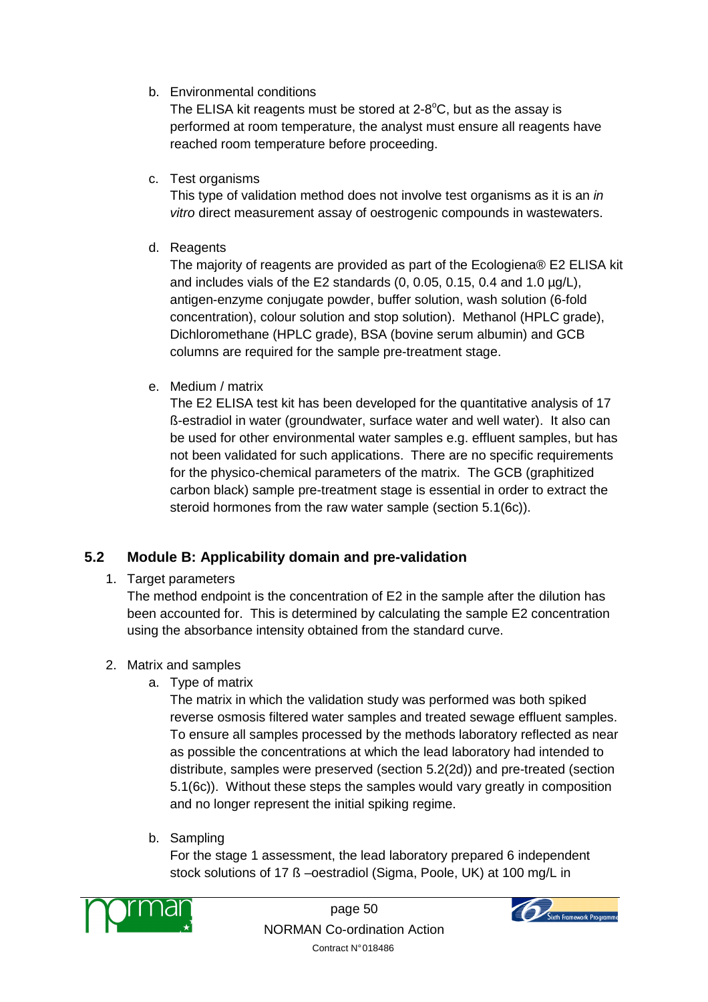b. Environmental conditions

The ELISA kit reagents must be stored at  $2-8^{\circ}C$ , but as the assay is performed at room temperature, the analyst must ensure all reagents have reached room temperature before proceeding.

c. Test organisms

This type of validation method does not involve test organisms as it is an in vitro direct measurement assay of oestrogenic compounds in wastewaters.

d. Reagents

The majority of reagents are provided as part of the Ecologiena® E2 ELISA kit and includes vials of the E2 standards  $(0, 0.05, 0.15, 0.4$  and  $1.0 \mu g/L$ ), antigen-enzyme conjugate powder, buffer solution, wash solution (6-fold concentration), colour solution and stop solution). Methanol (HPLC grade), Dichloromethane (HPLC grade), BSA (bovine serum albumin) and GCB columns are required for the sample pre-treatment stage.

e. Medium / matrix

The E2 ELISA test kit has been developed for the quantitative analysis of 17 ß-estradiol in water (groundwater, surface water and well water). It also can be used for other environmental water samples e.g. effluent samples, but has not been validated for such applications. There are no specific requirements for the physico-chemical parameters of the matrix. The GCB (graphitized carbon black) sample pre-treatment stage is essential in order to extract the steroid hormones from the raw water sample (section 5.1(6c)).

## **5.2 Module B: Applicability domain and pre-validation**

1. Target parameters

The method endpoint is the concentration of E2 in the sample after the dilution has been accounted for. This is determined by calculating the sample E2 concentration using the absorbance intensity obtained from the standard curve.

- 2. Matrix and samples
	- a. Type of matrix

The matrix in which the validation study was performed was both spiked reverse osmosis filtered water samples and treated sewage effluent samples. To ensure all samples processed by the methods laboratory reflected as near as possible the concentrations at which the lead laboratory had intended to distribute, samples were preserved (section 5.2(2d)) and pre-treated (section 5.1(6c)). Without these steps the samples would vary greatly in composition and no longer represent the initial spiking regime.

b. Sampling

For the stage 1 assessment, the lead laboratory prepared 6 independent stock solutions of 17 ß –oestradiol (Sigma, Poole, UK) at 100 mg/L in



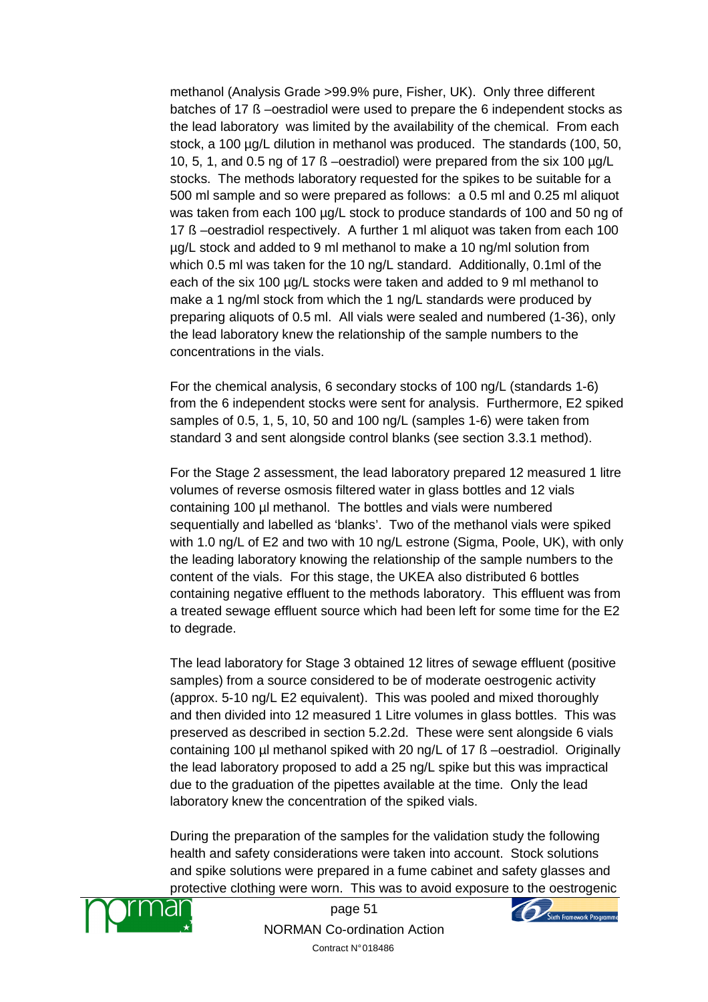methanol (Analysis Grade >99.9% pure, Fisher, UK). Only three different batches of 17 ß –oestradiol were used to prepare the 6 independent stocks as the lead laboratory was limited by the availability of the chemical. From each stock, a 100 µg/L dilution in methanol was produced. The standards (100, 50, 10, 5, 1, and 0.5 ng of 17 ß –oestradiol) were prepared from the six 100 µg/L stocks. The methods laboratory requested for the spikes to be suitable for a 500 ml sample and so were prepared as follows: a 0.5 ml and 0.25 ml aliquot was taken from each 100 µg/L stock to produce standards of 100 and 50 ng of 17 ß –oestradiol respectively. A further 1 ml aliquot was taken from each 100 µg/L stock and added to 9 ml methanol to make a 10 ng/ml solution from which 0.5 ml was taken for the 10 ng/L standard. Additionally, 0.1ml of the each of the six 100 µg/L stocks were taken and added to 9 ml methanol to make a 1 ng/ml stock from which the 1 ng/L standards were produced by preparing aliquots of 0.5 ml. All vials were sealed and numbered (1-36), only the lead laboratory knew the relationship of the sample numbers to the concentrations in the vials.

For the chemical analysis, 6 secondary stocks of 100 ng/L (standards 1-6) from the 6 independent stocks were sent for analysis. Furthermore, E2 spiked samples of 0.5, 1, 5, 10, 50 and 100 ng/L (samples 1-6) were taken from standard 3 and sent alongside control blanks (see section 3.3.1 method).

For the Stage 2 assessment, the lead laboratory prepared 12 measured 1 litre volumes of reverse osmosis filtered water in glass bottles and 12 vials containing 100 µl methanol. The bottles and vials were numbered sequentially and labelled as 'blanks'. Two of the methanol vials were spiked with 1.0 ng/L of E2 and two with 10 ng/L estrone (Sigma, Poole, UK), with only the leading laboratory knowing the relationship of the sample numbers to the content of the vials. For this stage, the UKEA also distributed 6 bottles containing negative effluent to the methods laboratory. This effluent was from a treated sewage effluent source which had been left for some time for the E2 to degrade.

The lead laboratory for Stage 3 obtained 12 litres of sewage effluent (positive samples) from a source considered to be of moderate oestrogenic activity (approx. 5-10 ng/L E2 equivalent). This was pooled and mixed thoroughly and then divided into 12 measured 1 Litre volumes in glass bottles. This was preserved as described in section 5.2.2d. These were sent alongside 6 vials containing 100 µl methanol spiked with 20 ng/L of 17 ß –oestradiol. Originally the lead laboratory proposed to add a 25 ng/L spike but this was impractical due to the graduation of the pipettes available at the time. Only the lead laboratory knew the concentration of the spiked vials.

During the preparation of the samples for the validation study the following health and safety considerations were taken into account. Stock solutions and spike solutions were prepared in a fume cabinet and safety glasses and protective clothing were worn. This was to avoid exposure to the oestrogenic



page 51 NORMAN Co-ordination Action Contract N° 018486

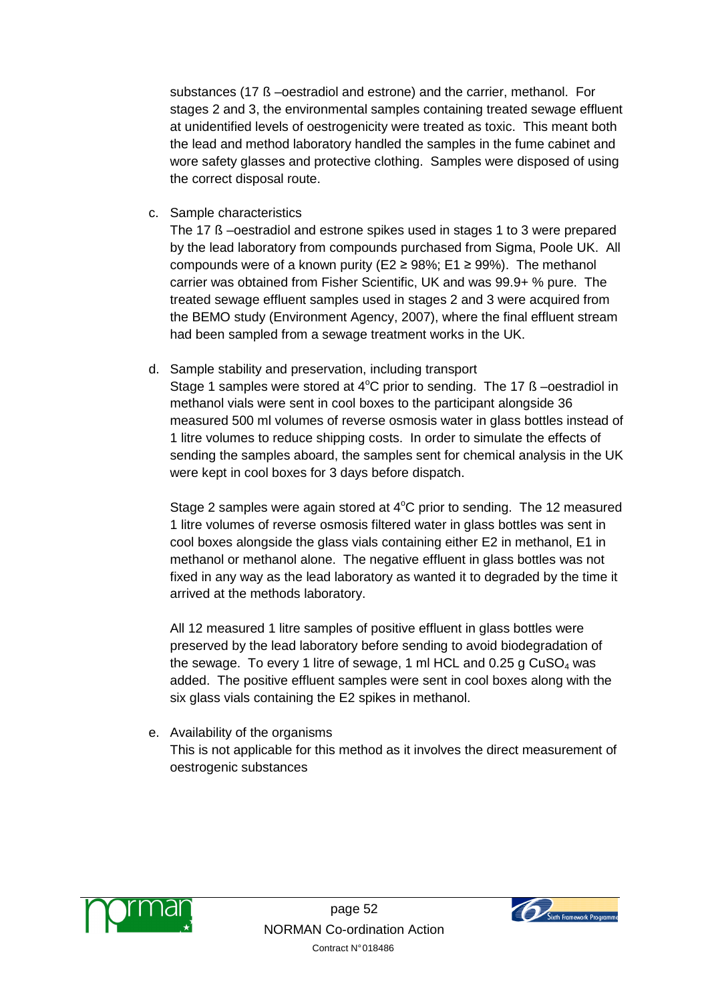substances (17 ß –oestradiol and estrone) and the carrier, methanol. For stages 2 and 3, the environmental samples containing treated sewage effluent at unidentified levels of oestrogenicity were treated as toxic. This meant both the lead and method laboratory handled the samples in the fume cabinet and wore safety glasses and protective clothing. Samples were disposed of using the correct disposal route.

c. Sample characteristics

The 17 ß –oestradiol and estrone spikes used in stages 1 to 3 were prepared by the lead laboratory from compounds purchased from Sigma, Poole UK. All compounds were of a known purity (E2  $\geq$  98%; E1  $\geq$  99%). The methanol carrier was obtained from Fisher Scientific, UK and was 99.9+ % pure. The treated sewage effluent samples used in stages 2 and 3 were acquired from the BEMO study (Environment Agency, 2007), where the final effluent stream had been sampled from a sewage treatment works in the UK.

d. Sample stability and preservation, including transport

Stage 1 samples were stored at  $4^{\circ}$ C prior to sending. The 17 ß –oestradiol in methanol vials were sent in cool boxes to the participant alongside 36 measured 500 ml volumes of reverse osmosis water in glass bottles instead of 1 litre volumes to reduce shipping costs. In order to simulate the effects of sending the samples aboard, the samples sent for chemical analysis in the UK were kept in cool boxes for 3 days before dispatch.

Stage 2 samples were again stored at  $4^{\circ}$ C prior to sending. The 12 measured 1 litre volumes of reverse osmosis filtered water in glass bottles was sent in cool boxes alongside the glass vials containing either E2 in methanol, E1 in methanol or methanol alone. The negative effluent in glass bottles was not fixed in any way as the lead laboratory as wanted it to degraded by the time it arrived at the methods laboratory.

All 12 measured 1 litre samples of positive effluent in glass bottles were preserved by the lead laboratory before sending to avoid biodegradation of the sewage. To every 1 litre of sewage, 1 ml HCL and  $0.25$  g CuSO<sub>4</sub> was added. The positive effluent samples were sent in cool boxes along with the six glass vials containing the E2 spikes in methanol.

e. Availability of the organisms This is not applicable for this method as it involves the direct measurement of oestrogenic substances



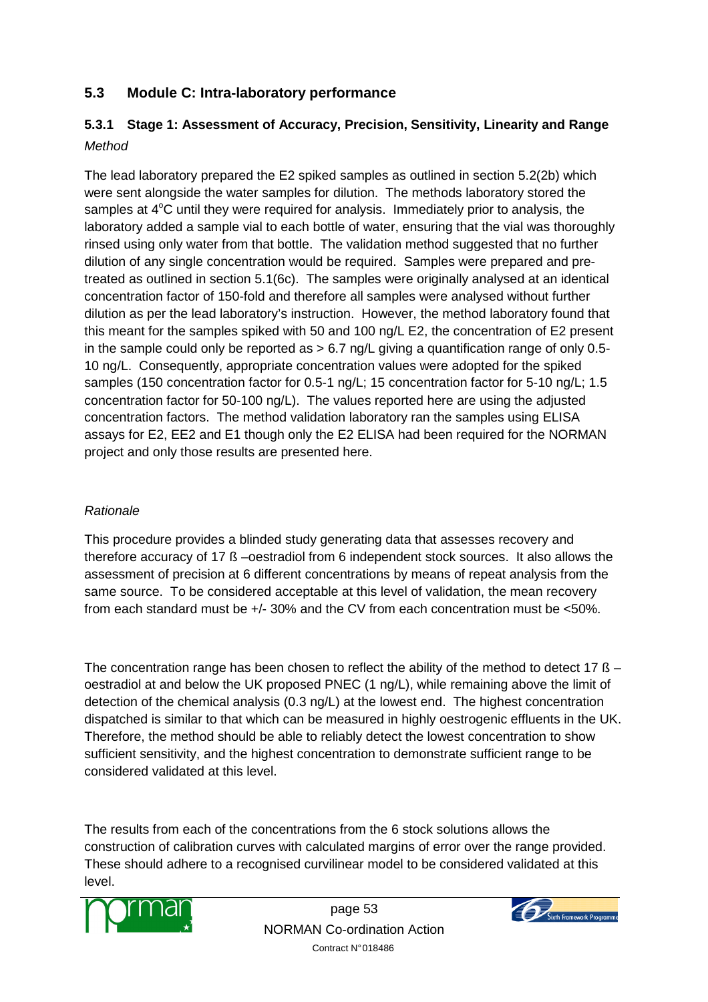## **5.3 Module C: Intra-laboratory performance**

## **5.3.1 Stage 1: Assessment of Accuracy, Precision, Sensitivity, Linearity and Range**  Method

The lead laboratory prepared the E2 spiked samples as outlined in section 5.2(2b) which were sent alongside the water samples for dilution. The methods laboratory stored the samples at  $4^{\circ}$ C until they were required for analysis. Immediately prior to analysis, the laboratory added a sample vial to each bottle of water, ensuring that the vial was thoroughly rinsed using only water from that bottle. The validation method suggested that no further dilution of any single concentration would be required. Samples were prepared and pretreated as outlined in section 5.1(6c). The samples were originally analysed at an identical concentration factor of 150-fold and therefore all samples were analysed without further dilution as per the lead laboratory's instruction. However, the method laboratory found that this meant for the samples spiked with 50 and 100 ng/L E2, the concentration of E2 present in the sample could only be reported as > 6.7 ng/L giving a quantification range of only 0.5- 10 ng/L. Consequently, appropriate concentration values were adopted for the spiked samples (150 concentration factor for 0.5-1 ng/L; 15 concentration factor for 5-10 ng/L; 1.5 concentration factor for 50-100 ng/L). The values reported here are using the adjusted concentration factors. The method validation laboratory ran the samples using ELISA assays for E2, EE2 and E1 though only the E2 ELISA had been required for the NORMAN project and only those results are presented here.

## Rationale

This procedure provides a blinded study generating data that assesses recovery and therefore accuracy of 17 ß –oestradiol from 6 independent stock sources. It also allows the assessment of precision at 6 different concentrations by means of repeat analysis from the same source. To be considered acceptable at this level of validation, the mean recovery from each standard must be +/- 30% and the CV from each concentration must be <50%.

The concentration range has been chosen to reflect the ability of the method to detect 17 ß oestradiol at and below the UK proposed PNEC (1 ng/L), while remaining above the limit of detection of the chemical analysis (0.3 ng/L) at the lowest end. The highest concentration dispatched is similar to that which can be measured in highly oestrogenic effluents in the UK. Therefore, the method should be able to reliably detect the lowest concentration to show sufficient sensitivity, and the highest concentration to demonstrate sufficient range to be considered validated at this level.

The results from each of the concentrations from the 6 stock solutions allows the construction of calibration curves with calculated margins of error over the range provided. These should adhere to a recognised curvilinear model to be considered validated at this level.



page 53 NORMAN Co-ordination Action Contract N° 018486

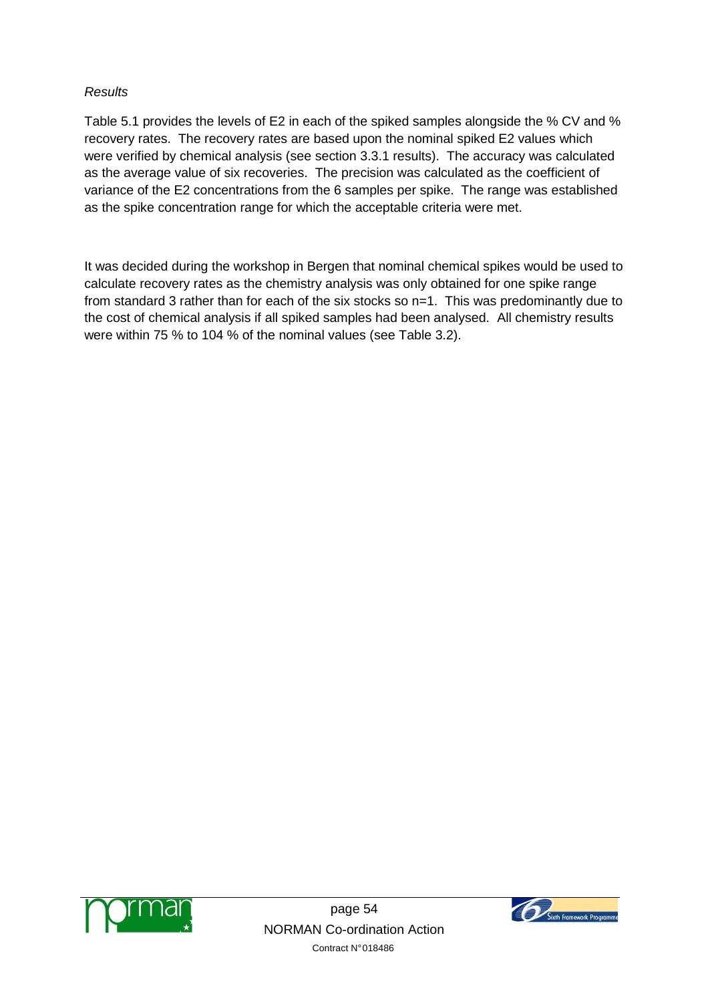#### **Results**

Table 5.1 provides the levels of E2 in each of the spiked samples alongside the % CV and % recovery rates. The recovery rates are based upon the nominal spiked E2 values which were verified by chemical analysis (see section 3.3.1 results). The accuracy was calculated as the average value of six recoveries. The precision was calculated as the coefficient of variance of the E2 concentrations from the 6 samples per spike. The range was established as the spike concentration range for which the acceptable criteria were met.

It was decided during the workshop in Bergen that nominal chemical spikes would be used to calculate recovery rates as the chemistry analysis was only obtained for one spike range from standard 3 rather than for each of the six stocks so n=1. This was predominantly due to the cost of chemical analysis if all spiked samples had been analysed. All chemistry results were within 75 % to 104 % of the nominal values (see Table 3.2).



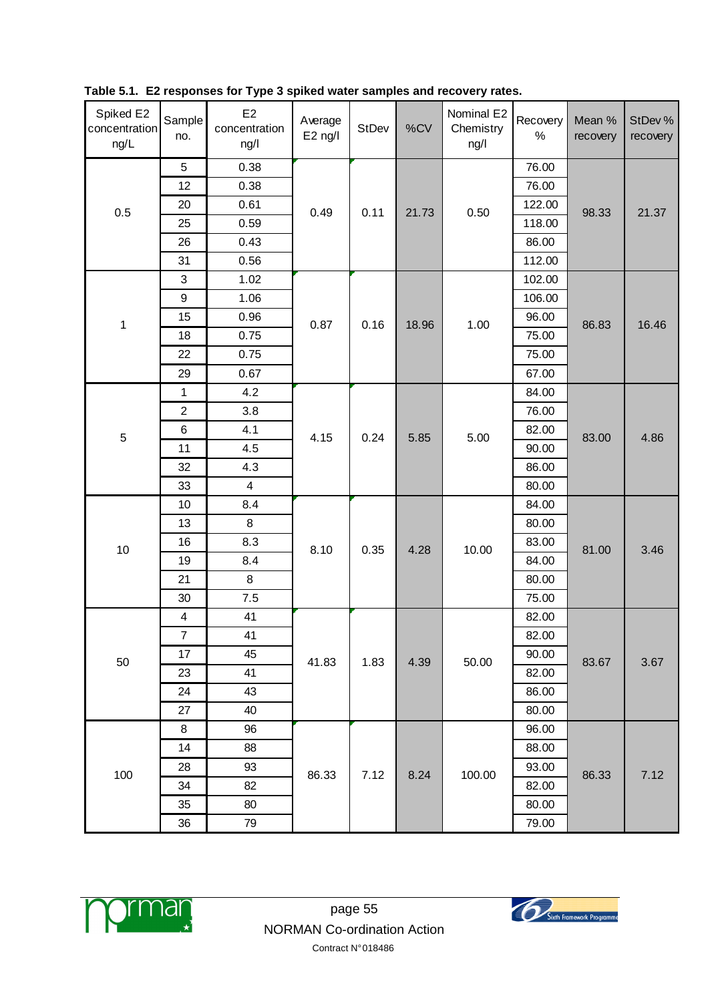| Spiked E2<br>concentration<br>ng/L | Sample<br>no.    | E2<br>concentration<br>ng/l | Average<br>$E2$ ng/l | StDev | %CV   | Nominal E2<br>Chemistry<br>ng/l | Recovery<br>$\%$ | Mean %<br>recovery | StDev %<br>recovery |
|------------------------------------|------------------|-----------------------------|----------------------|-------|-------|---------------------------------|------------------|--------------------|---------------------|
|                                    | $\sqrt{5}$       | 0.38                        |                      |       |       |                                 | 76.00            |                    |                     |
|                                    | 12               | 0.38                        |                      |       |       |                                 | 76.00            |                    |                     |
| 0.5                                | 20               | 0.61                        | 0.49                 | 0.11  | 21.73 | 0.50                            | 122.00           | 98.33              | 21.37               |
|                                    | 25               | 0.59                        |                      |       |       |                                 | 118.00           |                    |                     |
|                                    | 26               | 0.43                        |                      |       |       |                                 | 86.00            |                    |                     |
|                                    | 31               | 0.56                        |                      |       |       |                                 | 112.00           |                    |                     |
|                                    | 3                | 1.02                        |                      |       |       |                                 | 102.00           |                    |                     |
|                                    | $\boldsymbol{9}$ | 1.06                        |                      |       |       |                                 | 106.00           |                    |                     |
| 1                                  | 15               | 0.96                        | 0.87                 | 0.16  | 18.96 | 1.00                            | 96.00            | 86.83              | 16.46               |
|                                    | 18               | 0.75                        |                      |       |       |                                 | 75.00            |                    |                     |
|                                    | 22               | 0.75                        |                      |       |       |                                 | 75.00            |                    |                     |
|                                    | 29               | 0.67                        |                      |       |       |                                 | 67.00            |                    |                     |
|                                    | 1                | 4.2                         |                      |       | 5.85  |                                 | 84.00            |                    |                     |
|                                    | $\overline{2}$   | 3.8                         |                      | 0.24  |       | 5.00                            | 76.00            |                    |                     |
| 5                                  | 6                | 4.1                         | 4.15                 |       |       |                                 | 82.00            | 83.00              | 4.86                |
|                                    | 11               | 4.5                         |                      |       |       |                                 | 90.00            |                    |                     |
|                                    | 32               | 4.3                         |                      |       |       |                                 | 86.00            |                    |                     |
|                                    | 33               | $\overline{\mathbf{4}}$     |                      |       |       |                                 | 80.00            |                    |                     |
|                                    | 10               | 8.4                         |                      | 0.35  | 4.28  |                                 | 84.00            | 81.00              | 3.46                |
|                                    | 13               | 8                           |                      |       |       | 10.00                           | 80.00            |                    |                     |
|                                    | 16               | 8.3                         |                      |       |       |                                 | 83.00            |                    |                     |
| 10                                 | 19               | 8.4                         | 8.10                 |       |       |                                 | 84.00            |                    |                     |
|                                    | 21               | 8                           |                      |       |       |                                 | 80.00            |                    |                     |
|                                    | 30               | 7.5                         |                      |       |       |                                 | 75.00            |                    |                     |
|                                    | 4                | 41                          |                      |       |       |                                 | 82.00            |                    |                     |
|                                    | $\overline{7}$   | 41                          |                      |       |       |                                 | 82.00            |                    |                     |
|                                    | 17               | 45                          |                      |       |       |                                 | 90.00            |                    |                     |
| $50\,$                             | 23               | 41                          | 41.83                | 1.83  | 4.39  | 50.00                           | 82.00            | 83.67              | 3.67                |
|                                    | 24               | 43                          |                      |       |       |                                 | 86.00            |                    |                     |
|                                    | 27               | 40                          |                      |       |       |                                 | 80.00            |                    |                     |
|                                    | 8                | 96                          |                      |       |       |                                 | 96.00            |                    |                     |
|                                    | 14               | 88                          |                      |       |       |                                 | 88.00            | 86.33              |                     |
|                                    | 28               | 93                          |                      |       |       |                                 | 93.00            |                    |                     |
| 100                                | 34               | 82                          | 86.33                | 7.12  | 8.24  | 100.00                          | 82.00            |                    | 7.12                |
|                                    | 35               | 80                          |                      |       |       |                                 | 80.00            |                    |                     |
|                                    | 36               | 79                          |                      |       |       |                                 | 79.00            |                    |                     |

**Table 5.1. E2 responses for Type 3 spiked water samples and recovery rates.**



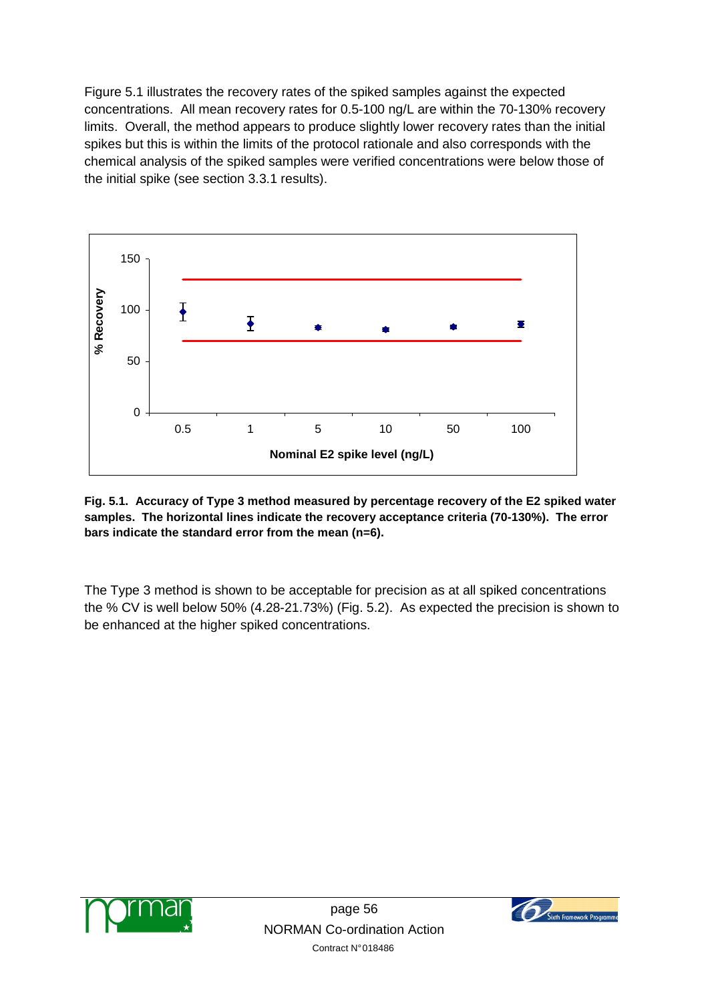Figure 5.1 illustrates the recovery rates of the spiked samples against the expected concentrations. All mean recovery rates for 0.5-100 ng/L are within the 70-130% recovery limits. Overall, the method appears to produce slightly lower recovery rates than the initial spikes but this is within the limits of the protocol rationale and also corresponds with the chemical analysis of the spiked samples were verified concentrations were below those of the initial spike (see section 3.3.1 results).



**Fig. 5.1. Accuracy of Type 3 method measured by percentage recovery of the E2 spiked water samples. The horizontal lines indicate the recovery acceptance criteria (70-130%). The error bars indicate the standard error from the mean (n=6).** 

The Type 3 method is shown to be acceptable for precision as at all spiked concentrations the % CV is well below 50% (4.28-21.73%) (Fig. 5.2). As expected the precision is shown to be enhanced at the higher spiked concentrations.



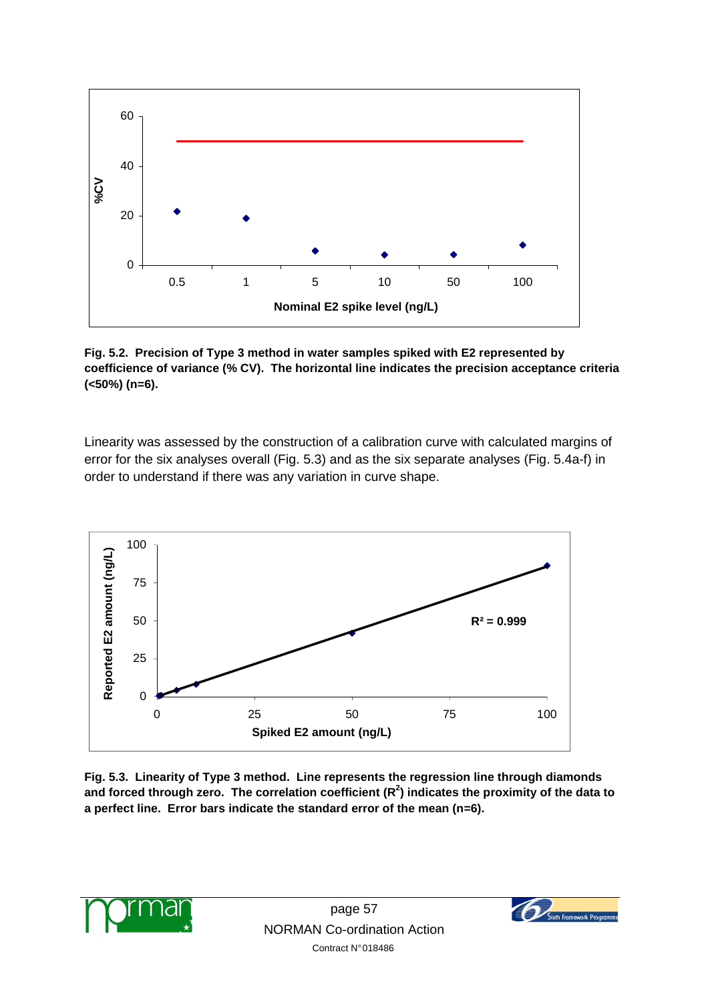

**Fig. 5.2. Precision of Type 3 method in water samples spiked with E2 represented by coefficience of variance (% CV). The horizontal line indicates the precision acceptance criteria (<50%) (n=6).** 

Linearity was assessed by the construction of a calibration curve with calculated margins of error for the six analyses overall (Fig. 5.3) and as the six separate analyses (Fig. 5.4a-f) in order to understand if there was any variation in curve shape.



**Fig. 5.3. Linearity of Type 3 method. Line represents the regression line through diamonds and forced through zero. The correlation coefficient (R<sup>2</sup> ) indicates the proximity of the data to a perfect line. Error bars indicate the standard error of the mean (n=6).**



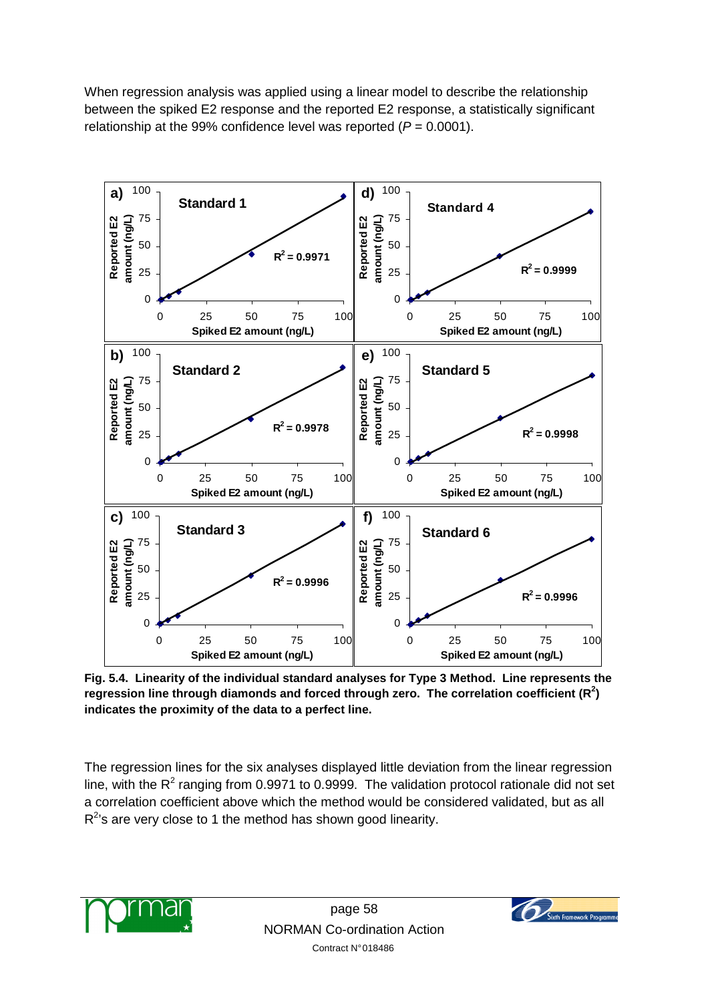When regression analysis was applied using a linear model to describe the relationship between the spiked E2 response and the reported E2 response, a statistically significant relationship at the 99% confidence level was reported ( $P = 0.0001$ ).



**Fig. 5.4. Linearity of the individual standard analyses for Type 3 Method. Line represents the regression line through diamonds and forced through zero. The correlation coefficient (R<sup>2</sup> ) indicates the proximity of the data to a perfect line.** 

The regression lines for the six analyses displayed little deviation from the linear regression line, with the R<sup>2</sup> ranging from 0.9971 to 0.9999. The validation protocol rationale did not set a correlation coefficient above which the method would be considered validated, but as all  $R<sup>2</sup>$ 's are very close to 1 the method has shown good linearity.



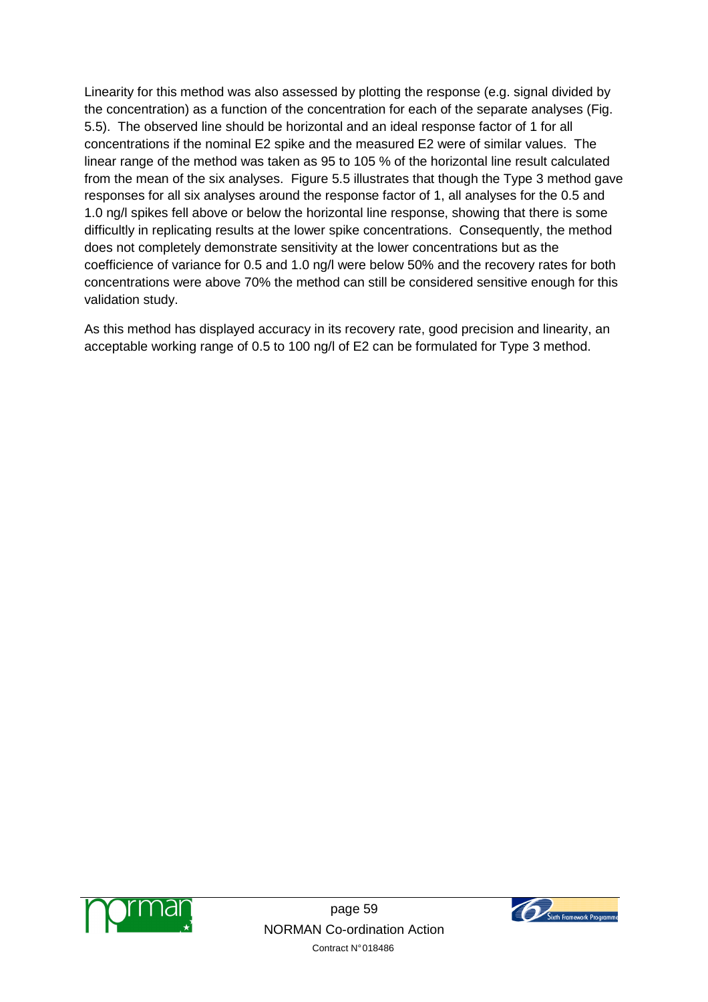Linearity for this method was also assessed by plotting the response (e.g. signal divided by the concentration) as a function of the concentration for each of the separate analyses (Fig. 5.5). The observed line should be horizontal and an ideal response factor of 1 for all concentrations if the nominal E2 spike and the measured E2 were of similar values. The linear range of the method was taken as 95 to 105 % of the horizontal line result calculated from the mean of the six analyses. Figure 5.5 illustrates that though the Type 3 method gave responses for all six analyses around the response factor of 1, all analyses for the 0.5 and 1.0 ng/l spikes fell above or below the horizontal line response, showing that there is some difficultly in replicating results at the lower spike concentrations. Consequently, the method does not completely demonstrate sensitivity at the lower concentrations but as the coefficience of variance for 0.5 and 1.0 ng/l were below 50% and the recovery rates for both concentrations were above 70% the method can still be considered sensitive enough for this validation study.

As this method has displayed accuracy in its recovery rate, good precision and linearity, an acceptable working range of 0.5 to 100 ng/l of E2 can be formulated for Type 3 method.



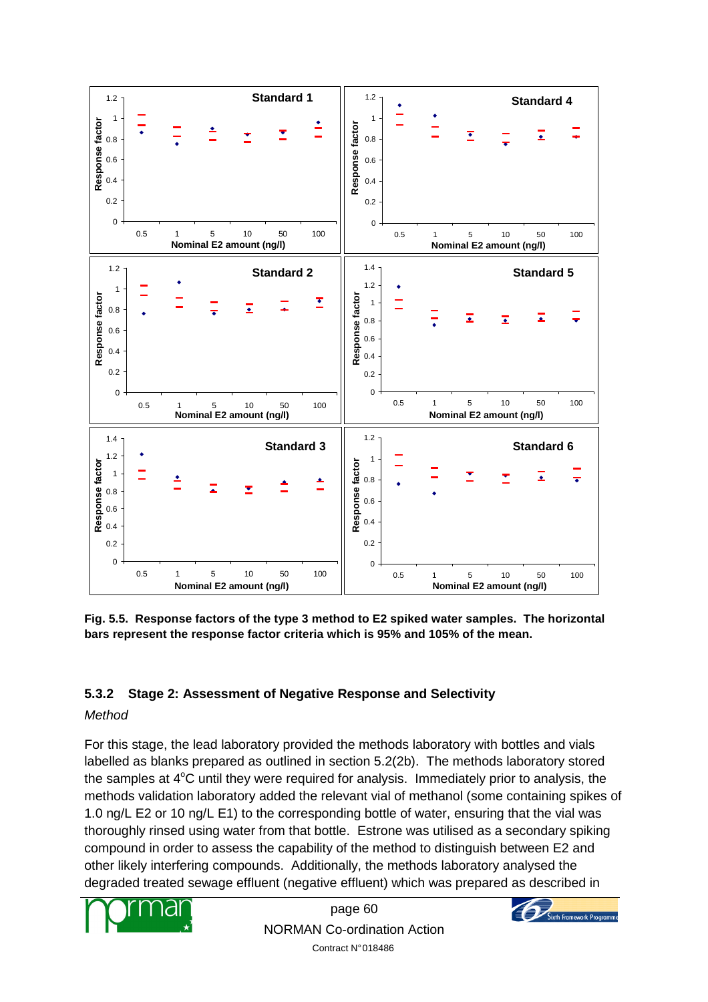

**Fig. 5.5. Response factors of the type 3 method to E2 spiked water samples. The horizontal bars represent the response factor criteria which is 95% and 105% of the mean.** 

## **5.3.2 Stage 2: Assessment of Negative Response and Selectivity**

## Method

For this stage, the lead laboratory provided the methods laboratory with bottles and vials labelled as blanks prepared as outlined in section 5.2(2b). The methods laboratory stored the samples at  $4^{\circ}$ C until they were required for analysis. Immediately prior to analysis, the methods validation laboratory added the relevant vial of methanol (some containing spikes of 1.0 ng/L E2 or 10 ng/L E1) to the corresponding bottle of water, ensuring that the vial was thoroughly rinsed using water from that bottle. Estrone was utilised as a secondary spiking compound in order to assess the capability of the method to distinguish between E2 and other likely interfering compounds. Additionally, the methods laboratory analysed the degraded treated sewage effluent (negative effluent) which was prepared as described in



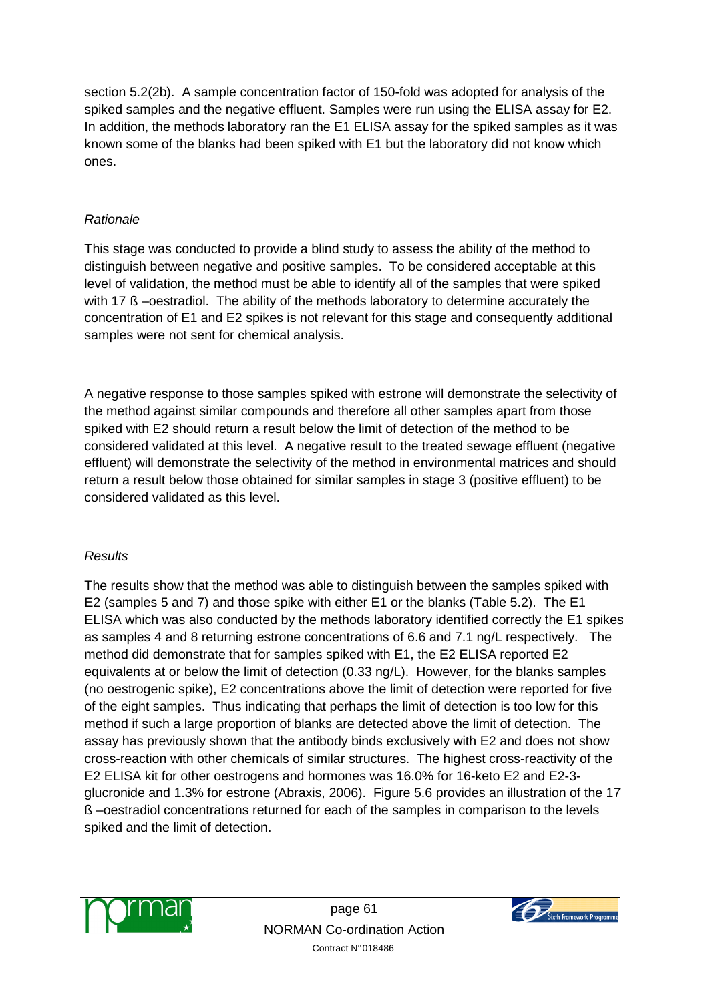section 5.2(2b). A sample concentration factor of 150-fold was adopted for analysis of the spiked samples and the negative effluent. Samples were run using the ELISA assay for E2. In addition, the methods laboratory ran the E1 ELISA assay for the spiked samples as it was known some of the blanks had been spiked with E1 but the laboratory did not know which ones.

#### Rationale

This stage was conducted to provide a blind study to assess the ability of the method to distinguish between negative and positive samples. To be considered acceptable at this level of validation, the method must be able to identify all of the samples that were spiked with 17 ß –oestradiol. The ability of the methods laboratory to determine accurately the concentration of E1 and E2 spikes is not relevant for this stage and consequently additional samples were not sent for chemical analysis.

A negative response to those samples spiked with estrone will demonstrate the selectivity of the method against similar compounds and therefore all other samples apart from those spiked with E2 should return a result below the limit of detection of the method to be considered validated at this level. A negative result to the treated sewage effluent (negative effluent) will demonstrate the selectivity of the method in environmental matrices and should return a result below those obtained for similar samples in stage 3 (positive effluent) to be considered validated as this level.

## **Results**

The results show that the method was able to distinguish between the samples spiked with E2 (samples 5 and 7) and those spike with either E1 or the blanks (Table 5.2). The E1 ELISA which was also conducted by the methods laboratory identified correctly the E1 spikes as samples 4 and 8 returning estrone concentrations of 6.6 and 7.1 ng/L respectively. The method did demonstrate that for samples spiked with E1, the E2 ELISA reported E2 equivalents at or below the limit of detection (0.33 ng/L). However, for the blanks samples (no oestrogenic spike), E2 concentrations above the limit of detection were reported for five of the eight samples. Thus indicating that perhaps the limit of detection is too low for this method if such a large proportion of blanks are detected above the limit of detection. The assay has previously shown that the antibody binds exclusively with E2 and does not show cross-reaction with other chemicals of similar structures. The highest cross-reactivity of the E2 ELISA kit for other oestrogens and hormones was 16.0% for 16-keto E2 and E2-3 glucronide and 1.3% for estrone (Abraxis, 2006). Figure 5.6 provides an illustration of the 17 ß –oestradiol concentrations returned for each of the samples in comparison to the levels spiked and the limit of detection.



page 61 NORMAN Co-ordination Action Contract N° 018486

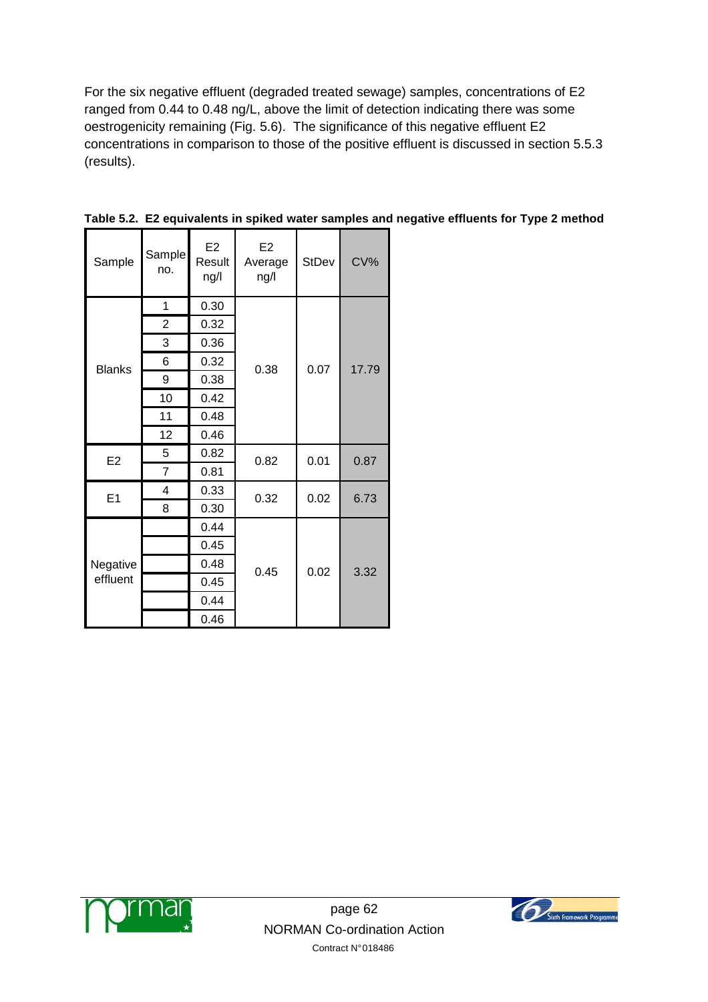For the six negative effluent (degraded treated sewage) samples, concentrations of E2 ranged from 0.44 to 0.48 ng/L, above the limit of detection indicating there was some oestrogenicity remaining (Fig. 5.6). The significance of this negative effluent E2 concentrations in comparison to those of the positive effluent is discussed in section 5.5.3 (results).

| Sample               | Sample<br>no.  | E2<br>Result<br>ng/l | E <sub>2</sub><br>Average<br>ng/l | <b>StDev</b> | CV%   |
|----------------------|----------------|----------------------|-----------------------------------|--------------|-------|
| <b>Blanks</b>        | 1              | 0.30                 |                                   | 0.07         | 17.79 |
|                      | $\overline{2}$ | 0.32                 |                                   |              |       |
|                      | 3              | 0.36                 |                                   |              |       |
|                      | 6              | 0.32                 | 0.38                              |              |       |
|                      | 9              | 0.38                 |                                   |              |       |
|                      | 10             | 0.42                 |                                   |              |       |
|                      | 11             | 0.48                 |                                   |              |       |
|                      | 12             | 0.46                 |                                   |              |       |
| E <sub>2</sub>       | 5              | 0.82                 | 0.82                              | 0.01         | 0.87  |
|                      | $\overline{7}$ | 0.81                 |                                   |              |       |
| E1                   | 4              | 0.33                 | 0.32                              | 0.02         | 6.73  |
|                      | 8              | 0.30                 |                                   |              |       |
| Negative<br>effluent |                | 0.44                 |                                   | 0.02         | 3.32  |
|                      |                | 0.45                 |                                   |              |       |
|                      |                | 0.48                 | 0.45                              |              |       |
|                      |                | 0.45                 |                                   |              |       |
|                      |                | 0.44                 |                                   |              |       |
|                      |                | 0.46                 |                                   |              |       |

**Table 5.2. E2 equivalents in spiked water samples and negative effluents for Type 2 method** 



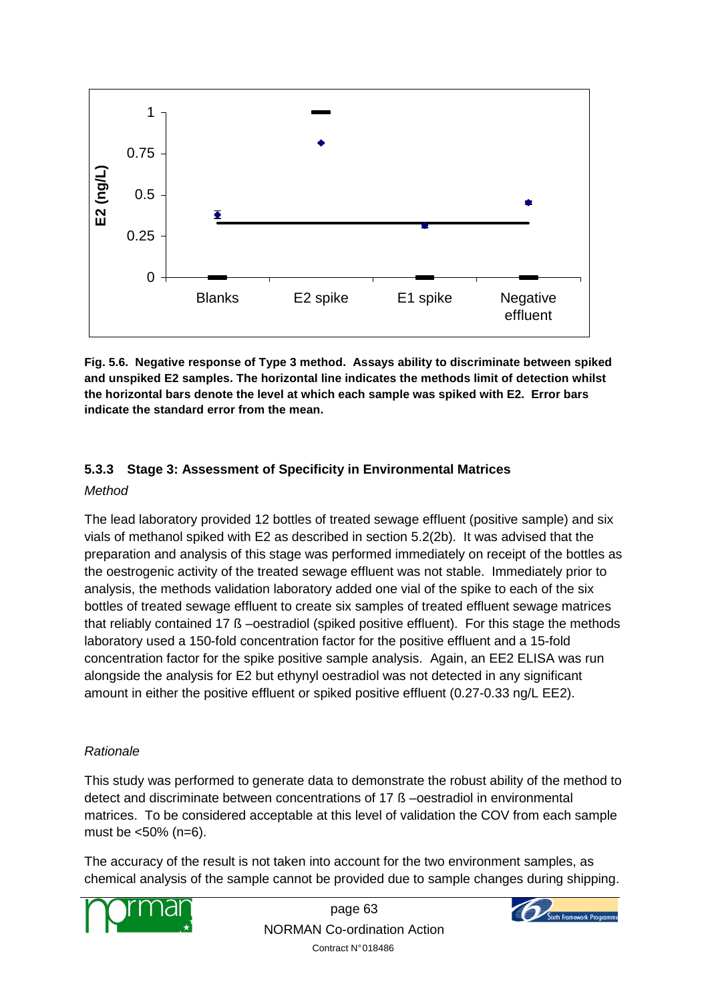

**Fig. 5.6. Negative response of Type 3 method. Assays ability to discriminate between spiked and unspiked E2 samples. The horizontal line indicates the methods limit of detection whilst the horizontal bars denote the level at which each sample was spiked with E2. Error bars indicate the standard error from the mean.** 

## **5.3.3 Stage 3: Assessment of Specificity in Environmental Matrices**

#### Method

The lead laboratory provided 12 bottles of treated sewage effluent (positive sample) and six vials of methanol spiked with E2 as described in section 5.2(2b). It was advised that the preparation and analysis of this stage was performed immediately on receipt of the bottles as the oestrogenic activity of the treated sewage effluent was not stable. Immediately prior to analysis, the methods validation laboratory added one vial of the spike to each of the six bottles of treated sewage effluent to create six samples of treated effluent sewage matrices that reliably contained 17 ß –oestradiol (spiked positive effluent). For this stage the methods laboratory used a 150-fold concentration factor for the positive effluent and a 15-fold concentration factor for the spike positive sample analysis. Again, an EE2 ELISA was run alongside the analysis for E2 but ethynyl oestradiol was not detected in any significant amount in either the positive effluent or spiked positive effluent (0.27-0.33 ng/L EE2).

## Rationale

This study was performed to generate data to demonstrate the robust ability of the method to detect and discriminate between concentrations of 17 ß –oestradiol in environmental matrices. To be considered acceptable at this level of validation the COV from each sample must be <50% (n=6).

The accuracy of the result is not taken into account for the two environment samples, as chemical analysis of the sample cannot be provided due to sample changes during shipping.



page 63 NORMAN Co-ordination Action Contract N° 018486

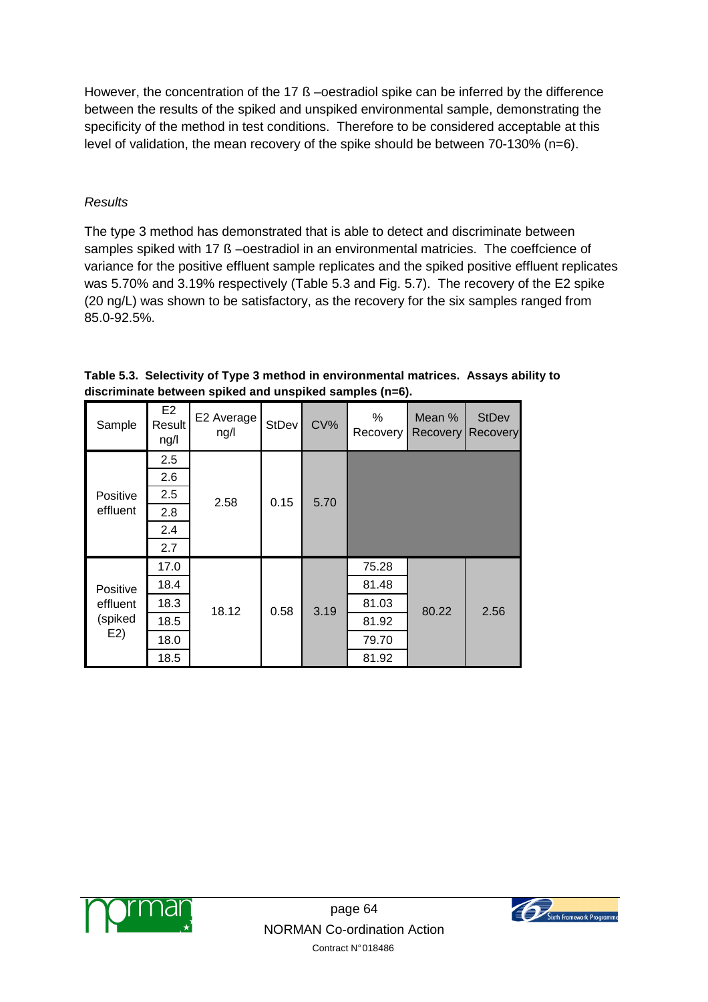However, the concentration of the 17 ß –oestradiol spike can be inferred by the difference between the results of the spiked and unspiked environmental sample, demonstrating the specificity of the method in test conditions. Therefore to be considered acceptable at this level of validation, the mean recovery of the spike should be between 70-130% (n=6).

## **Results**

The type 3 method has demonstrated that is able to detect and discriminate between samples spiked with 17 ß –oestradiol in an environmental matricies. The coeffcience of variance for the positive effluent sample replicates and the spiked positive effluent replicates was 5.70% and 3.19% respectively (Table 5.3 and Fig. 5.7). The recovery of the E2 spike (20 ng/L) was shown to be satisfactory, as the recovery for the six samples ranged from 85.0-92.5%.

| Sample                                 | E <sub>2</sub><br>Result<br>ng/l | E2 Average<br>ng/l | <b>StDev</b> | CV%  | ℅<br>Recovery | Mean %<br>Recovery | <b>StDev</b><br>Recovery |
|----------------------------------------|----------------------------------|--------------------|--------------|------|---------------|--------------------|--------------------------|
|                                        | 2.5                              |                    |              |      |               |                    |                          |
| <b>Positive</b><br>effluent            | 2.6                              |                    | 0.15         | 5.70 |               |                    |                          |
|                                        | 2.5                              | 2.58               |              |      |               |                    |                          |
|                                        | 2.8                              |                    |              |      |               |                    |                          |
|                                        | 2.4                              |                    |              |      |               |                    |                          |
|                                        | 2.7                              |                    |              |      |               |                    |                          |
| Positive<br>effluent<br>(spiked<br>E2) | 17.0                             | 18.12              | 0.58         | 3.19 | 75.28         | 80.22              | 2.56                     |
|                                        | 18.4                             |                    |              |      | 81.48         |                    |                          |
|                                        | 18.3                             |                    |              |      | 81.03         |                    |                          |
|                                        | 18.5                             |                    |              |      | 81.92         |                    |                          |
|                                        | 18.0                             |                    |              |      | 79.70         |                    |                          |
|                                        | 18.5                             |                    |              |      | 81.92         |                    |                          |

**Table 5.3. Selectivity of Type 3 method in environmental matrices. Assays ability to discriminate between spiked and unspiked samples (n=6).** 



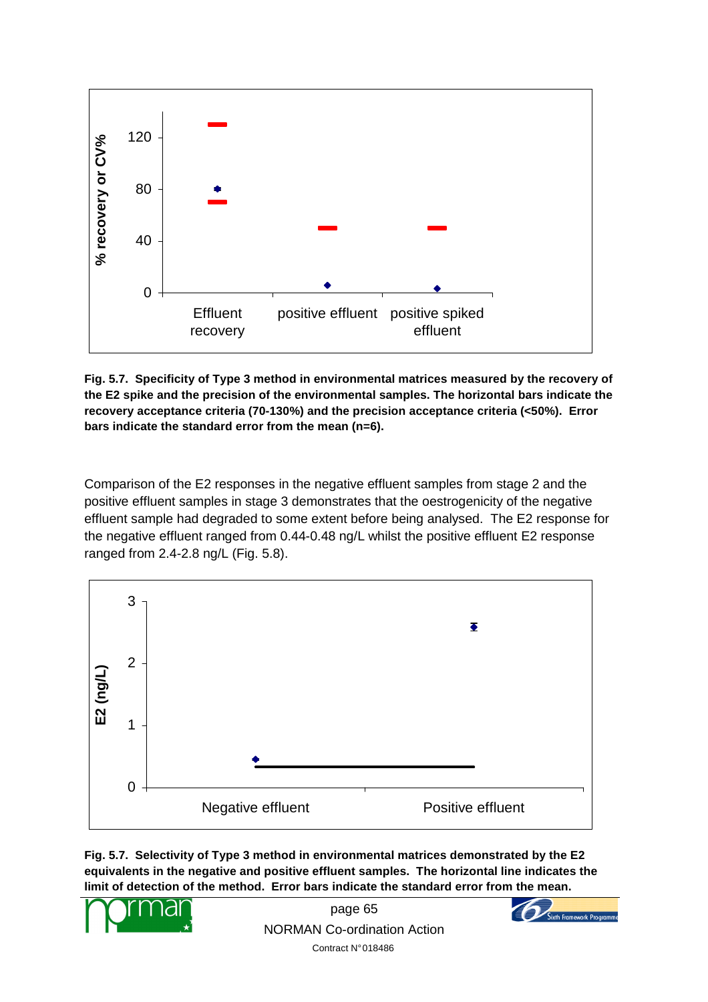

**Fig. 5.7. Specificity of Type 3 method in environmental matrices measured by the recovery of the E2 spike and the precision of the environmental samples. The horizontal bars indicate the recovery acceptance criteria (70-130%) and the precision acceptance criteria (<50%). Error bars indicate the standard error from the mean (n=6).** 

Comparison of the E2 responses in the negative effluent samples from stage 2 and the positive effluent samples in stage 3 demonstrates that the oestrogenicity of the negative effluent sample had degraded to some extent before being analysed. The E2 response for the negative effluent ranged from 0.44-0.48 ng/L whilst the positive effluent E2 response ranged from 2.4-2.8 ng/L (Fig. 5.8).



**Fig. 5.7. Selectivity of Type 3 method in environmental matrices demonstrated by the E2 equivalents in the negative and positive effluent samples. The horizontal line indicates the limit of detection of the method. Error bars indicate the standard error from the mean.** 



page 65 NORMAN Co-ordination Action Contract N° 018486

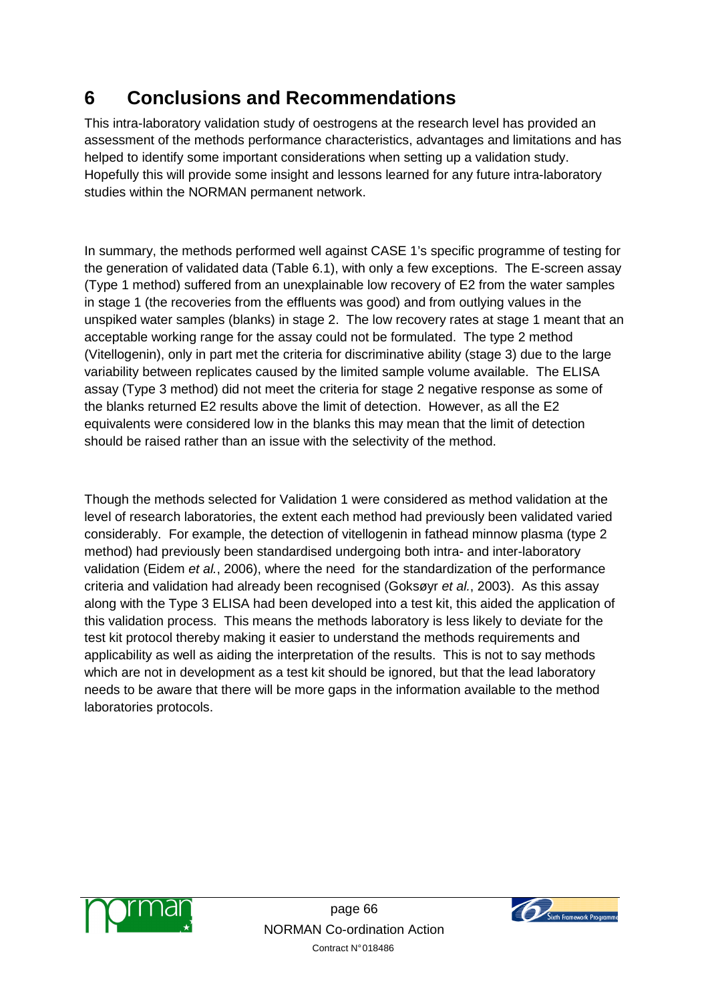# **6 Conclusions and Recommendations**

This intra-laboratory validation study of oestrogens at the research level has provided an assessment of the methods performance characteristics, advantages and limitations and has helped to identify some important considerations when setting up a validation study. Hopefully this will provide some insight and lessons learned for any future intra-laboratory studies within the NORMAN permanent network.

In summary, the methods performed well against CASE 1's specific programme of testing for the generation of validated data (Table 6.1), with only a few exceptions. The E-screen assay (Type 1 method) suffered from an unexplainable low recovery of E2 from the water samples in stage 1 (the recoveries from the effluents was good) and from outlying values in the unspiked water samples (blanks) in stage 2. The low recovery rates at stage 1 meant that an acceptable working range for the assay could not be formulated. The type 2 method (Vitellogenin), only in part met the criteria for discriminative ability (stage 3) due to the large variability between replicates caused by the limited sample volume available. The ELISA assay (Type 3 method) did not meet the criteria for stage 2 negative response as some of the blanks returned E2 results above the limit of detection. However, as all the E2 equivalents were considered low in the blanks this may mean that the limit of detection should be raised rather than an issue with the selectivity of the method.

Though the methods selected for Validation 1 were considered as method validation at the level of research laboratories, the extent each method had previously been validated varied considerably. For example, the detection of vitellogenin in fathead minnow plasma (type 2 method) had previously been standardised undergoing both intra- and inter-laboratory validation (Eidem et al., 2006), where the need for the standardization of the performance criteria and validation had already been recognised (Goksøyr et al., 2003). As this assay along with the Type 3 ELISA had been developed into a test kit, this aided the application of this validation process. This means the methods laboratory is less likely to deviate for the test kit protocol thereby making it easier to understand the methods requirements and applicability as well as aiding the interpretation of the results. This is not to say methods which are not in development as a test kit should be ignored, but that the lead laboratory needs to be aware that there will be more gaps in the information available to the method laboratories protocols.



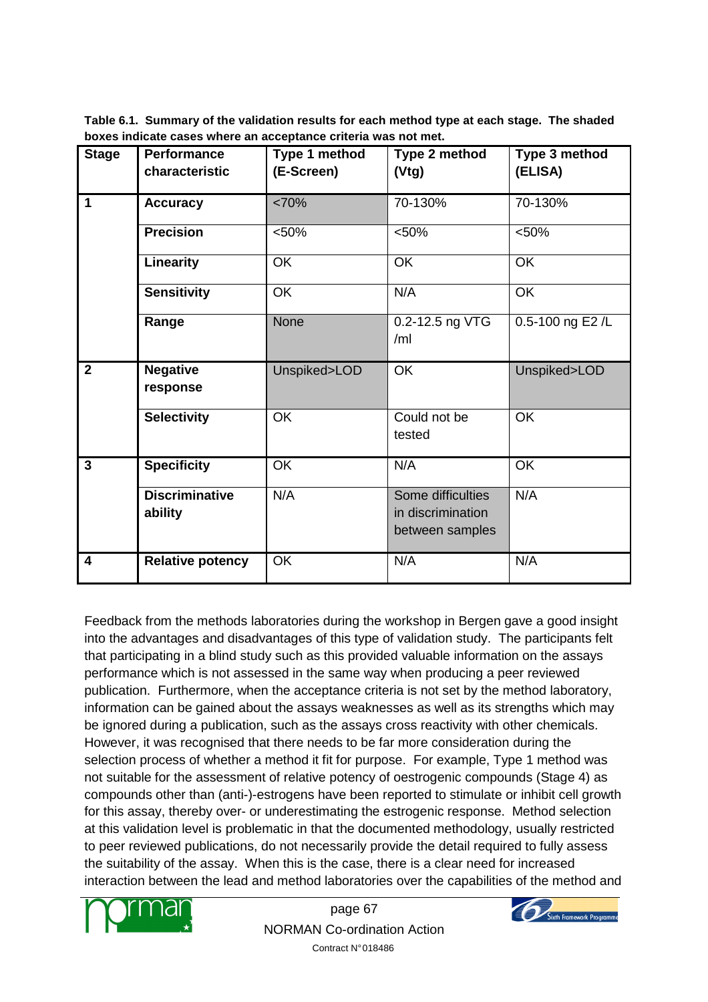**Table 6.1. Summary of the validation results for each method type at each stage. The shaded boxes indicate cases where an acceptance criteria was not met.** 

| <b>Stage</b>            | <b>Performance</b>               | Type 1 method | Type 2 method                                             | Type 3 method    |
|-------------------------|----------------------------------|---------------|-----------------------------------------------------------|------------------|
|                         | characteristic                   | (E-Screen)    | (Vtg)                                                     | (ELISA)          |
| $\mathbf 1$             | <b>Accuracy</b>                  | <70%          | 70-130%                                                   | 70-130%          |
|                         | <b>Precision</b>                 | < 50%         | < 50%                                                     | < 50%            |
|                         | Linearity                        | OK            | OK                                                        | OK               |
|                         | <b>Sensitivity</b>               | <b>OK</b>     | N/A                                                       | <b>OK</b>        |
|                         | Range                            | <b>None</b>   | 0.2-12.5 ng VTG<br>/ml                                    | 0.5-100 ng E2 /L |
| $\overline{2}$          | <b>Negative</b><br>response      | Unspiked>LOD  | <b>OK</b>                                                 | Unspiked>LOD     |
|                         | <b>Selectivity</b>               | <b>OK</b>     | Could not be<br>tested                                    | OK               |
| $\overline{3}$          | <b>Specificity</b>               | <b>OK</b>     | N/A                                                       | OK               |
|                         | <b>Discriminative</b><br>ability | N/A           | Some difficulties<br>in discrimination<br>between samples | N/A              |
| $\overline{\mathbf{4}}$ | <b>Relative potency</b>          | OK            | N/A                                                       | N/A              |

Feedback from the methods laboratories during the workshop in Bergen gave a good insight into the advantages and disadvantages of this type of validation study. The participants felt that participating in a blind study such as this provided valuable information on the assays performance which is not assessed in the same way when producing a peer reviewed publication. Furthermore, when the acceptance criteria is not set by the method laboratory, information can be gained about the assays weaknesses as well as its strengths which may be ignored during a publication, such as the assays cross reactivity with other chemicals. However, it was recognised that there needs to be far more consideration during the selection process of whether a method it fit for purpose. For example, Type 1 method was not suitable for the assessment of relative potency of oestrogenic compounds (Stage 4) as compounds other than (anti-)-estrogens have been reported to stimulate or inhibit cell growth for this assay, thereby over- or underestimating the estrogenic response. Method selection at this validation level is problematic in that the documented methodology, usually restricted to peer reviewed publications, do not necessarily provide the detail required to fully assess the suitability of the assay. When this is the case, there is a clear need for increased interaction between the lead and method laboratories over the capabilities of the method and



page 67 NORMAN Co-ordination Action Contract N° 018486

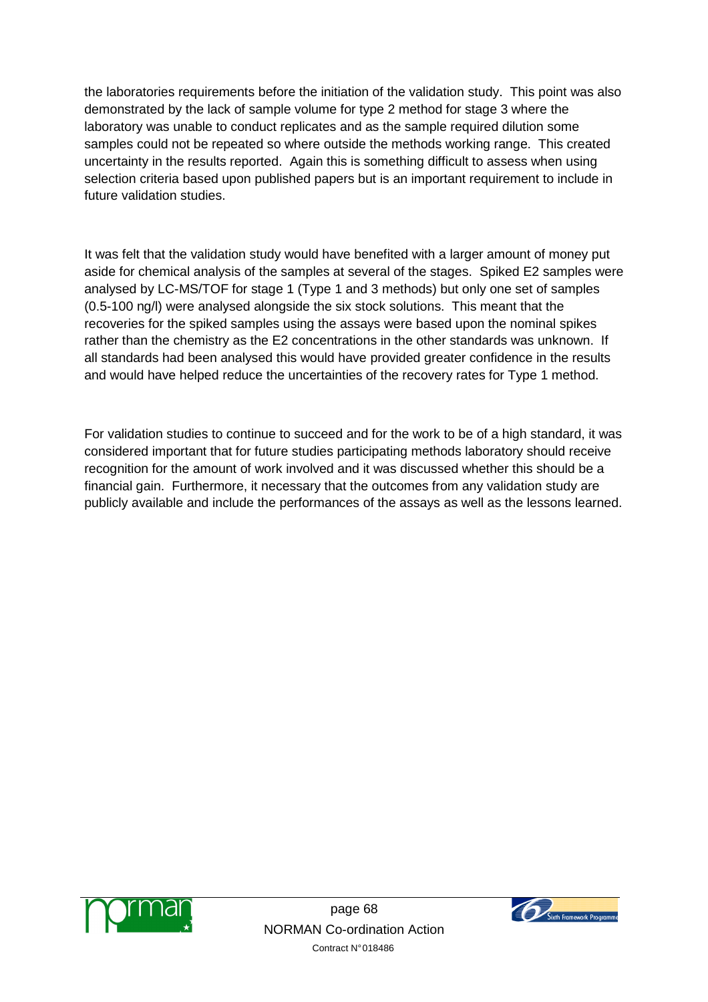the laboratories requirements before the initiation of the validation study. This point was also demonstrated by the lack of sample volume for type 2 method for stage 3 where the laboratory was unable to conduct replicates and as the sample required dilution some samples could not be repeated so where outside the methods working range. This created uncertainty in the results reported. Again this is something difficult to assess when using selection criteria based upon published papers but is an important requirement to include in future validation studies.

It was felt that the validation study would have benefited with a larger amount of money put aside for chemical analysis of the samples at several of the stages. Spiked E2 samples were analysed by LC-MS/TOF for stage 1 (Type 1 and 3 methods) but only one set of samples (0.5-100 ng/l) were analysed alongside the six stock solutions. This meant that the recoveries for the spiked samples using the assays were based upon the nominal spikes rather than the chemistry as the E2 concentrations in the other standards was unknown. If all standards had been analysed this would have provided greater confidence in the results and would have helped reduce the uncertainties of the recovery rates for Type 1 method.

For validation studies to continue to succeed and for the work to be of a high standard, it was considered important that for future studies participating methods laboratory should receive recognition for the amount of work involved and it was discussed whether this should be a financial gain. Furthermore, it necessary that the outcomes from any validation study are publicly available and include the performances of the assays as well as the lessons learned.



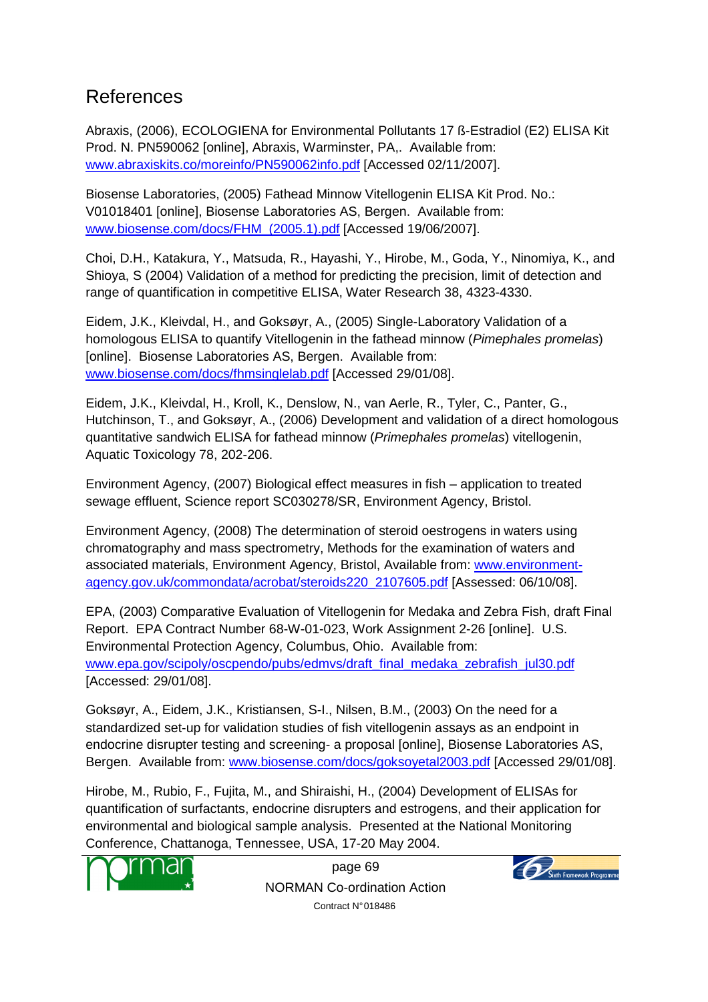# References

Abraxis, (2006), ECOLOGIENA for Environmental Pollutants 17 ß-Estradiol (E2) ELISA Kit Prod. N. PN590062 [online], Abraxis, Warminster, PA,. Available from: www.abraxiskits.co/moreinfo/PN590062info.pdf [Accessed 02/11/2007].

Biosense Laboratories, (2005) Fathead Minnow Vitellogenin ELISA Kit Prod. No.: V01018401 [online], Biosense Laboratories AS, Bergen. Available from: www.biosense.com/docs/FHM\_(2005.1).pdf [Accessed 19/06/2007].

Choi, D.H., Katakura, Y., Matsuda, R., Hayashi, Y., Hirobe, M., Goda, Y., Ninomiya, K., and Shioya, S (2004) Validation of a method for predicting the precision, limit of detection and range of quantification in competitive ELISA, Water Research 38, 4323-4330.

Eidem, J.K., Kleivdal, H., and Goksøyr, A., (2005) Single-Laboratory Validation of a homologous ELISA to quantify Vitellogenin in the fathead minnow (Pimephales promelas) [online]. Biosense Laboratories AS, Bergen. Available from: www.biosense.com/docs/fhmsinglelab.pdf [Accessed 29/01/08].

Eidem, J.K., Kleivdal, H., Kroll, K., Denslow, N., van Aerle, R., Tyler, C., Panter, G., Hutchinson, T., and Goksøyr, A., (2006) Development and validation of a direct homologous quantitative sandwich ELISA for fathead minnow (Primephales promelas) vitellogenin, Aquatic Toxicology 78, 202-206.

Environment Agency, (2007) Biological effect measures in fish – application to treated sewage effluent, Science report SC030278/SR, Environment Agency, Bristol.

Environment Agency, (2008) The determination of steroid oestrogens in waters using chromatography and mass spectrometry, Methods for the examination of waters and associated materials, Environment Agency, Bristol, Available from: www.environmentagency.gov.uk/commondata/acrobat/steroids220\_2107605.pdf [Assessed: 06/10/08].

EPA, (2003) Comparative Evaluation of Vitellogenin for Medaka and Zebra Fish, draft Final Report. EPA Contract Number 68-W-01-023, Work Assignment 2-26 [online]. U.S. Environmental Protection Agency, Columbus, Ohio. Available from: www.epa.gov/scipoly/oscpendo/pubs/edmvs/draft\_final\_medaka\_zebrafish\_jul30.pdf [Accessed: 29/01/08].

Goksøyr, A., Eidem, J.K., Kristiansen, S-I., Nilsen, B.M., (2003) On the need for a standardized set-up for validation studies of fish vitellogenin assays as an endpoint in endocrine disrupter testing and screening- a proposal [online], Biosense Laboratories AS, Bergen. Available from: www.biosense.com/docs/goksoyetal2003.pdf [Accessed 29/01/08].

Hirobe, M., Rubio, F., Fujita, M., and Shiraishi, H., (2004) Development of ELISAs for quantification of surfactants, endocrine disrupters and estrogens, and their application for environmental and biological sample analysis. Presented at the National Monitoring Conference, Chattanoga, Tennessee, USA, 17-20 May 2004.



page 69 NORMAN Co-ordination Action Contract N° 018486